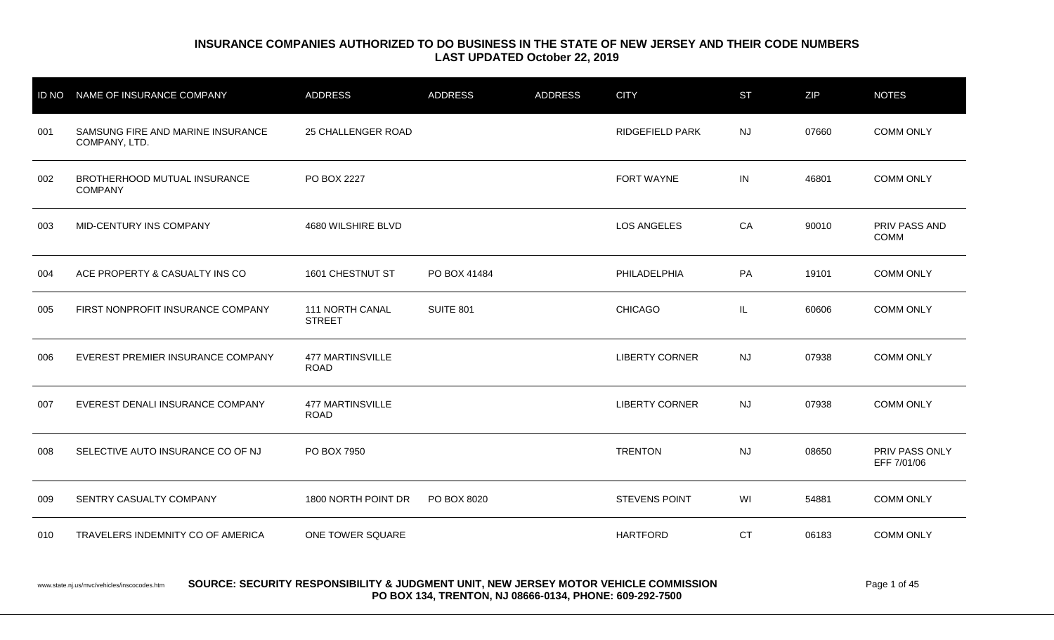| <b>ID NO</b> | NAME OF INSURANCE COMPANY                          | <b>ADDRESS</b>                         | <b>ADDRESS</b> | <b>ADDRESS</b> | <b>CITY</b>            | <b>ST</b> | <b>ZIP</b> | <b>NOTES</b>                  |
|--------------|----------------------------------------------------|----------------------------------------|----------------|----------------|------------------------|-----------|------------|-------------------------------|
| 001          | SAMSUNG FIRE AND MARINE INSURANCE<br>COMPANY, LTD. | 25 CHALLENGER ROAD                     |                |                | <b>RIDGEFIELD PARK</b> | <b>NJ</b> | 07660      | <b>COMM ONLY</b>              |
| 002          | BROTHERHOOD MUTUAL INSURANCE<br><b>COMPANY</b>     | PO BOX 2227                            |                |                | <b>FORT WAYNE</b>      | IN        | 46801      | <b>COMM ONLY</b>              |
| 003          | MID-CENTURY INS COMPANY                            | 4680 WILSHIRE BLVD                     |                |                | <b>LOS ANGELES</b>     | CA        | 90010      | PRIV PASS AND<br><b>COMM</b>  |
| 004          | ACE PROPERTY & CASUALTY INS CO                     | 1601 CHESTNUT ST                       | PO BOX 41484   |                | PHILADELPHIA           | PA        | 19101      | <b>COMM ONLY</b>              |
| 005          | FIRST NONPROFIT INSURANCE COMPANY                  | 111 NORTH CANAL<br><b>STREET</b>       | SUITE 801      |                | <b>CHICAGO</b>         | IL        | 60606      | <b>COMM ONLY</b>              |
| 006          | EVEREST PREMIER INSURANCE COMPANY                  | <b>477 MARTINSVILLE</b><br><b>ROAD</b> |                |                | <b>LIBERTY CORNER</b>  | <b>NJ</b> | 07938      | <b>COMM ONLY</b>              |
| 007          | EVEREST DENALI INSURANCE COMPANY                   | <b>477 MARTINSVILLE</b><br><b>ROAD</b> |                |                | <b>LIBERTY CORNER</b>  | <b>NJ</b> | 07938      | <b>COMM ONLY</b>              |
| 008          | SELECTIVE AUTO INSURANCE CO OF NJ                  | PO BOX 7950                            |                |                | <b>TRENTON</b>         | <b>NJ</b> | 08650      | PRIV PASS ONLY<br>EFF 7/01/06 |
| 009          | SENTRY CASUALTY COMPANY                            | 1800 NORTH POINT DR                    | PO BOX 8020    |                | <b>STEVENS POINT</b>   | WI        | 54881      | <b>COMM ONLY</b>              |
| 010          | TRAVELERS INDEMNITY CO OF AMERICA                  | ONE TOWER SQUARE                       |                |                | <b>HARTFORD</b>        | <b>CT</b> | 06183      | <b>COMM ONLY</b>              |

www.state.nj.us/mvc/vehicles/inscocodes.htm **SOURCE: SECURITY RESPONSIBILITY & JUDGMENT UNIT, NEW JERSEY MOTOR VEHICLE COMMISSION Page 1 of 45 PO BOX 134, TRENTON, NJ 08666-0134, PHONE: 609-292-7500**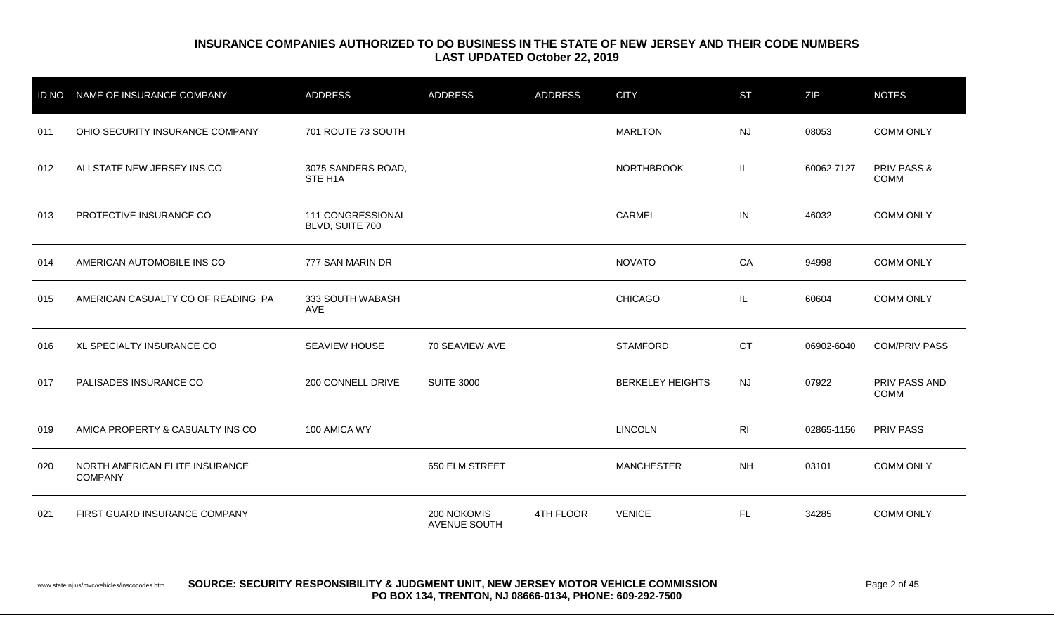| <b>ID NO</b> | NAME OF INSURANCE COMPANY                        | <b>ADDRESS</b>                       | <b>ADDRESS</b>                     | <b>ADDRESS</b> | <b>CITY</b>             | <b>ST</b> | <b>ZIP</b> | <b>NOTES</b>                   |
|--------------|--------------------------------------------------|--------------------------------------|------------------------------------|----------------|-------------------------|-----------|------------|--------------------------------|
| 011          | OHIO SECURITY INSURANCE COMPANY                  | 701 ROUTE 73 SOUTH                   |                                    |                | <b>MARLTON</b>          | <b>NJ</b> | 08053      | <b>COMM ONLY</b>               |
| 012          | ALLSTATE NEW JERSEY INS CO                       | 3075 SANDERS ROAD,<br>STE H1A        |                                    |                | <b>NORTHBROOK</b>       | IL        | 60062-7127 | <b>PRIV PASS &amp;</b><br>COMM |
| 013          | PROTECTIVE INSURANCE CO                          | 111 CONGRESSIONAL<br>BLVD, SUITE 700 |                                    |                | CARMEL                  | IN        | 46032      | <b>COMM ONLY</b>               |
| 014          | AMERICAN AUTOMOBILE INS CO                       | 777 SAN MARIN DR                     |                                    |                | <b>NOVATO</b>           | CA        | 94998      | <b>COMM ONLY</b>               |
| 015          | AMERICAN CASUALTY CO OF READING PA               | 333 SOUTH WABASH<br>AVE              |                                    |                | <b>CHICAGO</b>          | IL        | 60604      | <b>COMM ONLY</b>               |
| 016          | XL SPECIALTY INSURANCE CO                        | <b>SEAVIEW HOUSE</b>                 | 70 SEAVIEW AVE                     |                | <b>STAMFORD</b>         | <b>CT</b> | 06902-6040 | <b>COM/PRIV PASS</b>           |
| 017          | PALISADES INSURANCE CO                           | 200 CONNELL DRIVE                    | <b>SUITE 3000</b>                  |                | <b>BERKELEY HEIGHTS</b> | <b>NJ</b> | 07922      | PRIV PASS AND<br><b>COMM</b>   |
| 019          | AMICA PROPERTY & CASUALTY INS CO                 | 100 AMICA WY                         |                                    |                | <b>LINCOLN</b>          | RI        | 02865-1156 | PRIV PASS                      |
| 020          | NORTH AMERICAN ELITE INSURANCE<br><b>COMPANY</b> |                                      | 650 ELM STREET                     |                | <b>MANCHESTER</b>       | <b>NH</b> | 03101      | <b>COMM ONLY</b>               |
| 021          | FIRST GUARD INSURANCE COMPANY                    |                                      | 200 NOKOMIS<br><b>AVENUE SOUTH</b> | 4TH FLOOR      | <b>VENICE</b>           | FL.       | 34285      | <b>COMM ONLY</b>               |

www.state.nj.us/mvc/vehicles/inscocodes.htm **SOURCE: SECURITY RESPONSIBILITY & JUDGMENT UNIT, NEW JERSEY MOTOR VEHICLE COMMISSION Page 2 of 45 PO BOX 134, TRENTON, NJ 08666-0134, PHONE: 609-292-7500**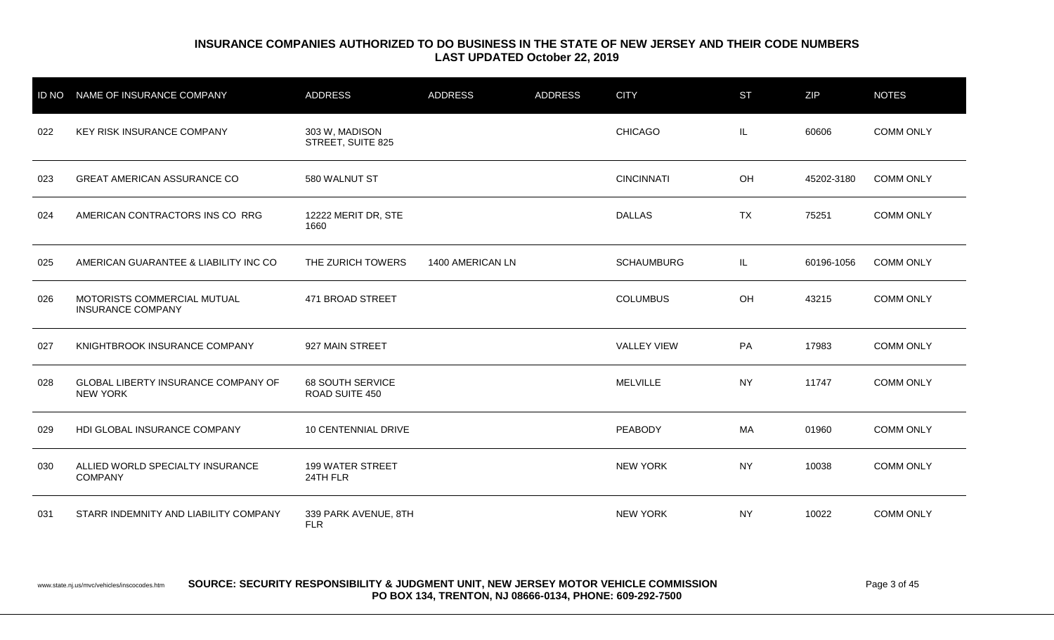| <b>ID NO</b> | NAME OF INSURANCE COMPANY                               | <b>ADDRESS</b>                            | <b>ADDRESS</b>   | <b>ADDRESS</b> | <b>CITY</b>        | <b>ST</b> | <b>ZIP</b> | <b>NOTES</b>     |
|--------------|---------------------------------------------------------|-------------------------------------------|------------------|----------------|--------------------|-----------|------------|------------------|
| 022          | KEY RISK INSURANCE COMPANY                              | 303 W, MADISON<br>STREET, SUITE 825       |                  |                | <b>CHICAGO</b>     | IL        | 60606      | <b>COMM ONLY</b> |
| 023          | <b>GREAT AMERICAN ASSURANCE CO</b>                      | 580 WALNUT ST                             |                  |                | <b>CINCINNATI</b>  | OH        | 45202-3180 | <b>COMM ONLY</b> |
| 024          | AMERICAN CONTRACTORS INS CO RRG                         | 12222 MERIT DR, STE<br>1660               |                  |                | <b>DALLAS</b>      | <b>TX</b> | 75251      | <b>COMM ONLY</b> |
| 025          | AMERICAN GUARANTEE & LIABILITY INC CO                   | THE ZURICH TOWERS                         | 1400 AMERICAN LN |                | <b>SCHAUMBURG</b>  | IL.       | 60196-1056 | <b>COMM ONLY</b> |
| 026          | MOTORISTS COMMERCIAL MUTUAL<br><b>INSURANCE COMPANY</b> | 471 BROAD STREET                          |                  |                | <b>COLUMBUS</b>    | OH        | 43215      | <b>COMM ONLY</b> |
| 027          | KNIGHTBROOK INSURANCE COMPANY                           | 927 MAIN STREET                           |                  |                | <b>VALLEY VIEW</b> | PA        | 17983      | <b>COMM ONLY</b> |
| 028          | GLOBAL LIBERTY INSURANCE COMPANY OF<br><b>NEW YORK</b>  | <b>68 SOUTH SERVICE</b><br>ROAD SUITE 450 |                  |                | <b>MELVILLE</b>    | <b>NY</b> | 11747      | <b>COMM ONLY</b> |
| 029          | HDI GLOBAL INSURANCE COMPANY                            | 10 CENTENNIAL DRIVE                       |                  |                | PEABODY            | MA        | 01960      | <b>COMM ONLY</b> |
| 030          | ALLIED WORLD SPECIALTY INSURANCE<br><b>COMPANY</b>      | 199 WATER STREET<br>24TH FLR              |                  |                | <b>NEW YORK</b>    | <b>NY</b> | 10038      | <b>COMM ONLY</b> |
| 031          | STARR INDEMNITY AND LIABILITY COMPANY                   | 339 PARK AVENUE, 8TH<br><b>FLR</b>        |                  |                | <b>NEW YORK</b>    | <b>NY</b> | 10022      | <b>COMM ONLY</b> |

www.state.nj.us/mvc/vehicles/inscocodes.htm **SOURCE: SECURITY RESPONSIBILITY & JUDGMENT UNIT, NEW JERSEY MOTOR VEHICLE COMMISSION** Page 3 of 45 **PO BOX 134, TRENTON, NJ 08666-0134, PHONE: 609-292-7500**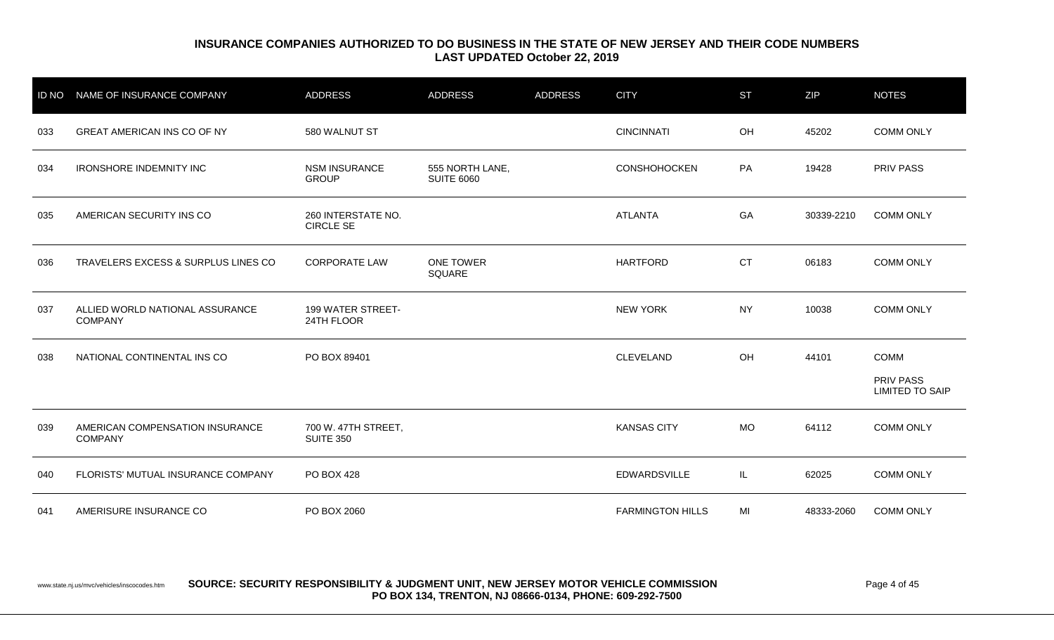| <b>ID NO</b> | NAME OF INSURANCE COMPANY                         | <b>ADDRESS</b>                          | <b>ADDRESS</b>                       | <b>ADDRESS</b> | <b>CITY</b>             | <b>ST</b> | ZIP        | <b>NOTES</b>                               |
|--------------|---------------------------------------------------|-----------------------------------------|--------------------------------------|----------------|-------------------------|-----------|------------|--------------------------------------------|
| 033          | <b>GREAT AMERICAN INS CO OF NY</b>                | 580 WALNUT ST                           |                                      |                | <b>CINCINNATI</b>       | OH        | 45202      | <b>COMM ONLY</b>                           |
| 034          | <b>IRONSHORE INDEMNITY INC</b>                    | <b>NSM INSURANCE</b><br><b>GROUP</b>    | 555 NORTH LANE,<br><b>SUITE 6060</b> |                | <b>CONSHOHOCKEN</b>     | PA        | 19428      | <b>PRIV PASS</b>                           |
| 035          | AMERICAN SECURITY INS CO                          | 260 INTERSTATE NO.<br><b>CIRCLE SE</b>  |                                      |                | <b>ATLANTA</b>          | GA        | 30339-2210 | <b>COMM ONLY</b>                           |
| 036          | TRAVELERS EXCESS & SURPLUS LINES CO               | <b>CORPORATE LAW</b>                    | <b>ONE TOWER</b><br>SQUARE           |                | <b>HARTFORD</b>         | <b>CT</b> | 06183      | <b>COMM ONLY</b>                           |
| 037          | ALLIED WORLD NATIONAL ASSURANCE<br><b>COMPANY</b> | 199 WATER STREET-<br>24TH FLOOR         |                                      |                | <b>NEW YORK</b>         | <b>NY</b> | 10038      | <b>COMM ONLY</b>                           |
| 038          | NATIONAL CONTINENTAL INS CO                       | PO BOX 89401                            |                                      |                | CLEVELAND               | OH        | 44101      | <b>COMM</b>                                |
|              |                                                   |                                         |                                      |                |                         |           |            | <b>PRIV PASS</b><br><b>LIMITED TO SAIP</b> |
| 039          | AMERICAN COMPENSATION INSURANCE<br><b>COMPANY</b> | 700 W. 47TH STREET,<br><b>SUITE 350</b> |                                      |                | <b>KANSAS CITY</b>      | <b>MO</b> | 64112      | <b>COMM ONLY</b>                           |
| 040          | FLORISTS' MUTUAL INSURANCE COMPANY                | <b>PO BOX 428</b>                       |                                      |                | <b>EDWARDSVILLE</b>     | IL.       | 62025      | <b>COMM ONLY</b>                           |
| 041          | AMERISURE INSURANCE CO                            | PO BOX 2060                             |                                      |                | <b>FARMINGTON HILLS</b> | MI        | 48333-2060 | <b>COMM ONLY</b>                           |

www.state.nj.us/mvc/vehicles/inscocodes.htm **SOURCE: SECURITY RESPONSIBILITY & JUDGMENT UNIT, NEW JERSEY MOTOR VEHICLE COMMISSION** Page 4 of 45 **PO BOX 134, TRENTON, NJ 08666-0134, PHONE: 609-292-7500**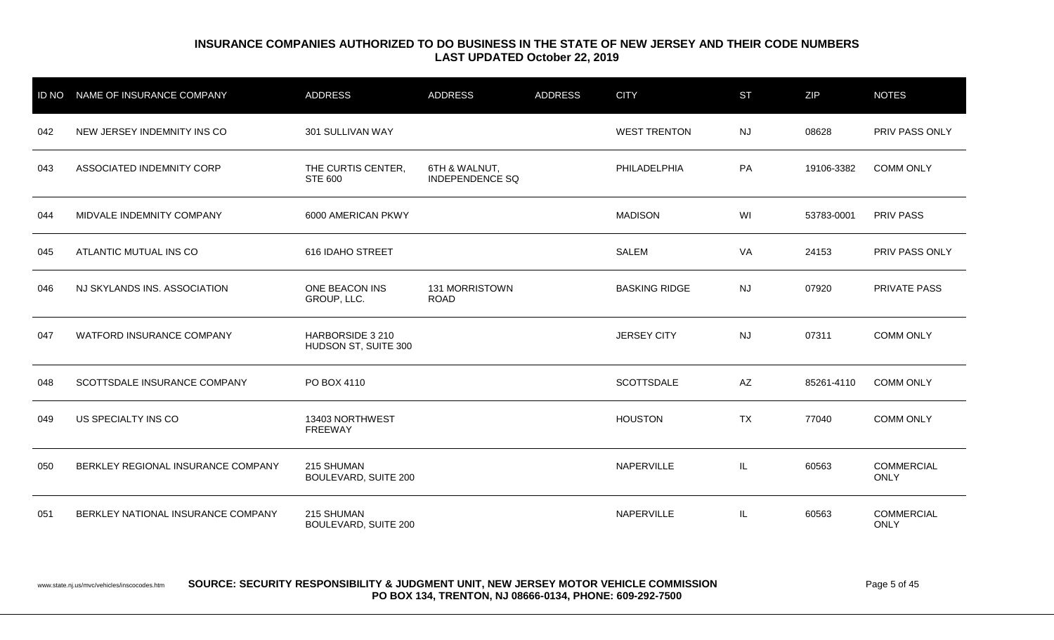| <b>ID NO</b> | NAME OF INSURANCE COMPANY          | <b>ADDRESS</b>                           | <b>ADDRESS</b>                          | <b>ADDRESS</b> | <b>CITY</b>          | <b>ST</b> | <b>ZIP</b> | <b>NOTES</b>                     |
|--------------|------------------------------------|------------------------------------------|-----------------------------------------|----------------|----------------------|-----------|------------|----------------------------------|
| 042          | NEW JERSEY INDEMNITY INS CO        | 301 SULLIVAN WAY                         |                                         |                | <b>WEST TRENTON</b>  | <b>NJ</b> | 08628      | PRIV PASS ONLY                   |
| 043          | ASSOCIATED INDEMNITY CORP          | THE CURTIS CENTER,<br><b>STE 600</b>     | 6TH & WALNUT,<br><b>INDEPENDENCE SQ</b> |                | PHILADELPHIA         | PA        | 19106-3382 | <b>COMM ONLY</b>                 |
| 044          | MIDVALE INDEMNITY COMPANY          | 6000 AMERICAN PKWY                       |                                         |                | <b>MADISON</b>       | WI        | 53783-0001 | <b>PRIV PASS</b>                 |
| 045          | ATLANTIC MUTUAL INS CO             | 616 IDAHO STREET                         |                                         |                | <b>SALEM</b>         | VA        | 24153      | PRIV PASS ONLY                   |
| 046          | NJ SKYLANDS INS. ASSOCIATION       | ONE BEACON INS<br>GROUP, LLC.            | 131 MORRISTOWN<br><b>ROAD</b>           |                | <b>BASKING RIDGE</b> | <b>NJ</b> | 07920      | <b>PRIVATE PASS</b>              |
| 047          | WATFORD INSURANCE COMPANY          | HARBORSIDE 3 210<br>HUDSON ST, SUITE 300 |                                         |                | <b>JERSEY CITY</b>   | <b>NJ</b> | 07311      | <b>COMM ONLY</b>                 |
| 048          | SCOTTSDALE INSURANCE COMPANY       | PO BOX 4110                              |                                         |                | <b>SCOTTSDALE</b>    | AZ        | 85261-4110 | <b>COMM ONLY</b>                 |
| 049          | US SPECIALTY INS CO                | 13403 NORTHWEST<br><b>FREEWAY</b>        |                                         |                | <b>HOUSTON</b>       | <b>TX</b> | 77040      | <b>COMM ONLY</b>                 |
| 050          | BERKLEY REGIONAL INSURANCE COMPANY | 215 SHUMAN<br>BOULEVARD, SUITE 200       |                                         |                | NAPERVILLE           | IL        | 60563      | <b>COMMERCIAL</b><br><b>ONLY</b> |
| 051          | BERKLEY NATIONAL INSURANCE COMPANY | 215 SHUMAN<br>BOULEVARD, SUITE 200       |                                         |                | NAPERVILLE           | IL        | 60563      | <b>COMMERCIAL</b><br>ONLY        |

www.state.nj.us/mvc/vehicles/inscocodes.htm **SOURCE: SECURITY RESPONSIBILITY & JUDGMENT UNIT, NEW JERSEY MOTOR VEHICLE COMMISSION** Page 5 of 45 **PO BOX 134, TRENTON, NJ 08666-0134, PHONE: 609-292-7500**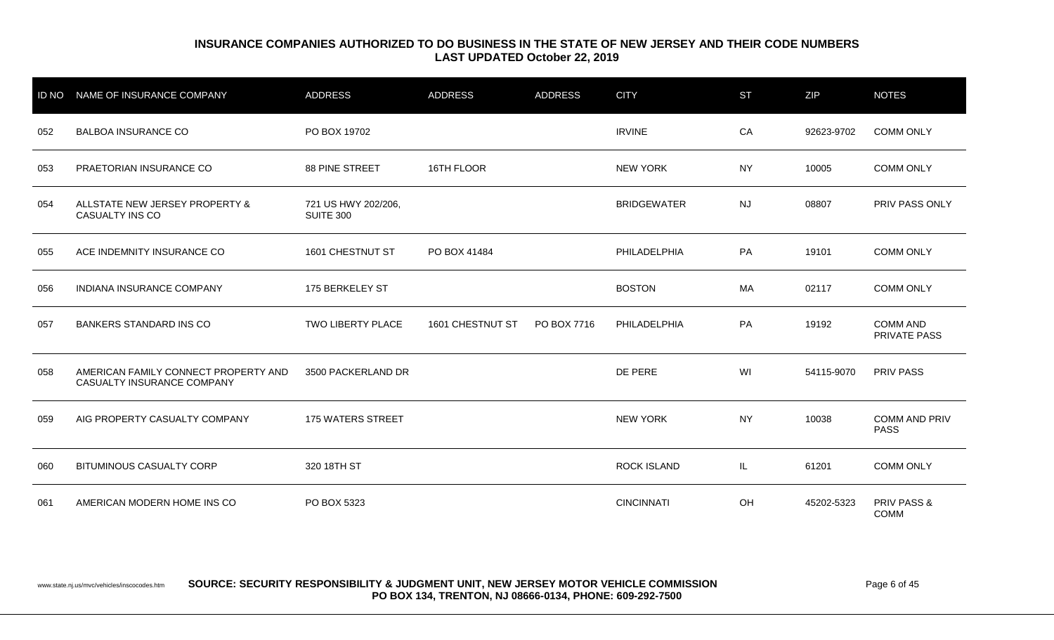|     | ID NO NAME OF INSURANCE COMPANY                                    | <b>ADDRESS</b>                          | <b>ADDRESS</b>   | <b>ADDRESS</b> | <b>CITY</b>        | <b>ST</b> | ZIP        | <b>NOTES</b>                        |
|-----|--------------------------------------------------------------------|-----------------------------------------|------------------|----------------|--------------------|-----------|------------|-------------------------------------|
| 052 | <b>BALBOA INSURANCE CO</b>                                         | PO BOX 19702                            |                  |                | <b>IRVINE</b>      | CA        | 92623-9702 | <b>COMM ONLY</b>                    |
| 053 | PRAETORIAN INSURANCE CO                                            | 88 PINE STREET                          | 16TH FLOOR       |                | <b>NEW YORK</b>    | <b>NY</b> | 10005      | <b>COMM ONLY</b>                    |
| 054 | ALLSTATE NEW JERSEY PROPERTY &<br>CASUALTY INS CO                  | 721 US HWY 202/206,<br><b>SUITE 300</b> |                  |                | <b>BRIDGEWATER</b> | <b>NJ</b> | 08807      | <b>PRIV PASS ONLY</b>               |
| 055 | ACE INDEMNITY INSURANCE CO                                         | 1601 CHESTNUT ST                        | PO BOX 41484     |                | PHILADELPHIA       | PA        | 19101      | <b>COMM ONLY</b>                    |
| 056 | INDIANA INSURANCE COMPANY                                          | 175 BERKELEY ST                         |                  |                | <b>BOSTON</b>      | МA        | 02117      | <b>COMM ONLY</b>                    |
| 057 | <b>BANKERS STANDARD INS CO</b>                                     | TWO LIBERTY PLACE                       | 1601 CHESTNUT ST | PO BOX 7716    | PHILADELPHIA       | PA        | 19192      | <b>COMM AND</b><br>PRIVATE PASS     |
| 058 | AMERICAN FAMILY CONNECT PROPERTY AND<br>CASUALTY INSURANCE COMPANY | 3500 PACKERLAND DR                      |                  |                | DE PERE            | WI        | 54115-9070 | <b>PRIV PASS</b>                    |
| 059 | AIG PROPERTY CASUALTY COMPANY                                      | 175 WATERS STREET                       |                  |                | <b>NEW YORK</b>    | <b>NY</b> | 10038      | <b>COMM AND PRIV</b><br><b>PASS</b> |
| 060 | <b>BITUMINOUS CASUALTY CORP</b>                                    | 320 18TH ST                             |                  |                | <b>ROCK ISLAND</b> | IL.       | 61201      | <b>COMM ONLY</b>                    |
| 061 | AMERICAN MODERN HOME INS CO                                        | PO BOX 5323                             |                  |                | <b>CINCINNATI</b>  | OH        | 45202-5323 | PRIV PASS &<br><b>COMM</b>          |

www.state.nj.us/mvc/vehicles/inscocodes.htm **SOURCE: SECURITY RESPONSIBILITY & JUDGMENT UNIT, NEW JERSEY MOTOR VEHICLE COMMISSION** Page 6 of 45 **PO BOX 134, TRENTON, NJ 08666-0134, PHONE: 609-292-7500**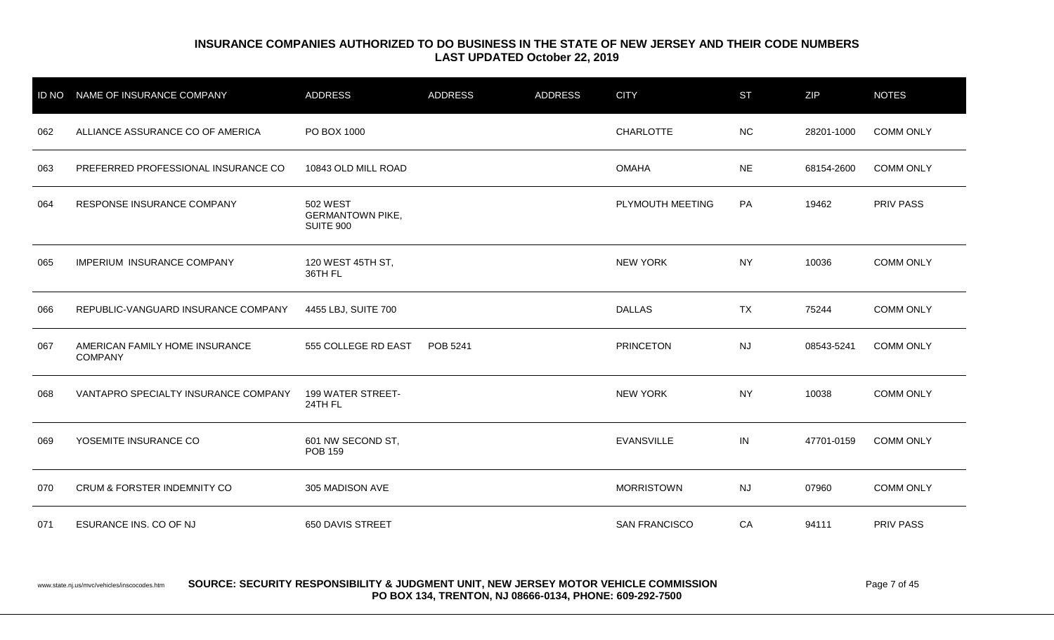| <b>ID NO</b> | NAME OF INSURANCE COMPANY                        | <b>ADDRESS</b>                                          | <b>ADDRESS</b> | <b>ADDRESS</b> | <b>CITY</b>          | <b>ST</b> | ZIP        | <b>NOTES</b>     |
|--------------|--------------------------------------------------|---------------------------------------------------------|----------------|----------------|----------------------|-----------|------------|------------------|
| 062          | ALLIANCE ASSURANCE CO OF AMERICA                 | PO BOX 1000                                             |                |                | <b>CHARLOTTE</b>     | <b>NC</b> | 28201-1000 | <b>COMM ONLY</b> |
| 063          | PREFERRED PROFESSIONAL INSURANCE CO              | 10843 OLD MILL ROAD                                     |                |                | <b>OMAHA</b>         | <b>NE</b> | 68154-2600 | <b>COMM ONLY</b> |
| 064          | RESPONSE INSURANCE COMPANY                       | <b>502 WEST</b><br><b>GERMANTOWN PIKE,</b><br>SUITE 900 |                |                | PLYMOUTH MEETING     | PA        | 19462      | <b>PRIV PASS</b> |
| 065          | <b>IMPERIUM INSURANCE COMPANY</b>                | 120 WEST 45TH ST,<br>36TH FL                            |                |                | <b>NEW YORK</b>      | <b>NY</b> | 10036      | <b>COMM ONLY</b> |
| 066          | REPUBLIC-VANGUARD INSURANCE COMPANY              | 4455 LBJ, SUITE 700                                     |                |                | <b>DALLAS</b>        | <b>TX</b> | 75244      | <b>COMM ONLY</b> |
| 067          | AMERICAN FAMILY HOME INSURANCE<br><b>COMPANY</b> | 555 COLLEGE RD EAST                                     | POB 5241       |                | <b>PRINCETON</b>     | <b>NJ</b> | 08543-5241 | <b>COMM ONLY</b> |
| 068          | VANTAPRO SPECIALTY INSURANCE COMPANY             | 199 WATER STREET-<br>24TH FL                            |                |                | <b>NEW YORK</b>      | <b>NY</b> | 10038      | <b>COMM ONLY</b> |
| 069          | YOSEMITE INSURANCE CO                            | 601 NW SECOND ST,<br><b>POB 159</b>                     |                |                | <b>EVANSVILLE</b>    | IN        | 47701-0159 | <b>COMM ONLY</b> |
| 070          | <b>CRUM &amp; FORSTER INDEMNITY CO</b>           | 305 MADISON AVE                                         |                |                | <b>MORRISTOWN</b>    | <b>NJ</b> | 07960      | <b>COMM ONLY</b> |
| 071          | ESURANCE INS. CO OF NJ                           | 650 DAVIS STREET                                        |                |                | <b>SAN FRANCISCO</b> | CA        | 94111      | <b>PRIV PASS</b> |

#### www.state.nj.us/mvc/vehicles/inscocodes.htm **SOURCE: SECURITY RESPONSIBILITY & JUDGMENT UNIT, NEW JERSEY MOTOR VEHICLE COMMISSION Page 7 of 45 PO BOX 134, TRENTON, NJ 08666-0134, PHONE: 609-292-7500**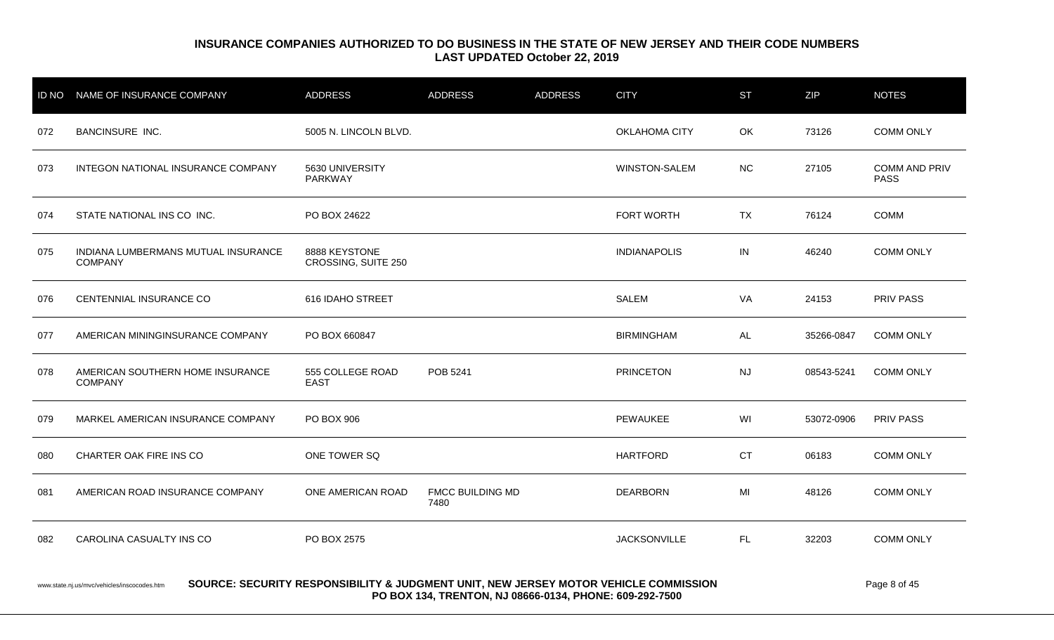|     | ID NO NAME OF INSURANCE COMPANY                       | ADDRESS                              | <b>ADDRESS</b>                  | <b>ADDRESS</b> | <b>CITY</b>          | <b>ST</b> | ZIP        | <b>NOTES</b>                 |
|-----|-------------------------------------------------------|--------------------------------------|---------------------------------|----------------|----------------------|-----------|------------|------------------------------|
| 072 | <b>BANCINSURE INC.</b>                                | 5005 N. LINCOLN BLVD.                |                                 |                | <b>OKLAHOMA CITY</b> | OK        | 73126      | <b>COMM ONLY</b>             |
| 073 | INTEGON NATIONAL INSURANCE COMPANY                    | 5630 UNIVERSITY<br>PARKWAY           |                                 |                | <b>WINSTON-SALEM</b> | NC        | 27105      | COMM AND PRIV<br><b>PASS</b> |
| 074 | STATE NATIONAL INS CO INC.                            | PO BOX 24622                         |                                 |                | FORT WORTH           | <b>TX</b> | 76124      | <b>COMM</b>                  |
| 075 | INDIANA LUMBERMANS MUTUAL INSURANCE<br><b>COMPANY</b> | 8888 KEYSTONE<br>CROSSING, SUITE 250 |                                 |                | <b>INDIANAPOLIS</b>  | IN        | 46240      | <b>COMM ONLY</b>             |
| 076 | CENTENNIAL INSURANCE CO                               | 616 IDAHO STREET                     |                                 |                | <b>SALEM</b>         | VA        | 24153      | <b>PRIV PASS</b>             |
| 077 | AMERICAN MININGINSURANCE COMPANY                      | PO BOX 660847                        |                                 |                | <b>BIRMINGHAM</b>    | AL        | 35266-0847 | <b>COMM ONLY</b>             |
| 078 | AMERICAN SOUTHERN HOME INSURANCE<br><b>COMPANY</b>    | 555 COLLEGE ROAD<br><b>EAST</b>      | POB 5241                        |                | <b>PRINCETON</b>     | NJ        | 08543-5241 | <b>COMM ONLY</b>             |
| 079 | MARKEL AMERICAN INSURANCE COMPANY                     | PO BOX 906                           |                                 |                | PEWAUKEE             | WI        | 53072-0906 | <b>PRIV PASS</b>             |
| 080 | CHARTER OAK FIRE INS CO                               | ONE TOWER SQ                         |                                 |                | <b>HARTFORD</b>      | <b>CT</b> | 06183      | <b>COMM ONLY</b>             |
| 081 | AMERICAN ROAD INSURANCE COMPANY                       | ONE AMERICAN ROAD                    | <b>FMCC BUILDING MD</b><br>7480 |                | <b>DEARBORN</b>      | MI        | 48126      | <b>COMM ONLY</b>             |
| 082 | CAROLINA CASUALTY INS CO                              | PO BOX 2575                          |                                 |                | <b>JACKSONVILLE</b>  | FL.       | 32203      | <b>COMM ONLY</b>             |
|     |                                                       |                                      |                                 |                |                      |           |            |                              |

www.state.nj.us/mvc/vehicles/inscocodes.htm **SOURCE: SECURITY RESPONSIBILITY & JUDGMENT UNIT, NEW JERSEY MOTOR VEHICLE COMMISSION** Page 8 of 45 **PO BOX 134, TRENTON, NJ 08666-0134, PHONE: 609-292-7500**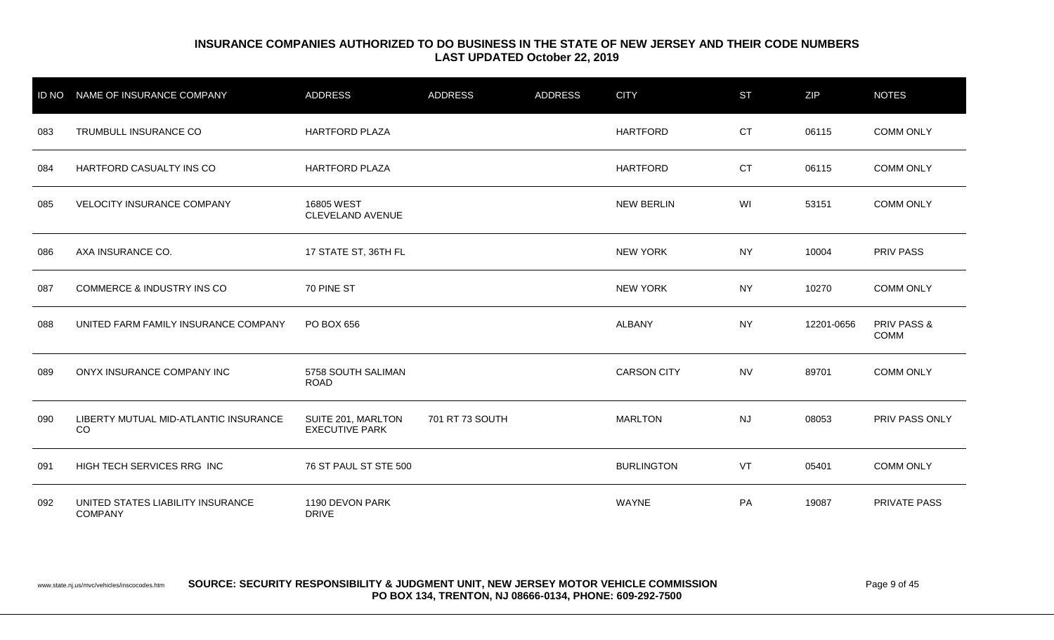|     | ID NO NAME OF INSURANCE COMPANY                     | <b>ADDRESS</b>                              | <b>ADDRESS</b>  | <b>ADDRESS</b> | <b>CITY</b>        | <b>ST</b> | ZIP        | <b>NOTES</b>          |
|-----|-----------------------------------------------------|---------------------------------------------|-----------------|----------------|--------------------|-----------|------------|-----------------------|
| 083 | TRUMBULL INSURANCE CO                               | <b>HARTFORD PLAZA</b>                       |                 |                | <b>HARTFORD</b>    | <b>CT</b> | 06115      | <b>COMM ONLY</b>      |
| 084 | HARTFORD CASUALTY INS CO                            | <b>HARTFORD PLAZA</b>                       |                 |                | <b>HARTFORD</b>    | <b>CT</b> | 06115      | <b>COMM ONLY</b>      |
| 085 | <b>VELOCITY INSURANCE COMPANY</b>                   | 16805 WEST<br>CLEVELAND AVENUE              |                 |                | <b>NEW BERLIN</b>  | WI        | 53151      | <b>COMM ONLY</b>      |
| 086 | AXA INSURANCE CO.                                   | 17 STATE ST, 36TH FL                        |                 |                | <b>NEW YORK</b>    | <b>NY</b> | 10004      | PRIV PASS             |
| 087 | <b>COMMERCE &amp; INDUSTRY INS CO</b>               | 70 PINE ST                                  |                 |                | <b>NEW YORK</b>    | NY        | 10270      | <b>COMM ONLY</b>      |
| 088 | UNITED FARM FAMILY INSURANCE COMPANY                | PO BOX 656                                  |                 |                | ALBANY             | <b>NY</b> | 12201-0656 | PRIV PASS &<br>COMM   |
| 089 | ONYX INSURANCE COMPANY INC                          | 5758 SOUTH SALIMAN<br><b>ROAD</b>           |                 |                | <b>CARSON CITY</b> | <b>NV</b> | 89701      | <b>COMM ONLY</b>      |
| 090 | LIBERTY MUTUAL MID-ATLANTIC INSURANCE<br>CO         | SUITE 201, MARLTON<br><b>EXECUTIVE PARK</b> | 701 RT 73 SOUTH |                | <b>MARLTON</b>     | NJ        | 08053      | <b>PRIV PASS ONLY</b> |
| 091 | HIGH TECH SERVICES RRG INC                          | 76 ST PAUL ST STE 500                       |                 |                | <b>BURLINGTON</b>  | VT        | 05401      | <b>COMM ONLY</b>      |
| 092 | UNITED STATES LIABILITY INSURANCE<br><b>COMPANY</b> | 1190 DEVON PARK<br><b>DRIVE</b>             |                 |                | <b>WAYNE</b>       | PA        | 19087      | PRIVATE PASS          |

www.state.nj.us/mvc/vehicles/inscocodes.htm **SOURCE: SECURITY RESPONSIBILITY & JUDGMENT UNIT, NEW JERSEY MOTOR VEHICLE COMMISSION** Page 9 of 45 **PO BOX 134, TRENTON, NJ 08666-0134, PHONE: 609-292-7500**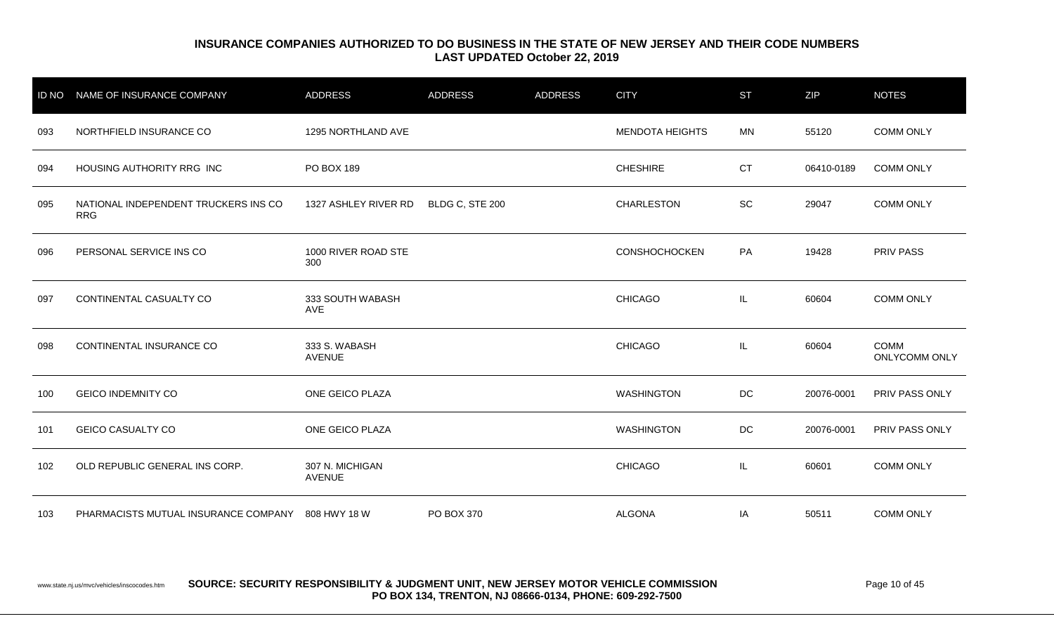| <b>ID NO</b> | NAME OF INSURANCE COMPANY                          | <b>ADDRESS</b>                   | <b>ADDRESS</b>  | <b>ADDRESS</b> | <b>CITY</b>            | <b>ST</b> | <b>ZIP</b> | <b>NOTES</b>                 |
|--------------|----------------------------------------------------|----------------------------------|-----------------|----------------|------------------------|-----------|------------|------------------------------|
| 093          | NORTHFIELD INSURANCE CO                            | 1295 NORTHLAND AVE               |                 |                | <b>MENDOTA HEIGHTS</b> | MN        | 55120      | <b>COMM ONLY</b>             |
| 094          | HOUSING AUTHORITY RRG INC                          | PO BOX 189                       |                 |                | <b>CHESHIRE</b>        | <b>CT</b> | 06410-0189 | <b>COMM ONLY</b>             |
| 095          | NATIONAL INDEPENDENT TRUCKERS INS CO<br><b>RRG</b> | 1327 ASHLEY RIVER RD             | BLDG C, STE 200 |                | <b>CHARLESTON</b>      | SC        | 29047      | <b>COMM ONLY</b>             |
| 096          | PERSONAL SERVICE INS CO                            | 1000 RIVER ROAD STE<br>300       |                 |                | CONSHOCHOCKEN          | PA        | 19428      | <b>PRIV PASS</b>             |
| 097          | CONTINENTAL CASUALTY CO                            | 333 SOUTH WABASH<br>AVE          |                 |                | <b>CHICAGO</b>         | IL.       | 60604      | <b>COMM ONLY</b>             |
| 098          | CONTINENTAL INSURANCE CO                           | 333 S. WABASH<br><b>AVENUE</b>   |                 |                | <b>CHICAGO</b>         | IL.       | 60604      | <b>COMM</b><br>ONLYCOMM ONLY |
| 100          | <b>GEICO INDEMNITY CO</b>                          | ONE GEICO PLAZA                  |                 |                | <b>WASHINGTON</b>      | DC        | 20076-0001 | PRIV PASS ONLY               |
| 101          | <b>GEICO CASUALTY CO</b>                           | ONE GEICO PLAZA                  |                 |                | <b>WASHINGTON</b>      | DC        | 20076-0001 | PRIV PASS ONLY               |
| 102          | OLD REPUBLIC GENERAL INS CORP.                     | 307 N. MICHIGAN<br><b>AVENUE</b> |                 |                | <b>CHICAGO</b>         | IL.       | 60601      | <b>COMM ONLY</b>             |
| 103          | PHARMACISTS MUTUAL INSURANCE COMPANY 808 HWY 18 W  |                                  | PO BOX 370      |                | <b>ALGONA</b>          | IA        | 50511      | <b>COMM ONLY</b>             |

www.state.nj.us/mvc/vehicles/inscocodes.htm **SOURCE: SECURITY RESPONSIBILITY & JUDGMENT UNIT, NEW JERSEY MOTOR VEHICLE COMMISSION** Page 10 of 45 **PO BOX 134, TRENTON, NJ 08666-0134, PHONE: 609-292-7500**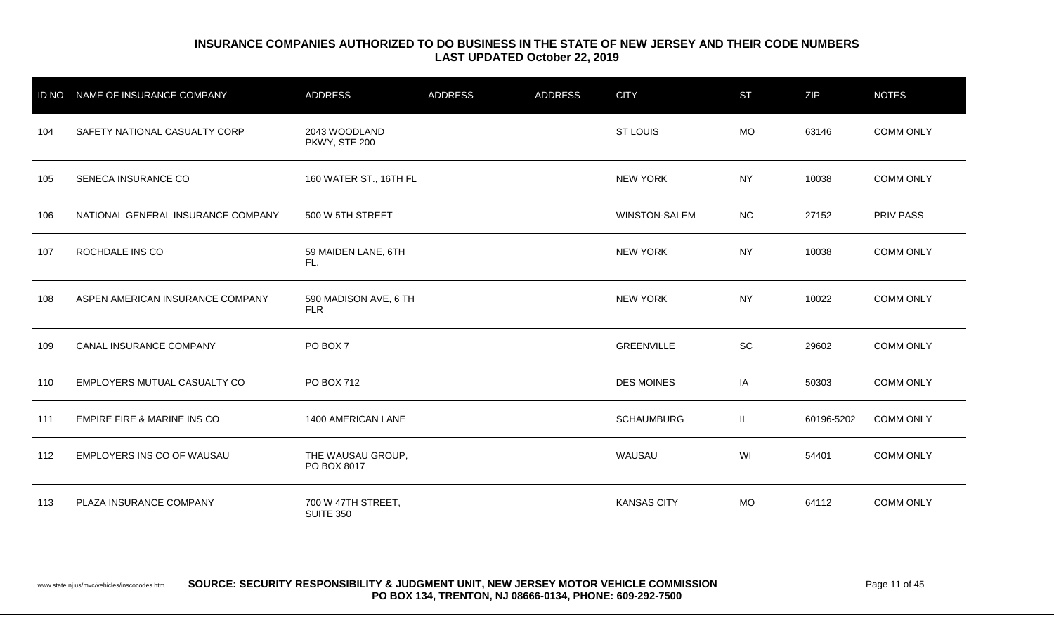|     | ID NO NAME OF INSURANCE COMPANY    | ADDRESS                                | <b>ADDRESS</b> | <b>ADDRESS</b> | <b>CITY</b>        | <b>ST</b> | ZIP        | <b>NOTES</b>     |
|-----|------------------------------------|----------------------------------------|----------------|----------------|--------------------|-----------|------------|------------------|
| 104 | SAFETY NATIONAL CASUALTY CORP      | 2043 WOODLAND<br>PKWY, STE 200         |                |                | ST LOUIS           | <b>MO</b> | 63146      | <b>COMM ONLY</b> |
| 105 | SENECA INSURANCE CO                | 160 WATER ST., 16TH FL                 |                |                | <b>NEW YORK</b>    | <b>NY</b> | 10038      | <b>COMM ONLY</b> |
| 106 | NATIONAL GENERAL INSURANCE COMPANY | 500 W 5TH STREET                       |                |                | WINSTON-SALEM      | <b>NC</b> | 27152      | <b>PRIV PASS</b> |
| 107 | ROCHDALE INS CO                    | 59 MAIDEN LANE, 6TH<br>FL.             |                |                | <b>NEW YORK</b>    | <b>NY</b> | 10038      | <b>COMM ONLY</b> |
| 108 | ASPEN AMERICAN INSURANCE COMPANY   | 590 MADISON AVE, 6 TH<br><b>FLR</b>    |                |                | <b>NEW YORK</b>    | NY.       | 10022      | <b>COMM ONLY</b> |
| 109 | CANAL INSURANCE COMPANY            | PO BOX 7                               |                |                | <b>GREENVILLE</b>  | SC        | 29602      | <b>COMM ONLY</b> |
| 110 | EMPLOYERS MUTUAL CASUALTY CO       | PO BOX 712                             |                |                | <b>DES MOINES</b>  | IA        | 50303      | <b>COMM ONLY</b> |
| 111 | EMPIRE FIRE & MARINE INS CO        | 1400 AMERICAN LANE                     |                |                | <b>SCHAUMBURG</b>  | IL.       | 60196-5202 | <b>COMM ONLY</b> |
| 112 | EMPLOYERS INS CO OF WAUSAU         | THE WAUSAU GROUP,<br>PO BOX 8017       |                |                | WAUSAU             | WI        | 54401      | <b>COMM ONLY</b> |
| 113 | PLAZA INSURANCE COMPANY            | 700 W 47TH STREET,<br><b>SUITE 350</b> |                |                | <b>KANSAS CITY</b> | <b>MO</b> | 64112      | <b>COMM ONLY</b> |

www.state.nj.us/mvc/vehicles/inscocodes.htm **SOURCE: SECURITY RESPONSIBILITY & JUDGMENT UNIT, NEW JERSEY MOTOR VEHICLE COMMISSION** Page 11 of 45 **PO BOX 134, TRENTON, NJ 08666-0134, PHONE: 609-292-7500**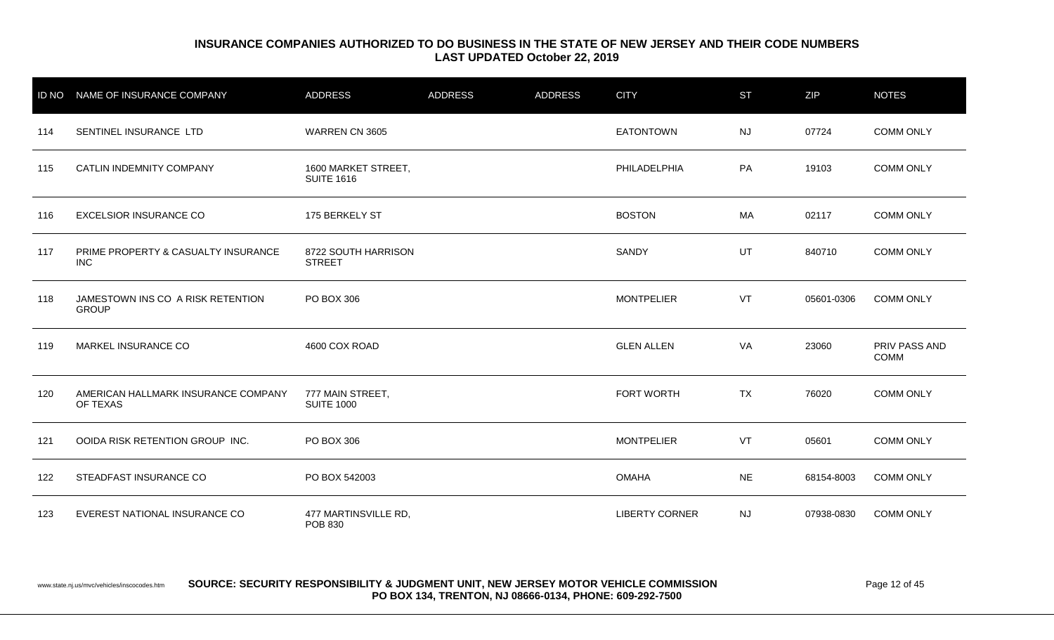| <b>ID NO</b> | NAME OF INSURANCE COMPANY                         | <b>ADDRESS</b>                           | <b>ADDRESS</b> | <b>ADDRESS</b> | <b>CITY</b>           | <b>ST</b> | <b>ZIP</b> | <b>NOTES</b>                 |
|--------------|---------------------------------------------------|------------------------------------------|----------------|----------------|-----------------------|-----------|------------|------------------------------|
| 114          | SENTINEL INSURANCE LTD                            | WARREN CN 3605                           |                |                | <b>EATONTOWN</b>      | <b>NJ</b> | 07724      | <b>COMM ONLY</b>             |
| 115          | CATLIN INDEMNITY COMPANY                          | 1600 MARKET STREET,<br><b>SUITE 1616</b> |                |                | PHILADELPHIA          | PA        | 19103      | <b>COMM ONLY</b>             |
| 116          | <b>EXCELSIOR INSURANCE CO</b>                     | 175 BERKELY ST                           |                |                | <b>BOSTON</b>         | MA        | 02117      | <b>COMM ONLY</b>             |
| 117          | PRIME PROPERTY & CASUALTY INSURANCE<br><b>INC</b> | 8722 SOUTH HARRISON<br><b>STREET</b>     |                |                | SANDY                 | UT        | 840710     | <b>COMM ONLY</b>             |
| 118          | JAMESTOWN INS CO A RISK RETENTION<br><b>GROUP</b> | PO BOX 306                               |                |                | <b>MONTPELIER</b>     | VT        | 05601-0306 | <b>COMM ONLY</b>             |
| 119          | MARKEL INSURANCE CO                               | 4600 COX ROAD                            |                |                | <b>GLEN ALLEN</b>     | VA        | 23060      | PRIV PASS AND<br><b>COMM</b> |
| 120          | AMERICAN HALLMARK INSURANCE COMPANY<br>OF TEXAS   | 777 MAIN STREET,<br><b>SUITE 1000</b>    |                |                | FORT WORTH            | <b>TX</b> | 76020      | <b>COMM ONLY</b>             |
| 121          | OOIDA RISK RETENTION GROUP INC.                   | PO BOX 306                               |                |                | <b>MONTPELIER</b>     | VT        | 05601      | <b>COMM ONLY</b>             |
| 122          | STEADFAST INSURANCE CO                            | PO BOX 542003                            |                |                | <b>OMAHA</b>          | <b>NE</b> | 68154-8003 | <b>COMM ONLY</b>             |
| 123          | EVEREST NATIONAL INSURANCE CO                     | 477 MARTINSVILLE RD,<br>POB 830          |                |                | <b>LIBERTY CORNER</b> | <b>NJ</b> | 07938-0830 | <b>COMM ONLY</b>             |

www.state.nj.us/mvc/vehicles/inscocodes.htm **SOURCE: SECURITY RESPONSIBILITY & JUDGMENT UNIT, NEW JERSEY MOTOR VEHICLE COMMISSION** Page 12 of 45 **PO BOX 134, TRENTON, NJ 08666-0134, PHONE: 609-292-7500**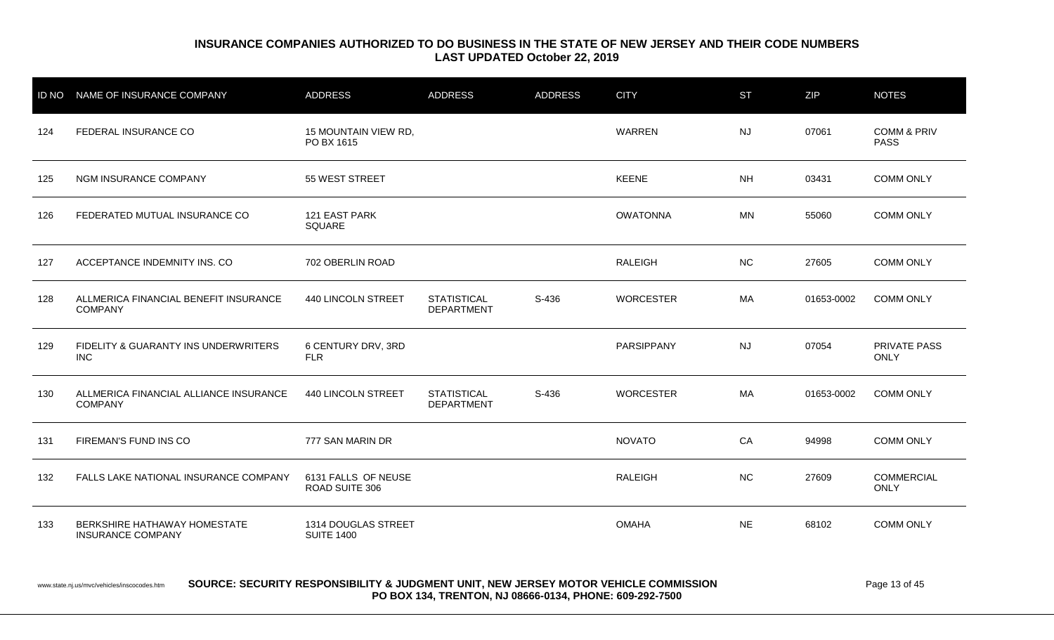|     | ID NO NAME OF INSURANCE COMPANY                          | <b>ADDRESS</b>                           | <b>ADDRESS</b>                          | <b>ADDRESS</b> | <b>CITY</b>      | <b>ST</b> | <b>ZIP</b> | <b>NOTES</b>                          |
|-----|----------------------------------------------------------|------------------------------------------|-----------------------------------------|----------------|------------------|-----------|------------|---------------------------------------|
| 124 | FEDERAL INSURANCE CO                                     | 15 MOUNTAIN VIEW RD,<br>PO BX 1615       |                                         |                | WARREN           | <b>NJ</b> | 07061      | <b>COMM &amp; PRIV</b><br><b>PASS</b> |
| 125 | NGM INSURANCE COMPANY                                    | 55 WEST STREET                           |                                         |                | <b>KEENE</b>     | <b>NH</b> | 03431      | <b>COMM ONLY</b>                      |
| 126 | FEDERATED MUTUAL INSURANCE CO                            | 121 EAST PARK<br>SQUARE                  |                                         |                | <b>OWATONNA</b>  | <b>MN</b> | 55060      | <b>COMM ONLY</b>                      |
| 127 | ACCEPTANCE INDEMNITY INS. CO                             | 702 OBERLIN ROAD                         |                                         |                | <b>RALEIGH</b>   | <b>NC</b> | 27605      | <b>COMM ONLY</b>                      |
| 128 | ALLMERICA FINANCIAL BENEFIT INSURANCE<br><b>COMPANY</b>  | 440 LINCOLN STREET                       | <b>STATISTICAL</b><br><b>DEPARTMENT</b> | S-436          | <b>WORCESTER</b> | МA        | 01653-0002 | <b>COMM ONLY</b>                      |
| 129 | FIDELITY & GUARANTY INS UNDERWRITERS<br><b>INC</b>       | 6 CENTURY DRV, 3RD<br><b>FLR</b>         |                                         |                | PARSIPPANY       | <b>NJ</b> | 07054      | PRIVATE PASS<br><b>ONLY</b>           |
| 130 | ALLMERICA FINANCIAL ALLIANCE INSURANCE<br><b>COMPANY</b> | 440 LINCOLN STREET                       | <b>STATISTICAL</b><br><b>DEPARTMENT</b> | S-436          | <b>WORCESTER</b> | MA        | 01653-0002 | <b>COMM ONLY</b>                      |
| 131 | FIREMAN'S FUND INS CO                                    | 777 SAN MARIN DR                         |                                         |                | <b>NOVATO</b>    | CA        | 94998      | <b>COMM ONLY</b>                      |
| 132 | FALLS LAKE NATIONAL INSURANCE COMPANY                    | 6131 FALLS OF NEUSE<br>ROAD SUITE 306    |                                         |                | <b>RALEIGH</b>   | <b>NC</b> | 27609      | <b>COMMERCIAL</b><br>ONLY             |
| 133 | BERKSHIRE HATHAWAY HOMESTATE<br><b>INSURANCE COMPANY</b> | 1314 DOUGLAS STREET<br><b>SUITE 1400</b> |                                         |                | <b>OMAHA</b>     | <b>NE</b> | 68102      | <b>COMM ONLY</b>                      |

#### www.state.nj.us/mvc/vehicles/inscocodes.htm **SOURCE: SECURITY RESPONSIBILITY & JUDGMENT UNIT, NEW JERSEY MOTOR VEHICLE COMMISSION** Page 13 of 45 **PO BOX 134, TRENTON, NJ 08666-0134, PHONE: 609-292-7500**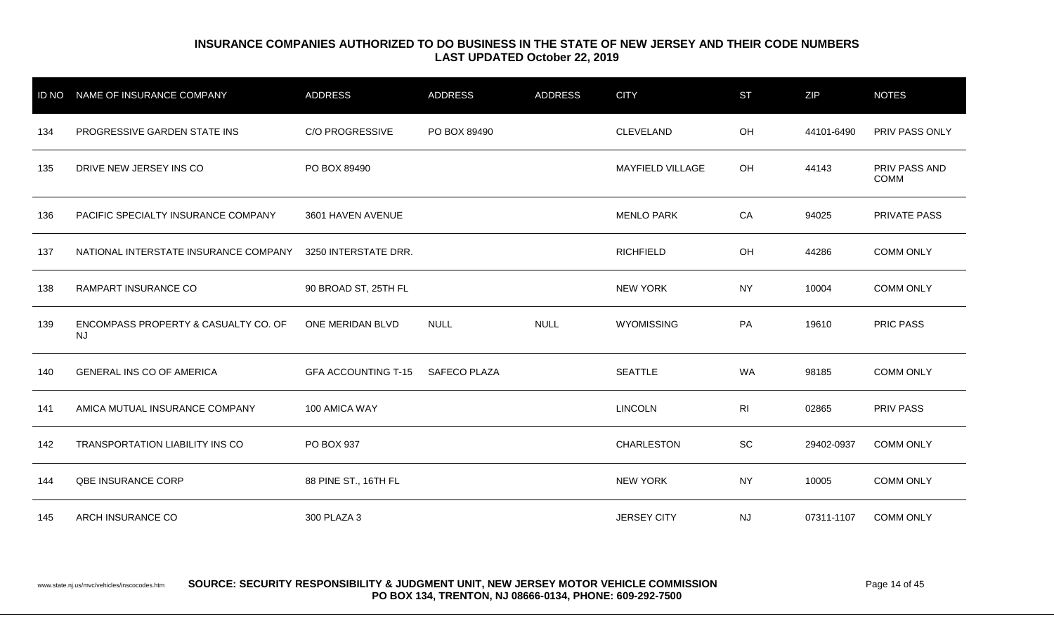| <b>ID NO</b> | NAME OF INSURANCE COMPANY                         | <b>ADDRESS</b>             | <b>ADDRESS</b>      | <b>ADDRESS</b> | <b>CITY</b>             | <b>ST</b>      | ZIP        | <b>NOTES</b>          |
|--------------|---------------------------------------------------|----------------------------|---------------------|----------------|-------------------------|----------------|------------|-----------------------|
| 134          | PROGRESSIVE GARDEN STATE INS                      | <b>C/O PROGRESSIVE</b>     | PO BOX 89490        |                | CLEVELAND               | OH             | 44101-6490 | PRIV PASS ONLY        |
| 135          | DRIVE NEW JERSEY INS CO                           | PO BOX 89490               |                     |                | <b>MAYFIELD VILLAGE</b> | OH             | 44143      | PRIV PASS AND<br>COMM |
| 136          | PACIFIC SPECIALTY INSURANCE COMPANY               | 3601 HAVEN AVENUE          |                     |                | <b>MENLO PARK</b>       | CA             | 94025      | PRIVATE PASS          |
| 137          | NATIONAL INTERSTATE INSURANCE COMPANY             | 3250 INTERSTATE DRR.       |                     |                | <b>RICHFIELD</b>        | OH             | 44286      | <b>COMM ONLY</b>      |
| 138          | RAMPART INSURANCE CO                              | 90 BROAD ST, 25TH FL       |                     |                | <b>NEW YORK</b>         | <b>NY</b>      | 10004      | <b>COMM ONLY</b>      |
| 139          | ENCOMPASS PROPERTY & CASUALTY CO. OF<br><b>NJ</b> | ONE MERIDAN BLVD           | <b>NULL</b>         | <b>NULL</b>    | <b>WYOMISSING</b>       | PA             | 19610      | <b>PRIC PASS</b>      |
| 140          | <b>GENERAL INS CO OF AMERICA</b>                  | <b>GFA ACCOUNTING T-15</b> | <b>SAFECO PLAZA</b> |                | <b>SEATTLE</b>          | <b>WA</b>      | 98185      | <b>COMM ONLY</b>      |
| 141          | AMICA MUTUAL INSURANCE COMPANY                    | 100 AMICA WAY              |                     |                | <b>LINCOLN</b>          | R <sub>l</sub> | 02865      | PRIV PASS             |
| 142          | <b>TRANSPORTATION LIABILITY INS CO</b>            | PO BOX 937                 |                     |                | <b>CHARLESTON</b>       | <b>SC</b>      | 29402-0937 | <b>COMM ONLY</b>      |
| 144          | QBE INSURANCE CORP                                | 88 PINE ST., 16TH FL       |                     |                | <b>NEW YORK</b>         | <b>NY</b>      | 10005      | <b>COMM ONLY</b>      |
| 145          | ARCH INSURANCE CO                                 | 300 PLAZA 3                |                     |                | <b>JERSEY CITY</b>      | <b>NJ</b>      | 07311-1107 | <b>COMM ONLY</b>      |

#### www.state.nj.us/mvc/vehicles/inscocodes.htm **SOURCE: SECURITY RESPONSIBILITY & JUDGMENT UNIT, NEW JERSEY MOTOR VEHICLE COMMISSION** Page 14 of 45 **PO BOX 134, TRENTON, NJ 08666-0134, PHONE: 609-292-7500**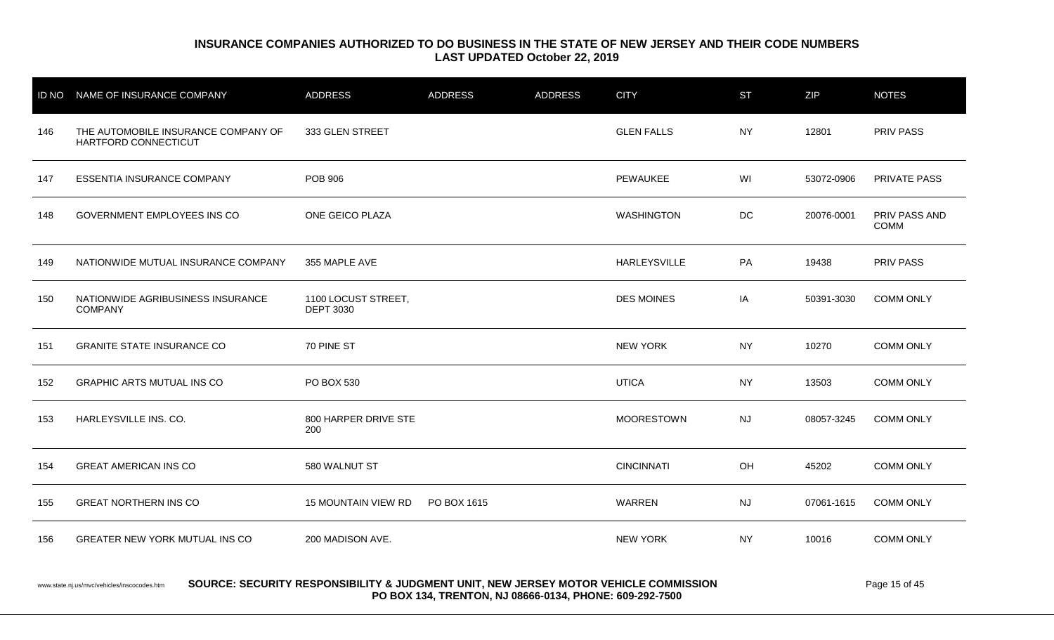|     | ID NO NAME OF INSURANCE COMPANY                             | <b>ADDRESS</b>                          | <b>ADDRESS</b> | <b>ADDRESS</b> | <b>CITY</b>       | <b>ST</b> | <b>ZIP</b> | <b>NOTES</b>                 |
|-----|-------------------------------------------------------------|-----------------------------------------|----------------|----------------|-------------------|-----------|------------|------------------------------|
| 146 | THE AUTOMOBILE INSURANCE COMPANY OF<br>HARTFORD CONNECTICUT | 333 GLEN STREET                         |                |                | <b>GLEN FALLS</b> | <b>NY</b> | 12801      | <b>PRIV PASS</b>             |
| 147 | ESSENTIA INSURANCE COMPANY                                  | <b>POB 906</b>                          |                |                | PEWAUKEE          | WI        | 53072-0906 | <b>PRIVATE PASS</b>          |
| 148 | GOVERNMENT EMPLOYEES INS CO                                 | ONE GEICO PLAZA                         |                |                | <b>WASHINGTON</b> | DC        | 20076-0001 | PRIV PASS AND<br><b>COMM</b> |
| 149 | NATIONWIDE MUTUAL INSURANCE COMPANY                         | 355 MAPLE AVE                           |                |                | HARLEYSVILLE      | PA        | 19438      | PRIV PASS                    |
| 150 | NATIONWIDE AGRIBUSINESS INSURANCE<br><b>COMPANY</b>         | 1100 LOCUST STREET,<br><b>DEPT 3030</b> |                |                | <b>DES MOINES</b> | IA        | 50391-3030 | <b>COMM ONLY</b>             |
| 151 | <b>GRANITE STATE INSURANCE CO</b>                           | 70 PINE ST                              |                |                | <b>NEW YORK</b>   | <b>NY</b> | 10270      | <b>COMM ONLY</b>             |
| 152 | <b>GRAPHIC ARTS MUTUAL INS CO</b>                           | PO BOX 530                              |                |                | <b>UTICA</b>      | <b>NY</b> | 13503      | <b>COMM ONLY</b>             |
| 153 | HARLEYSVILLE INS. CO.                                       | 800 HARPER DRIVE STE<br>200             |                |                | <b>MOORESTOWN</b> | NJ        | 08057-3245 | <b>COMM ONLY</b>             |
| 154 | <b>GREAT AMERICAN INS CO</b>                                | 580 WALNUT ST                           |                |                | <b>CINCINNATI</b> | OH        | 45202      | <b>COMM ONLY</b>             |
| 155 | <b>GREAT NORTHERN INS CO</b>                                | <b>15 MOUNTAIN VIEW RD</b>              | PO BOX 1615    |                | WARREN            | <b>NJ</b> | 07061-1615 | <b>COMM ONLY</b>             |
| 156 | <b>GREATER NEW YORK MUTUAL INS CO</b>                       | 200 MADISON AVE.                        |                |                | <b>NEW YORK</b>   | <b>NY</b> | 10016      | <b>COMM ONLY</b>             |
|     |                                                             |                                         |                |                |                   |           |            |                              |

www.state.nj.us/mvc/vehicles/inscocodes.htm **SOURCE: SECURITY RESPONSIBILITY & JUDGMENT UNIT, NEW JERSEY MOTOR VEHICLE COMMISSION** Page 15 of 45 **PO BOX 134, TRENTON, NJ 08666-0134, PHONE: 609-292-7500**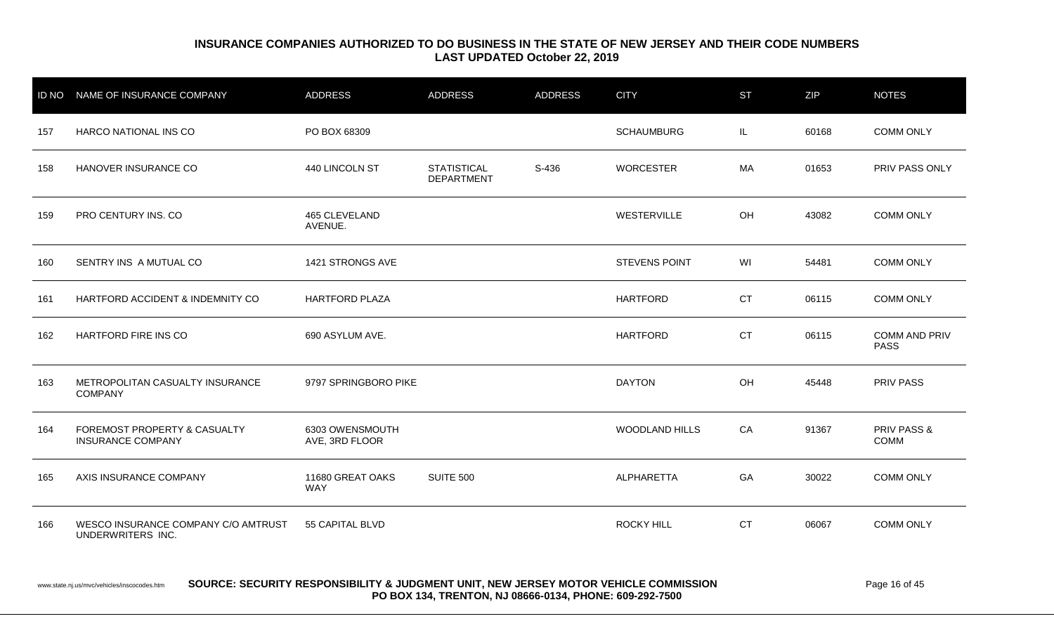| <b>ID NO</b> | NAME OF INSURANCE COMPANY                                | <b>ADDRESS</b>                    | <b>ADDRESS</b>                          | <b>ADDRESS</b> | <b>CITY</b>           | <b>ST</b> | <b>ZIP</b> | <b>NOTES</b>                        |
|--------------|----------------------------------------------------------|-----------------------------------|-----------------------------------------|----------------|-----------------------|-----------|------------|-------------------------------------|
| 157          | HARCO NATIONAL INS CO                                    | PO BOX 68309                      |                                         |                | <b>SCHAUMBURG</b>     | IL        | 60168      | <b>COMM ONLY</b>                    |
| 158          | HANOVER INSURANCE CO                                     | 440 LINCOLN ST                    | <b>STATISTICAL</b><br><b>DEPARTMENT</b> | S-436          | <b>WORCESTER</b>      | МA        | 01653      | PRIV PASS ONLY                      |
| 159          | PRO CENTURY INS. CO                                      | 465 CLEVELAND<br>AVENUE.          |                                         |                | WESTERVILLE           | OH        | 43082      | <b>COMM ONLY</b>                    |
| 160          | SENTRY INS A MUTUAL CO                                   | 1421 STRONGS AVE                  |                                         |                | <b>STEVENS POINT</b>  | WI        | 54481      | <b>COMM ONLY</b>                    |
| 161          | HARTFORD ACCIDENT & INDEMNITY CO                         | <b>HARTFORD PLAZA</b>             |                                         |                | <b>HARTFORD</b>       | <b>CT</b> | 06115      | <b>COMM ONLY</b>                    |
| 162          | <b>HARTFORD FIRE INS CO</b>                              | 690 ASYLUM AVE.                   |                                         |                | <b>HARTFORD</b>       | <b>CT</b> | 06115      | <b>COMM AND PRIV</b><br><b>PASS</b> |
| 163          | METROPOLITAN CASUALTY INSURANCE<br><b>COMPANY</b>        | 9797 SPRINGBORO PIKE              |                                         |                | <b>DAYTON</b>         | OH        | 45448      | <b>PRIV PASS</b>                    |
| 164          | FOREMOST PROPERTY & CASUALTY<br><b>INSURANCE COMPANY</b> | 6303 OWENSMOUTH<br>AVE, 3RD FLOOR |                                         |                | <b>WOODLAND HILLS</b> | CA        | 91367      | PRIV PASS &<br>COMM                 |
| 165          | AXIS INSURANCE COMPANY                                   | 11680 GREAT OAKS<br><b>WAY</b>    | SUITE 500                               |                | ALPHARETTA            | GA        | 30022      | <b>COMM ONLY</b>                    |
| 166          | WESCO INSURANCE COMPANY C/O AMTRUST<br>UNDERWRITERS INC. | 55 CAPITAL BLVD                   |                                         |                | <b>ROCKY HILL</b>     | <b>CT</b> | 06067      | <b>COMM ONLY</b>                    |

#### www.state.nj.us/mvc/vehicles/inscocodes.htm **SOURCE: SECURITY RESPONSIBILITY & JUDGMENT UNIT, NEW JERSEY MOTOR VEHICLE COMMISSION** Page 16 of 45 **PO BOX 134, TRENTON, NJ 08666-0134, PHONE: 609-292-7500**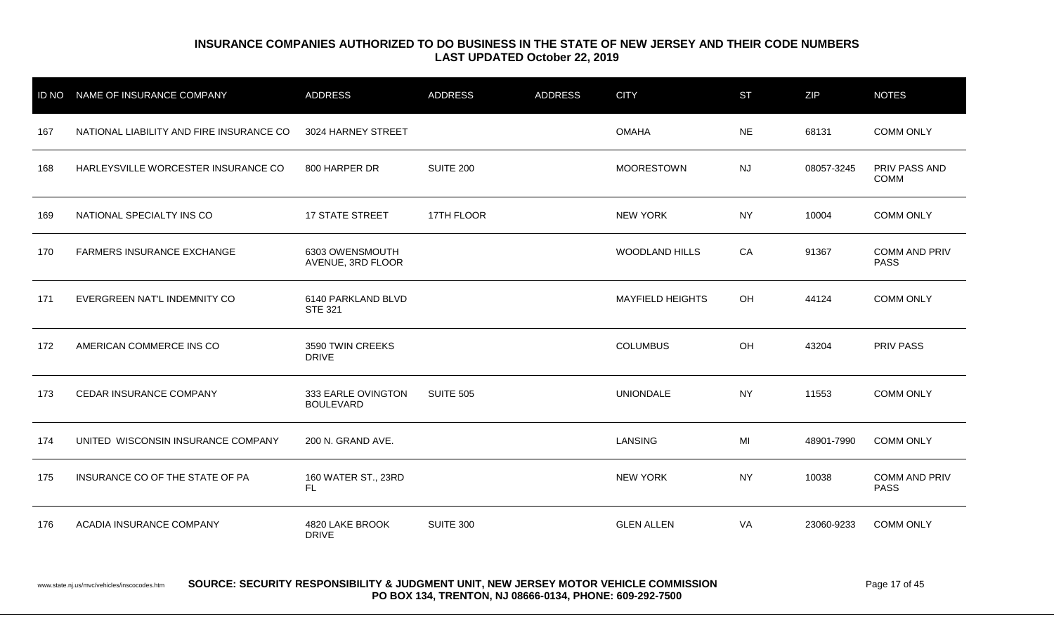| <b>ID NO</b> | NAME OF INSURANCE COMPANY                | <b>ADDRESS</b>                         | <b>ADDRESS</b>   | <b>ADDRESS</b> | <b>CITY</b>             | <b>ST</b> | <b>ZIP</b> | <b>NOTES</b>                        |
|--------------|------------------------------------------|----------------------------------------|------------------|----------------|-------------------------|-----------|------------|-------------------------------------|
| 167          | NATIONAL LIABILITY AND FIRE INSURANCE CO | 3024 HARNEY STREET                     |                  |                | <b>OMAHA</b>            | <b>NE</b> | 68131      | <b>COMM ONLY</b>                    |
| 168          | HARLEYSVILLE WORCESTER INSURANCE CO      | 800 HARPER DR                          | SUITE 200        |                | <b>MOORESTOWN</b>       | <b>NJ</b> | 08057-3245 | PRIV PASS AND<br>COMM               |
| 169          | NATIONAL SPECIALTY INS CO                | <b>17 STATE STREET</b>                 | 17TH FLOOR       |                | <b>NEW YORK</b>         | <b>NY</b> | 10004      | <b>COMM ONLY</b>                    |
| 170          | <b>FARMERS INSURANCE EXCHANGE</b>        | 6303 OWENSMOUTH<br>AVENUE, 3RD FLOOR   |                  |                | <b>WOODLAND HILLS</b>   | CA        | 91367      | <b>COMM AND PRIV</b><br><b>PASS</b> |
| 171          | EVERGREEN NAT'L INDEMNITY CO             | 6140 PARKLAND BLVD<br><b>STE 321</b>   |                  |                | <b>MAYFIELD HEIGHTS</b> | OH        | 44124      | <b>COMM ONLY</b>                    |
| 172          | AMERICAN COMMERCE INS CO                 | 3590 TWIN CREEKS<br><b>DRIVE</b>       |                  |                | <b>COLUMBUS</b>         | OH        | 43204      | <b>PRIV PASS</b>                    |
| 173          | CEDAR INSURANCE COMPANY                  | 333 EARLE OVINGTON<br><b>BOULEVARD</b> | <b>SUITE 505</b> |                | <b>UNIONDALE</b>        | <b>NY</b> | 11553      | <b>COMM ONLY</b>                    |
| 174          | UNITED WISCONSIN INSURANCE COMPANY       | 200 N. GRAND AVE.                      |                  |                | LANSING                 | MI        | 48901-7990 | <b>COMM ONLY</b>                    |
| 175          | INSURANCE CO OF THE STATE OF PA          | 160 WATER ST., 23RD<br>FL.             |                  |                | <b>NEW YORK</b>         | <b>NY</b> | 10038      | <b>COMM AND PRIV</b><br><b>PASS</b> |
| 176          | ACADIA INSURANCE COMPANY                 | 4820 LAKE BROOK<br><b>DRIVE</b>        | SUITE 300        |                | <b>GLEN ALLEN</b>       | VA        | 23060-9233 | <b>COMM ONLY</b>                    |

www.state.nj.us/mvc/vehicles/inscocodes.htm **SOURCE: SECURITY RESPONSIBILITY & JUDGMENT UNIT, NEW JERSEY MOTOR VEHICLE COMMISSION** Page 17 of 45 **PO BOX 134, TRENTON, NJ 08666-0134, PHONE: 609-292-7500**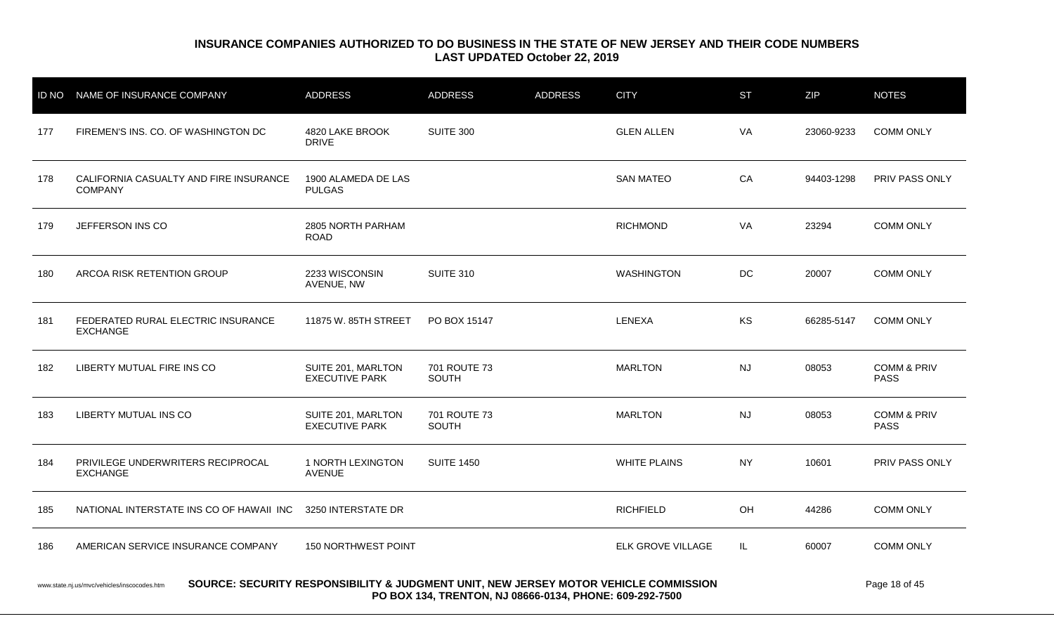|                                                                                                                                                                                                              | ID NO NAME OF INSURANCE COMPANY                          | <b>ADDRESS</b>                              | <b>ADDRESS</b>        | <b>ADDRESS</b> | <b>CITY</b>         | <b>ST</b> | <b>ZIP</b> | <b>NOTES</b>                          |
|--------------------------------------------------------------------------------------------------------------------------------------------------------------------------------------------------------------|----------------------------------------------------------|---------------------------------------------|-----------------------|----------------|---------------------|-----------|------------|---------------------------------------|
| 177                                                                                                                                                                                                          | FIREMEN'S INS. CO. OF WASHINGTON DC                      | 4820 LAKE BROOK<br><b>DRIVE</b>             | SUITE 300             |                | <b>GLEN ALLEN</b>   | VA        | 23060-9233 | <b>COMM ONLY</b>                      |
| 178                                                                                                                                                                                                          | CALIFORNIA CASUALTY AND FIRE INSURANCE<br><b>COMPANY</b> | 1900 ALAMEDA DE LAS<br><b>PULGAS</b>        |                       |                | <b>SAN MATEO</b>    | CA        | 94403-1298 | <b>PRIV PASS ONLY</b>                 |
| 179                                                                                                                                                                                                          | JEFFERSON INS CO                                         | 2805 NORTH PARHAM<br><b>ROAD</b>            |                       |                | <b>RICHMOND</b>     | VA        | 23294      | <b>COMM ONLY</b>                      |
| 180                                                                                                                                                                                                          | ARCOA RISK RETENTION GROUP                               | 2233 WISCONSIN<br>AVENUE, NW                | <b>SUITE 310</b>      |                | <b>WASHINGTON</b>   | DC        | 20007      | <b>COMM ONLY</b>                      |
| 181                                                                                                                                                                                                          | FEDERATED RURAL ELECTRIC INSURANCE<br><b>EXCHANGE</b>    | 11875 W. 85TH STREET                        | PO BOX 15147          |                | LENEXA              | <b>KS</b> | 66285-5147 | <b>COMM ONLY</b>                      |
| 182                                                                                                                                                                                                          | LIBERTY MUTUAL FIRE INS CO                               | SUITE 201, MARLTON<br><b>EXECUTIVE PARK</b> | 701 ROUTE 73<br>SOUTH |                | <b>MARLTON</b>      | <b>NJ</b> | 08053      | <b>COMM &amp; PRIV</b><br><b>PASS</b> |
| 183                                                                                                                                                                                                          | LIBERTY MUTUAL INS CO                                    | SUITE 201, MARLTON<br><b>EXECUTIVE PARK</b> | 701 ROUTE 73<br>SOUTH |                | <b>MARLTON</b>      | <b>NJ</b> | 08053      | <b>COMM &amp; PRIV</b><br><b>PASS</b> |
| 184                                                                                                                                                                                                          | PRIVILEGE UNDERWRITERS RECIPROCAL<br><b>EXCHANGE</b>     | 1 NORTH LEXINGTON<br><b>AVENUE</b>          | <b>SUITE 1450</b>     |                | <b>WHITE PLAINS</b> | <b>NY</b> | 10601      | PRIV PASS ONLY                        |
| 185                                                                                                                                                                                                          | NATIONAL INTERSTATE INS CO OF HAWAII INC                 | 3250 INTERSTATE DR                          |                       |                | <b>RICHFIELD</b>    | OH        | 44286      | <b>COMM ONLY</b>                      |
| 186                                                                                                                                                                                                          | AMERICAN SERVICE INSURANCE COMPANY                       | 150 NORTHWEST POINT                         |                       |                | ELK GROVE VILLAGE   | IL.       | 60007      | <b>COMM ONLY</b>                      |
| SOURCE: SECURITY RESPONSIBILITY & JUDGMENT UNIT, NEW JERSEY MOTOR VEHICLE COMMISSION<br>Page 18 of 45<br>www.state.nj.us/mvc/vehicles/inscocodes.htm<br>DO DOV 404 TRENTON NU 00000 0404 BUONE, COO 200 7500 |                                                          |                                             |                       |                |                     |           |            |                                       |

**PO BOX 134, TRENTON, NJ 08666-0134, PHONE: 609-292-7500**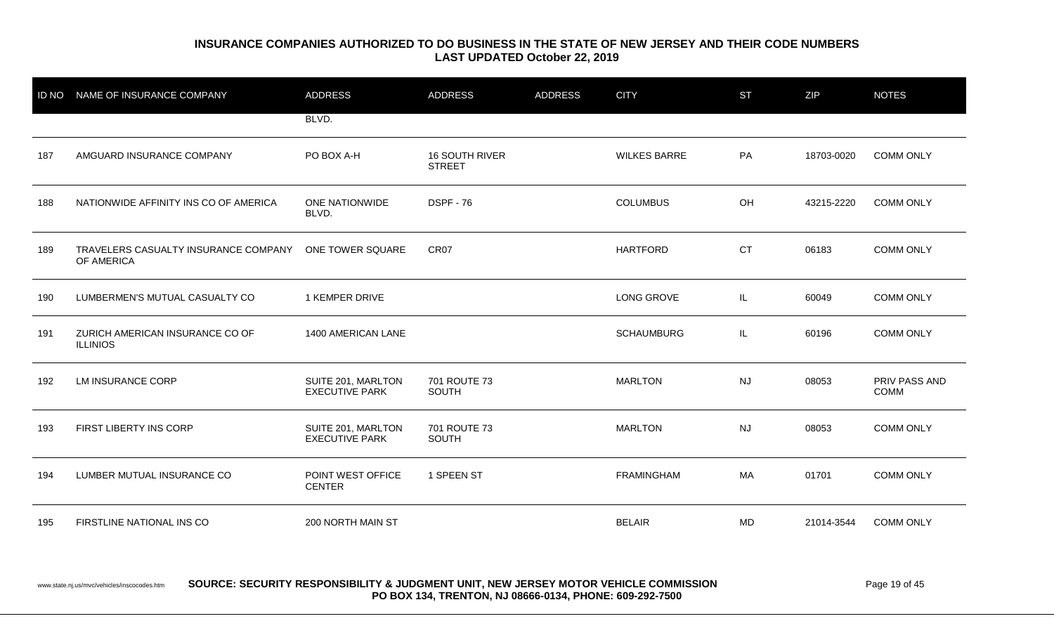| <b>ID NO</b> | NAME OF INSURANCE COMPANY                          | <b>ADDRESS</b>                              | <b>ADDRESS</b>                         | <b>ADDRESS</b> | <b>CITY</b>         | <b>ST</b> | ZIP        | <b>NOTES</b>                 |
|--------------|----------------------------------------------------|---------------------------------------------|----------------------------------------|----------------|---------------------|-----------|------------|------------------------------|
|              |                                                    | BLVD.                                       |                                        |                |                     |           |            |                              |
| 187          | AMGUARD INSURANCE COMPANY                          | PO BOX A-H                                  | <b>16 SOUTH RIVER</b><br><b>STREET</b> |                | <b>WILKES BARRE</b> | PA        | 18703-0020 | <b>COMM ONLY</b>             |
| 188          | NATIONWIDE AFFINITY INS CO OF AMERICA              | ONE NATIONWIDE<br>BLVD.                     | <b>DSPF - 76</b>                       |                | <b>COLUMBUS</b>     | OH        | 43215-2220 | <b>COMM ONLY</b>             |
| 189          | TRAVELERS CASUALTY INSURANCE COMPANY<br>OF AMERICA | ONE TOWER SQUARE                            | CR07                                   |                | <b>HARTFORD</b>     | <b>CT</b> | 06183      | <b>COMM ONLY</b>             |
| 190          | LUMBERMEN'S MUTUAL CASUALTY CO                     | 1 KEMPER DRIVE                              |                                        |                | <b>LONG GROVE</b>   | IL        | 60049      | <b>COMM ONLY</b>             |
| 191          | ZURICH AMERICAN INSURANCE CO OF<br><b>ILLINIOS</b> | 1400 AMERICAN LANE                          |                                        |                | <b>SCHAUMBURG</b>   | IL        | 60196      | <b>COMM ONLY</b>             |
| 192          | <b>LM INSURANCE CORP</b>                           | SUITE 201, MARLTON<br><b>EXECUTIVE PARK</b> | 701 ROUTE 73<br>SOUTH                  |                | <b>MARLTON</b>      | <b>NJ</b> | 08053      | PRIV PASS AND<br><b>COMM</b> |
| 193          | FIRST LIBERTY INS CORP                             | SUITE 201, MARLTON<br><b>EXECUTIVE PARK</b> | 701 ROUTE 73<br><b>SOUTH</b>           |                | <b>MARLTON</b>      | <b>NJ</b> | 08053      | <b>COMM ONLY</b>             |
| 194          | LUMBER MUTUAL INSURANCE CO                         | POINT WEST OFFICE<br><b>CENTER</b>          | 1 SPEEN ST                             |                | <b>FRAMINGHAM</b>   | MA        | 01701      | <b>COMM ONLY</b>             |
| 195          | FIRSTLINE NATIONAL INS CO                          | 200 NORTH MAIN ST                           |                                        |                | <b>BELAIR</b>       | MD        | 21014-3544 | <b>COMM ONLY</b>             |

#### www.state.nj.us/mvc/vehicles/inscocodes.htm **SOURCE: SECURITY RESPONSIBILITY & JUDGMENT UNIT, NEW JERSEY MOTOR VEHICLE COMMISSION** Page 19 of 45 **PO BOX 134, TRENTON, NJ 08666-0134, PHONE: 609-292-7500**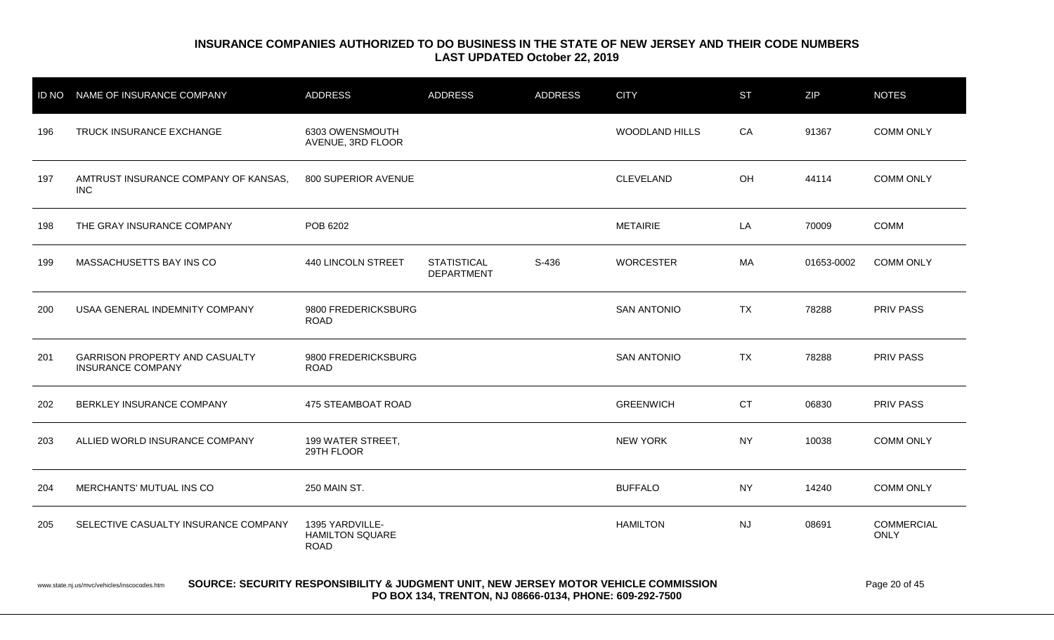| ID NO | NAME OF INSURANCE COMPANY                                         | <b>ADDRESS</b>                                           | <b>ADDRESS</b>                          | <b>ADDRESS</b> | <b>CITY</b>           | <b>ST</b> | ZIP        | <b>NOTES</b>                     |
|-------|-------------------------------------------------------------------|----------------------------------------------------------|-----------------------------------------|----------------|-----------------------|-----------|------------|----------------------------------|
| 196   | TRUCK INSURANCE EXCHANGE                                          | 6303 OWENSMOUTH<br>AVENUE, 3RD FLOOR                     |                                         |                | <b>WOODLAND HILLS</b> | CA        | 91367      | <b>COMM ONLY</b>                 |
| 197   | AMTRUST INSURANCE COMPANY OF KANSAS.<br><b>INC</b>                | 800 SUPERIOR AVENUE                                      |                                         |                | CLEVELAND             | OH        | 44114      | <b>COMM ONLY</b>                 |
| 198   | THE GRAY INSURANCE COMPANY                                        | POB 6202                                                 |                                         |                | <b>METAIRIE</b>       | LA        | 70009      | <b>COMM</b>                      |
| 199   | MASSACHUSETTS BAY INS CO                                          | 440 LINCOLN STREET                                       | <b>STATISTICAL</b><br><b>DEPARTMENT</b> | S-436          | <b>WORCESTER</b>      | МA        | 01653-0002 | <b>COMM ONLY</b>                 |
| 200   | USAA GENERAL INDEMNITY COMPANY                                    | 9800 FREDERICKSBURG<br><b>ROAD</b>                       |                                         |                | <b>SAN ANTONIO</b>    | <b>TX</b> | 78288      | <b>PRIV PASS</b>                 |
| 201   | <b>GARRISON PROPERTY AND CASUALTY</b><br><b>INSURANCE COMPANY</b> | 9800 FREDERICKSBURG<br><b>ROAD</b>                       |                                         |                | <b>SAN ANTONIO</b>    | <b>TX</b> | 78288      | PRIV PASS                        |
| 202   | BERKLEY INSURANCE COMPANY                                         | <b>475 STEAMBOAT ROAD</b>                                |                                         |                | <b>GREENWICH</b>      | <b>CT</b> | 06830      | PRIV PASS                        |
| 203   | ALLIED WORLD INSURANCE COMPANY                                    | 199 WATER STREET,<br>29TH FLOOR                          |                                         |                | <b>NEW YORK</b>       | <b>NY</b> | 10038      | <b>COMM ONLY</b>                 |
| 204   | MERCHANTS' MUTUAL INS CO                                          | 250 MAIN ST.                                             |                                         |                | <b>BUFFALO</b>        | <b>NY</b> | 14240      | <b>COMM ONLY</b>                 |
| 205   | SELECTIVE CASUALTY INSURANCE COMPANY                              | 1395 YARDVILLE-<br><b>HAMILTON SQUARE</b><br><b>ROAD</b> |                                         |                | <b>HAMILTON</b>       | <b>NJ</b> | 08691      | <b>COMMERCIAL</b><br><b>ONLY</b> |

#### www.state.nj.us/mvc/vehicles/inscocodes.htm **SOURCE: SECURITY RESPONSIBILITY & JUDGMENT UNIT, NEW JERSEY MOTOR VEHICLE COMMISSION** Page 20 of 45 **PO BOX 134, TRENTON, NJ 08666-0134, PHONE: 609-292-7500**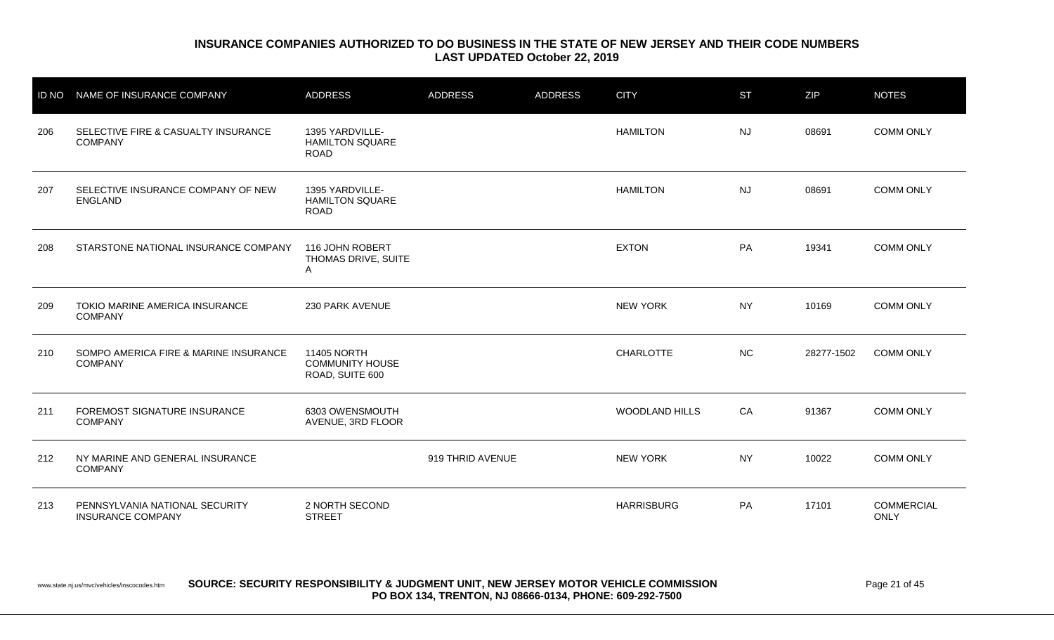|     | ID NO NAME OF INSURANCE COMPANY                            | <b>ADDRESS</b>                                           | <b>ADDRESS</b>   | <b>ADDRESS</b> | <b>CITY</b>           | <b>ST</b> | ZIP        | <b>NOTES</b>                     |
|-----|------------------------------------------------------------|----------------------------------------------------------|------------------|----------------|-----------------------|-----------|------------|----------------------------------|
| 206 | SELECTIVE FIRE & CASUALTY INSURANCE<br><b>COMPANY</b>      | 1395 YARDVILLE-<br><b>HAMILTON SQUARE</b><br><b>ROAD</b> |                  |                | <b>HAMILTON</b>       | <b>NJ</b> | 08691      | <b>COMM ONLY</b>                 |
| 207 | SELECTIVE INSURANCE COMPANY OF NEW<br><b>ENGLAND</b>       | 1395 YARDVILLE-<br><b>HAMILTON SQUARE</b><br><b>ROAD</b> |                  |                | <b>HAMILTON</b>       | <b>NJ</b> | 08691      | <b>COMM ONLY</b>                 |
| 208 | STARSTONE NATIONAL INSURANCE COMPANY                       | 116 JOHN ROBERT<br>THOMAS DRIVE, SUITE<br>A              |                  |                | <b>EXTON</b>          | PA        | 19341      | <b>COMM ONLY</b>                 |
| 209 | TOKIO MARINE AMERICA INSURANCE<br><b>COMPANY</b>           | 230 PARK AVENUE                                          |                  |                | <b>NEW YORK</b>       | <b>NY</b> | 10169      | <b>COMM ONLY</b>                 |
| 210 | SOMPO AMERICA FIRE & MARINE INSURANCE<br><b>COMPANY</b>    | 11405 NORTH<br><b>COMMUNITY HOUSE</b><br>ROAD, SUITE 600 |                  |                | <b>CHARLOTTE</b>      | NC        | 28277-1502 | <b>COMM ONLY</b>                 |
| 211 | FOREMOST SIGNATURE INSURANCE<br><b>COMPANY</b>             | 6303 OWENSMOUTH<br>AVENUE, 3RD FLOOR                     |                  |                | <b>WOODLAND HILLS</b> | CA        | 91367      | <b>COMM ONLY</b>                 |
| 212 | NY MARINE AND GENERAL INSURANCE<br><b>COMPANY</b>          |                                                          | 919 THRID AVENUE |                | <b>NEW YORK</b>       | <b>NY</b> | 10022      | <b>COMM ONLY</b>                 |
| 213 | PENNSYLVANIA NATIONAL SECURITY<br><b>INSURANCE COMPANY</b> | 2 NORTH SECOND<br><b>STREET</b>                          |                  |                | <b>HARRISBURG</b>     | PA        | 17101      | <b>COMMERCIAL</b><br><b>ONLY</b> |

www.state.nj.us/mvc/vehicles/inscocodes.htm **SOURCE: SECURITY RESPONSIBILITY & JUDGMENT UNIT, NEW JERSEY MOTOR VEHICLE COMMISSION** Page 21 of 45 **PO BOX 134, TRENTON, NJ 08666-0134, PHONE: 609-292-7500**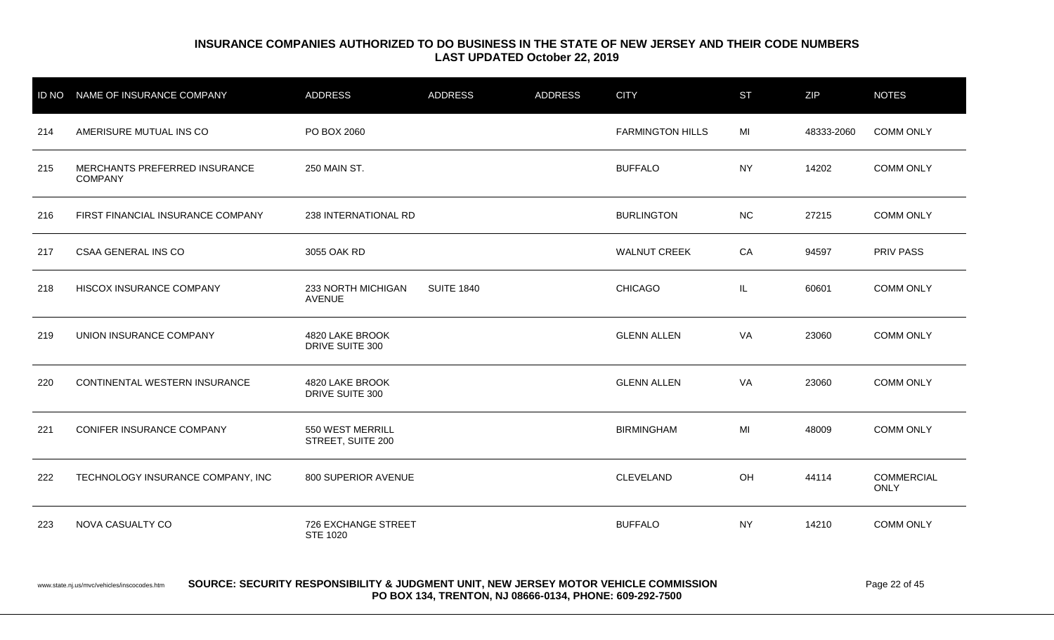| <b>ID NO</b> | NAME OF INSURANCE COMPANY                       | <b>ADDRESS</b>                        | <b>ADDRESS</b>    | <b>ADDRESS</b> | <b>CITY</b>             | <b>ST</b> | <b>ZIP</b> | <b>NOTES</b>                     |
|--------------|-------------------------------------------------|---------------------------------------|-------------------|----------------|-------------------------|-----------|------------|----------------------------------|
| 214          | AMERISURE MUTUAL INS CO                         | PO BOX 2060                           |                   |                | <b>FARMINGTON HILLS</b> | MI        | 48333-2060 | <b>COMM ONLY</b>                 |
| 215          | MERCHANTS PREFERRED INSURANCE<br><b>COMPANY</b> | 250 MAIN ST.                          |                   |                | <b>BUFFALO</b>          | <b>NY</b> | 14202      | <b>COMM ONLY</b>                 |
| 216          | FIRST FINANCIAL INSURANCE COMPANY               | 238 INTERNATIONAL RD                  |                   |                | <b>BURLINGTON</b>       | <b>NC</b> | 27215      | <b>COMM ONLY</b>                 |
| 217          | CSAA GENERAL INS CO                             | 3055 OAK RD                           |                   |                | <b>WALNUT CREEK</b>     | CA        | 94597      | PRIV PASS                        |
| 218          | HISCOX INSURANCE COMPANY                        | 233 NORTH MICHIGAN<br><b>AVENUE</b>   | <b>SUITE 1840</b> |                | <b>CHICAGO</b>          | IL.       | 60601      | <b>COMM ONLY</b>                 |
| 219          | UNION INSURANCE COMPANY                         | 4820 LAKE BROOK<br>DRIVE SUITE 300    |                   |                | <b>GLENN ALLEN</b>      | VA        | 23060      | <b>COMM ONLY</b>                 |
| 220          | CONTINENTAL WESTERN INSURANCE                   | 4820 LAKE BROOK<br>DRIVE SUITE 300    |                   |                | <b>GLENN ALLEN</b>      | VA        | 23060      | <b>COMM ONLY</b>                 |
| 221          | CONIFER INSURANCE COMPANY                       | 550 WEST MERRILL<br>STREET, SUITE 200 |                   |                | <b>BIRMINGHAM</b>       | MI        | 48009      | <b>COMM ONLY</b>                 |
| 222          | TECHNOLOGY INSURANCE COMPANY, INC               | 800 SUPERIOR AVENUE                   |                   |                | CLEVELAND               | OH        | 44114      | <b>COMMERCIAL</b><br><b>ONLY</b> |
| 223          | NOVA CASUALTY CO                                | 726 EXCHANGE STREET<br>STE 1020       |                   |                | <b>BUFFALO</b>          | <b>NY</b> | 14210      | <b>COMM ONLY</b>                 |

#### www.state.nj.us/mvc/vehicles/inscocodes.htm **SOURCE: SECURITY RESPONSIBILITY & JUDGMENT UNIT, NEW JERSEY MOTOR VEHICLE COMMISSION** Page 22 of 45 **PO BOX 134, TRENTON, NJ 08666-0134, PHONE: 609-292-7500**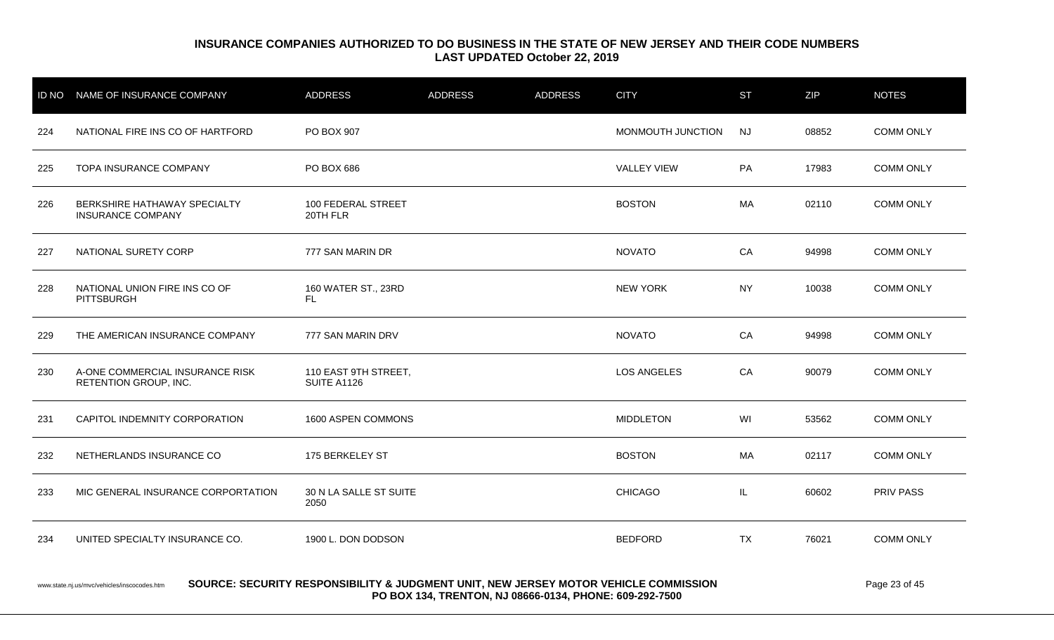|     | ID NO NAME OF INSURANCE COMPANY                          | ADDRESS                             | <b>ADDRESS</b> | <b>ADDRESS</b> | <b>CITY</b>        | <b>ST</b> | <b>ZIP</b> | <b>NOTES</b>     |
|-----|----------------------------------------------------------|-------------------------------------|----------------|----------------|--------------------|-----------|------------|------------------|
| 224 | NATIONAL FIRE INS CO OF HARTFORD                         | PO BOX 907                          |                |                | MONMOUTH JUNCTION  | <b>NJ</b> | 08852      | <b>COMM ONLY</b> |
| 225 | <b>TOPA INSURANCE COMPANY</b>                            | <b>PO BOX 686</b>                   |                |                | <b>VALLEY VIEW</b> | PA        | 17983      | <b>COMM ONLY</b> |
| 226 | BERKSHIRE HATHAWAY SPECIALTY<br><b>INSURANCE COMPANY</b> | 100 FEDERAL STREET<br>20TH FLR      |                |                | <b>BOSTON</b>      | MA        | 02110      | <b>COMM ONLY</b> |
| 227 | NATIONAL SURETY CORP                                     | 777 SAN MARIN DR                    |                |                | <b>NOVATO</b>      | CA        | 94998      | <b>COMM ONLY</b> |
| 228 | NATIONAL UNION FIRE INS CO OF<br><b>PITTSBURGH</b>       | 160 WATER ST., 23RD<br>FL.          |                |                | <b>NEW YORK</b>    | <b>NY</b> | 10038      | <b>COMM ONLY</b> |
| 229 | THE AMERICAN INSURANCE COMPANY                           | 777 SAN MARIN DRV                   |                |                | <b>NOVATO</b>      | CA        | 94998      | <b>COMM ONLY</b> |
| 230 | A-ONE COMMERCIAL INSURANCE RISK<br>RETENTION GROUP, INC. | 110 EAST 9TH STREET,<br>SUITE A1126 |                |                | <b>LOS ANGELES</b> | CA        | 90079      | <b>COMM ONLY</b> |
| 231 | CAPITOL INDEMNITY CORPORATION                            | 1600 ASPEN COMMONS                  |                |                | <b>MIDDLETON</b>   | WI        | 53562      | <b>COMM ONLY</b> |
| 232 | NETHERLANDS INSURANCE CO                                 | 175 BERKELEY ST                     |                |                | <b>BOSTON</b>      | MA        | 02117      | <b>COMM ONLY</b> |
| 233 | MIC GENERAL INSURANCE CORPORTATION                       | 30 N LA SALLE ST SUITE<br>2050      |                |                | <b>CHICAGO</b>     | IL.       | 60602      | <b>PRIV PASS</b> |
| 234 | UNITED SPECIALTY INSURANCE CO.                           | 1900 L. DON DODSON                  |                |                | <b>BEDFORD</b>     | <b>TX</b> | 76021      | <b>COMM ONLY</b> |
|     |                                                          |                                     |                |                |                    |           |            |                  |

#### www.state.nj.us/mvc/vehicles/inscocodes.htm **SOURCE: SECURITY RESPONSIBILITY & JUDGMENT UNIT, NEW JERSEY MOTOR VEHICLE COMMISSION** Page 23 of 45 **PO BOX 134, TRENTON, NJ 08666-0134, PHONE: 609-292-7500**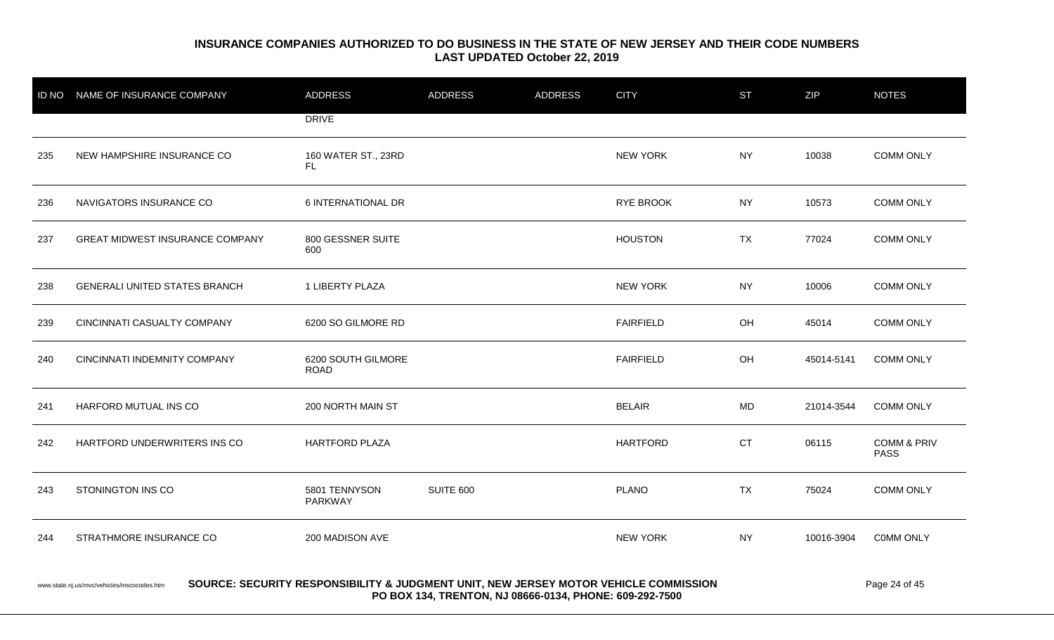|     | ID NO NAME OF INSURANCE COMPANY             | <b>ADDRESS</b>                                                                       | ADDRESS   | <b>ADDRESS</b> | <b>CITY</b>      | <b>ST</b> | <b>ZIP</b> | <b>NOTES</b>                          |
|-----|---------------------------------------------|--------------------------------------------------------------------------------------|-----------|----------------|------------------|-----------|------------|---------------------------------------|
|     |                                             | <b>DRIVE</b>                                                                         |           |                |                  |           |            |                                       |
| 235 | NEW HAMPSHIRE INSURANCE CO                  | 160 WATER ST., 23RD<br>FL.                                                           |           |                | <b>NEW YORK</b>  | <b>NY</b> | 10038      | <b>COMM ONLY</b>                      |
| 236 | NAVIGATORS INSURANCE CO                     | 6 INTERNATIONAL DR                                                                   |           |                | RYE BROOK        | <b>NY</b> | 10573      | <b>COMM ONLY</b>                      |
| 237 | <b>GREAT MIDWEST INSURANCE COMPANY</b>      | 800 GESSNER SUITE<br>600                                                             |           |                | <b>HOUSTON</b>   | <b>TX</b> | 77024      | <b>COMM ONLY</b>                      |
| 238 | <b>GENERALI UNITED STATES BRANCH</b>        | 1 LIBERTY PLAZA                                                                      |           |                | <b>NEW YORK</b>  | <b>NY</b> | 10006      | <b>COMM ONLY</b>                      |
| 239 | CINCINNATI CASUALTY COMPANY                 | 6200 SO GILMORE RD                                                                   |           |                | <b>FAIRFIELD</b> | OH        | 45014      | <b>COMM ONLY</b>                      |
| 240 | CINCINNATI INDEMNITY COMPANY                | 6200 SOUTH GILMORE<br><b>ROAD</b>                                                    |           |                | <b>FAIRFIELD</b> | OH        | 45014-5141 | <b>COMM ONLY</b>                      |
| 241 | HARFORD MUTUAL INS CO                       | 200 NORTH MAIN ST                                                                    |           |                | <b>BELAIR</b>    | MD        | 21014-3544 | <b>COMM ONLY</b>                      |
| 242 | HARTFORD UNDERWRITERS INS CO                | <b>HARTFORD PLAZA</b>                                                                |           |                | <b>HARTFORD</b>  | <b>CT</b> | 06115      | <b>COMM &amp; PRIV</b><br><b>PASS</b> |
| 243 | STONINGTON INS CO                           | 5801 TENNYSON<br>PARKWAY                                                             | SUITE 600 |                | <b>PLANO</b>     | <b>TX</b> | 75024      | <b>COMM ONLY</b>                      |
| 244 | STRATHMORE INSURANCE CO                     | 200 MADISON AVE                                                                      |           |                | <b>NEW YORK</b>  | <b>NY</b> | 10016-3904 | COMM ONLY                             |
|     | www.state.nj.us/mvc/vehicles/inscocodes.htm | SOURCE: SECURITY RESPONSIBILITY & JUDGMENT UNIT, NEW JERSEY MOTOR VEHICLE COMMISSION |           |                |                  |           |            | Page 24 of 45                         |

**PO BOX 134, TRENTON, NJ 08666-0134, PHONE: 609-292-7500**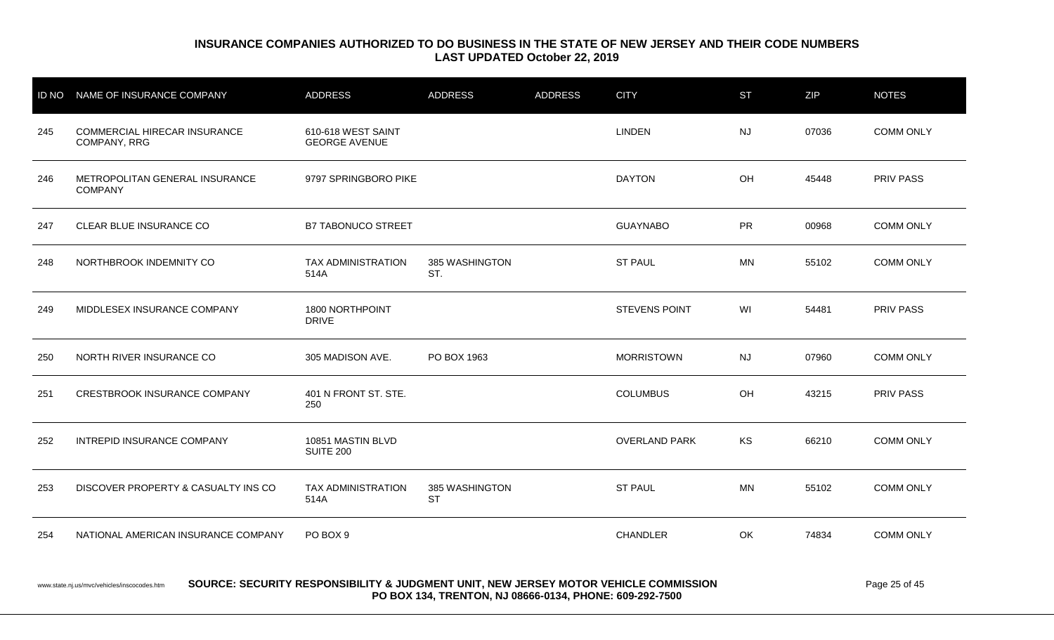|     | ID NO NAME OF INSURANCE COMPANY                  | <b>ADDRESS</b>                                                                           | <b>ADDRESS</b>              | <b>ADDRESS</b> | <b>CITY</b>          | <b>ST</b> | <b>ZIP</b> | <b>NOTES</b>     |
|-----|--------------------------------------------------|------------------------------------------------------------------------------------------|-----------------------------|----------------|----------------------|-----------|------------|------------------|
| 245 | COMMERCIAL HIRECAR INSURANCE<br>COMPANY, RRG     | 610-618 WEST SAINT<br><b>GEORGE AVENUE</b>                                               |                             |                | <b>LINDEN</b>        | <b>NJ</b> | 07036      | <b>COMM ONLY</b> |
| 246 | METROPOLITAN GENERAL INSURANCE<br><b>COMPANY</b> | 9797 SPRINGBORO PIKE                                                                     |                             |                | <b>DAYTON</b>        | OH        | 45448      | <b>PRIV PASS</b> |
| 247 | CLEAR BLUE INSURANCE CO                          | <b>B7 TABONUCO STREET</b>                                                                |                             |                | <b>GUAYNABO</b>      | <b>PR</b> | 00968      | <b>COMM ONLY</b> |
| 248 | NORTHBROOK INDEMNITY CO                          | <b>TAX ADMINISTRATION</b><br>514A                                                        | 385 WASHINGTON<br>ST.       |                | <b>ST PAUL</b>       | <b>MN</b> | 55102      | <b>COMM ONLY</b> |
| 249 | MIDDLESEX INSURANCE COMPANY                      | 1800 NORTHPOINT<br><b>DRIVE</b>                                                          |                             |                | <b>STEVENS POINT</b> | WI        | 54481      | PRIV PASS        |
| 250 | NORTH RIVER INSURANCE CO                         | 305 MADISON AVE.                                                                         | PO BOX 1963                 |                | <b>MORRISTOWN</b>    | <b>NJ</b> | 07960      | <b>COMM ONLY</b> |
| 251 | CRESTBROOK INSURANCE COMPANY                     | 401 N FRONT ST. STE.<br>250                                                              |                             |                | <b>COLUMBUS</b>      | OH        | 43215      | PRIV PASS        |
| 252 | INTREPID INSURANCE COMPANY                       | 10851 MASTIN BLVD<br><b>SUITE 200</b>                                                    |                             |                | <b>OVERLAND PARK</b> | KS        | 66210      | <b>COMM ONLY</b> |
| 253 | DISCOVER PROPERTY & CASUALTY INS CO              | <b>TAX ADMINISTRATION</b><br>514A                                                        | 385 WASHINGTON<br><b>ST</b> |                | <b>ST PAUL</b>       | <b>MN</b> | 55102      | <b>COMM ONLY</b> |
| 254 | NATIONAL AMERICAN INSURANCE COMPANY              | PO BOX 9                                                                                 |                             |                | CHANDLER             | OK        | 74834      | <b>COMM ONLY</b> |
|     |                                                  | ASUBAE, AFAIIBITY BEABANAIBILITY A. UIBANENT UNIT, NEW JEBAEV NATAB VELIJALE AANNIAAIAN. |                             |                |                      |           |            | $    -$          |

www.state.nj.us/mvc/vehicles/inscocodes.htm **SOURCE: SECURITY RESPONSIBILITY & JUDGMENT UNIT, NEW JERSEY MOTOR VEHICLE COMMISSION** Page 25 of 45 **PO BOX 134, TRENTON, NJ 08666-0134, PHONE: 609-292-7500**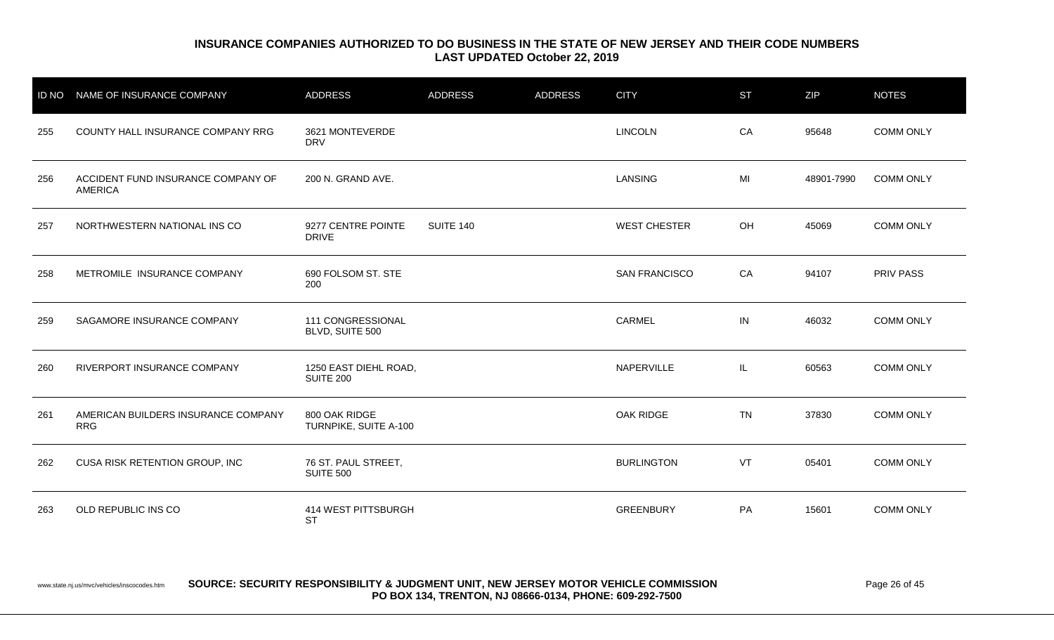| <b>ID NO</b> | NAME OF INSURANCE COMPANY                            | <b>ADDRESS</b>                          | <b>ADDRESS</b>   | <b>ADDRESS</b> | <b>CITY</b>          | <b>ST</b> | <b>ZIP</b> | <b>NOTES</b>     |
|--------------|------------------------------------------------------|-----------------------------------------|------------------|----------------|----------------------|-----------|------------|------------------|
| 255          | COUNTY HALL INSURANCE COMPANY RRG                    | 3621 MONTEVERDE<br><b>DRV</b>           |                  |                | <b>LINCOLN</b>       | CA        | 95648      | <b>COMM ONLY</b> |
| 256          | ACCIDENT FUND INSURANCE COMPANY OF<br><b>AMERICA</b> | 200 N. GRAND AVE.                       |                  |                | LANSING              | MI        | 48901-7990 | <b>COMM ONLY</b> |
| 257          | NORTHWESTERN NATIONAL INS CO                         | 9277 CENTRE POINTE<br><b>DRIVE</b>      | <b>SUITE 140</b> |                | <b>WEST CHESTER</b>  | OH        | 45069      | <b>COMM ONLY</b> |
| 258          | METROMILE INSURANCE COMPANY                          | 690 FOLSOM ST. STE<br>200               |                  |                | <b>SAN FRANCISCO</b> | CA        | 94107      | <b>PRIV PASS</b> |
| 259          | SAGAMORE INSURANCE COMPANY                           | 111 CONGRESSIONAL<br>BLVD, SUITE 500    |                  |                | CARMEL               | IN        | 46032      | <b>COMM ONLY</b> |
| 260          | RIVERPORT INSURANCE COMPANY                          | 1250 EAST DIEHL ROAD,<br>SUITE 200      |                  |                | NAPERVILLE           | IL        | 60563      | <b>COMM ONLY</b> |
| 261          | AMERICAN BUILDERS INSURANCE COMPANY<br><b>RRG</b>    | 800 OAK RIDGE<br>TURNPIKE, SUITE A-100  |                  |                | OAK RIDGE            | <b>TN</b> | 37830      | <b>COMM ONLY</b> |
| 262          | CUSA RISK RETENTION GROUP, INC                       | 76 ST. PAUL STREET,<br><b>SUITE 500</b> |                  |                | <b>BURLINGTON</b>    | VT        | 05401      | <b>COMM ONLY</b> |
| 263          | OLD REPUBLIC INS CO                                  | 414 WEST PITTSBURGH<br><b>ST</b>        |                  |                | <b>GREENBURY</b>     | PA        | 15601      | <b>COMM ONLY</b> |

www.state.nj.us/mvc/vehicles/inscocodes.htm **SOURCE: SECURITY RESPONSIBILITY & JUDGMENT UNIT, NEW JERSEY MOTOR VEHICLE COMMISSION** Page 26 of 45 **PO BOX 134, TRENTON, NJ 08666-0134, PHONE: 609-292-7500**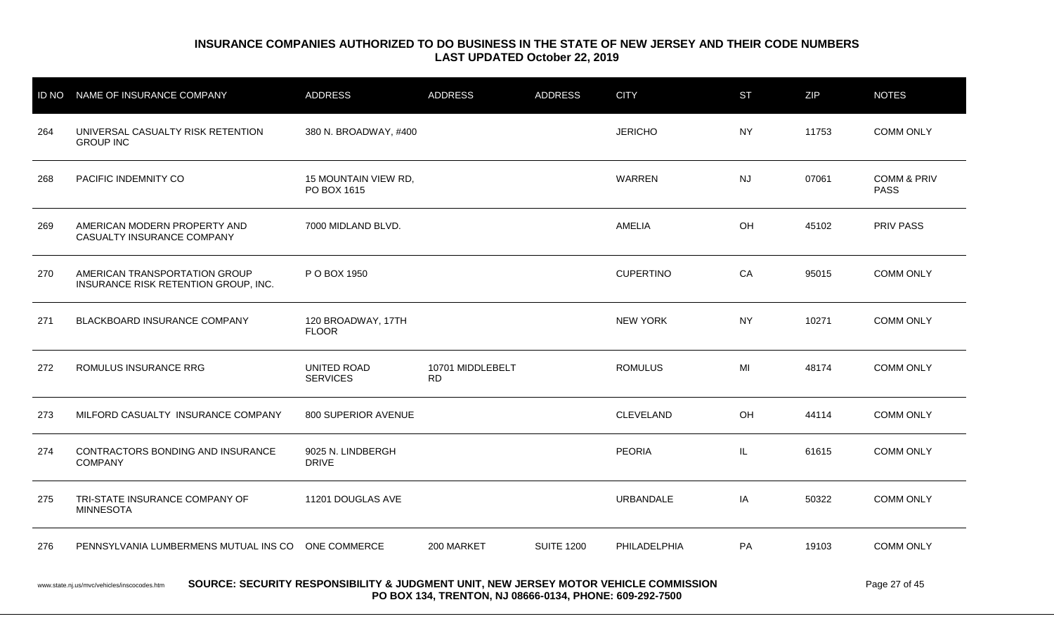|                                                                                                                                                      | ID NO NAME OF INSURANCE COMPANY                                       | <b>ADDRESS</b>                      | ADDRESS                       | <b>ADDRESS</b>    | <b>CITY</b>      | <b>ST</b> | <b>ZIP</b> | <b>NOTES</b>                          |
|------------------------------------------------------------------------------------------------------------------------------------------------------|-----------------------------------------------------------------------|-------------------------------------|-------------------------------|-------------------|------------------|-----------|------------|---------------------------------------|
| 264                                                                                                                                                  | UNIVERSAL CASUALTY RISK RETENTION<br><b>GROUP INC</b>                 | 380 N. BROADWAY, #400               |                               |                   | <b>JERICHO</b>   | <b>NY</b> | 11753      | <b>COMM ONLY</b>                      |
| 268                                                                                                                                                  | PACIFIC INDEMNITY CO                                                  | 15 MOUNTAIN VIEW RD,<br>PO BOX 1615 |                               |                   | <b>WARREN</b>    | <b>NJ</b> | 07061      | <b>COMM &amp; PRIV</b><br><b>PASS</b> |
| 269                                                                                                                                                  | AMERICAN MODERN PROPERTY AND<br>CASUALTY INSURANCE COMPANY            | 7000 MIDLAND BLVD.                  |                               |                   | <b>AMELIA</b>    | OH        | 45102      | <b>PRIV PASS</b>                      |
| 270                                                                                                                                                  | AMERICAN TRANSPORTATION GROUP<br>INSURANCE RISK RETENTION GROUP, INC. | P O BOX 1950                        |                               |                   | <b>CUPERTINO</b> | CA        | 95015      | <b>COMM ONLY</b>                      |
| 271                                                                                                                                                  | BLACKBOARD INSURANCE COMPANY                                          | 120 BROADWAY, 17TH<br><b>FLOOR</b>  |                               |                   | <b>NEW YORK</b>  | <b>NY</b> | 10271      | <b>COMM ONLY</b>                      |
| 272                                                                                                                                                  | ROMULUS INSURANCE RRG                                                 | UNITED ROAD<br><b>SERVICES</b>      | 10701 MIDDLEBELT<br><b>RD</b> |                   | <b>ROMULUS</b>   | MI        | 48174      | <b>COMM ONLY</b>                      |
| 273                                                                                                                                                  | MILFORD CASUALTY INSURANCE COMPANY                                    | 800 SUPERIOR AVENUE                 |                               |                   | <b>CLEVELAND</b> | OH        | 44114      | <b>COMM ONLY</b>                      |
| 274                                                                                                                                                  | CONTRACTORS BONDING AND INSURANCE<br><b>COMPANY</b>                   | 9025 N. LINDBERGH<br><b>DRIVE</b>   |                               |                   | <b>PEORIA</b>    | IL.       | 61615      | <b>COMM ONLY</b>                      |
| 275                                                                                                                                                  | TRI-STATE INSURANCE COMPANY OF<br><b>MINNESOTA</b>                    | 11201 DOUGLAS AVE                   |                               |                   | <b>URBANDALE</b> | IA        | 50322      | <b>COMM ONLY</b>                      |
| 276                                                                                                                                                  | PENNSYLVANIA LUMBERMENS MUTUAL INS CO ONE COMMERCE                    |                                     | 200 MARKET                    | <b>SUITE 1200</b> | PHILADELPHIA     | PA        | 19103      | <b>COMM ONLY</b>                      |
| SOURCE: SECURITY RESPONSIBILITY & JUDGMENT UNIT, NEW JERSEY MOTOR VEHICLE COMMISSION<br>Page 27 of 45<br>www.state.nj.us/mvc/vehicles/inscocodes.htm |                                                                       |                                     |                               |                   |                  |           |            |                                       |

**PO BOX 134, TRENTON, NJ 08666-0134, PHONE: 609-292-7500**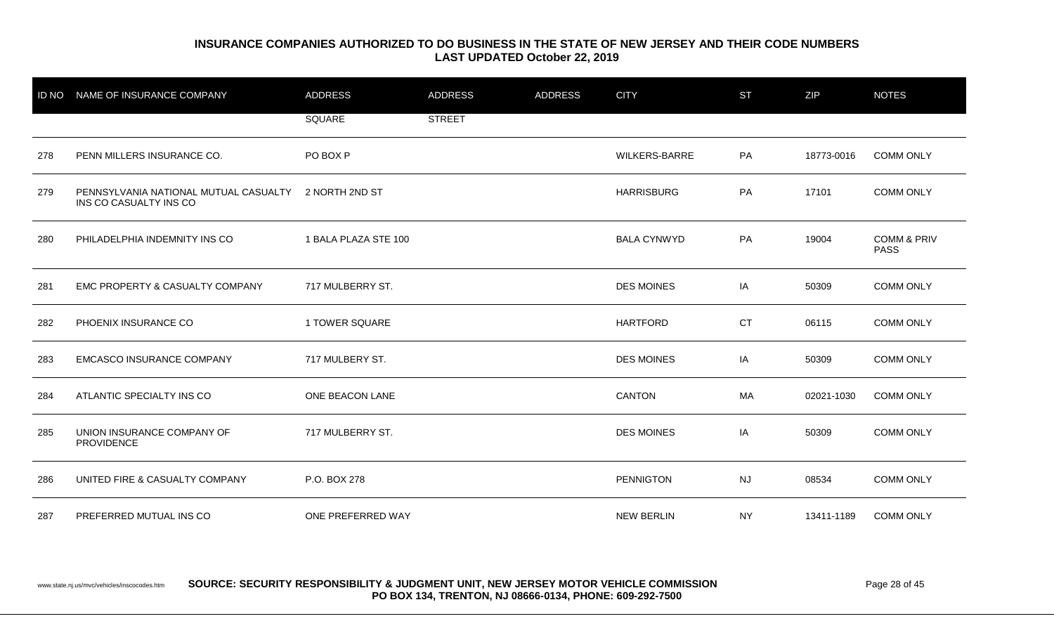| <b>ID NO</b> | NAME OF INSURANCE COMPANY                                       | <b>ADDRESS</b>       | <b>ADDRESS</b> | <b>ADDRESS</b> | <b>CITY</b>        | <b>ST</b> | ZIP        | <b>NOTES</b>                          |
|--------------|-----------------------------------------------------------------|----------------------|----------------|----------------|--------------------|-----------|------------|---------------------------------------|
|              |                                                                 | SQUARE               | <b>STREET</b>  |                |                    |           |            |                                       |
| 278          | PENN MILLERS INSURANCE CO.                                      | PO BOX P             |                |                | WILKERS-BARRE      | PA        | 18773-0016 | <b>COMM ONLY</b>                      |
| 279          | PENNSYLVANIA NATIONAL MUTUAL CASUALTY<br>INS CO CASUALTY INS CO | 2 NORTH 2ND ST       |                |                | <b>HARRISBURG</b>  | PA        | 17101      | <b>COMM ONLY</b>                      |
| 280          | PHILADELPHIA INDEMNITY INS CO                                   | 1 BALA PLAZA STE 100 |                |                | <b>BALA CYNWYD</b> | PA        | 19004      | <b>COMM &amp; PRIV</b><br><b>PASS</b> |
| 281          | EMC PROPERTY & CASUALTY COMPANY                                 | 717 MULBERRY ST.     |                |                | <b>DES MOINES</b>  | IA        | 50309      | <b>COMM ONLY</b>                      |
| 282          | PHOENIX INSURANCE CO                                            | 1 TOWER SQUARE       |                |                | <b>HARTFORD</b>    | <b>CT</b> | 06115      | <b>COMM ONLY</b>                      |
| 283          | <b>EMCASCO INSURANCE COMPANY</b>                                | 717 MULBERY ST.      |                |                | <b>DES MOINES</b>  | IA        | 50309      | <b>COMM ONLY</b>                      |
| 284          | ATLANTIC SPECIALTY INS CO                                       | ONE BEACON LANE      |                |                | <b>CANTON</b>      | МA        | 02021-1030 | <b>COMM ONLY</b>                      |
| 285          | UNION INSURANCE COMPANY OF<br>PROVIDENCE                        | 717 MULBERRY ST.     |                |                | <b>DES MOINES</b>  | IA        | 50309      | <b>COMM ONLY</b>                      |
| 286          | UNITED FIRE & CASUALTY COMPANY                                  | P.O. BOX 278         |                |                | <b>PENNIGTON</b>   | <b>NJ</b> | 08534      | <b>COMM ONLY</b>                      |
| 287          | PREFERRED MUTUAL INS CO                                         | ONE PREFERRED WAY    |                |                | <b>NEW BERLIN</b>  | NY.       | 13411-1189 | <b>COMM ONLY</b>                      |

www.state.nj.us/mvc/vehicles/inscocodes.htm **SOURCE: SECURITY RESPONSIBILITY & JUDGMENT UNIT, NEW JERSEY MOTOR VEHICLE COMMISSION** Page 28 of 45 **PO BOX 134, TRENTON, NJ 08666-0134, PHONE: 609-292-7500**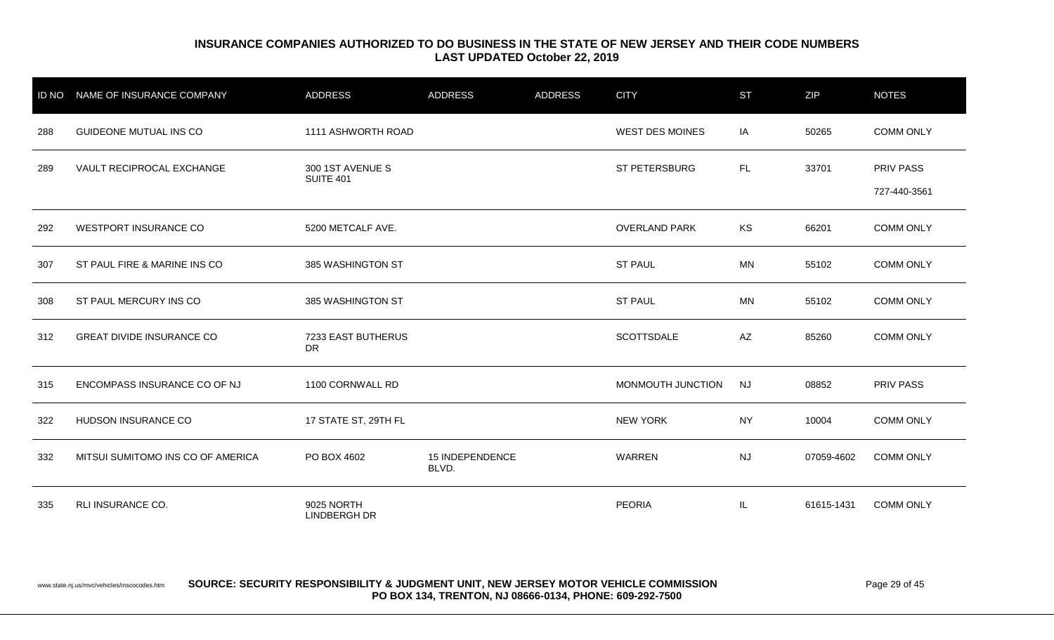| <b>ID NO</b> | NAME OF INSURANCE COMPANY         | <b>ADDRESS</b>                       | <b>ADDRESS</b>           | <b>ADDRESS</b> | <b>CITY</b>            | <b>ST</b> | ZIP        | <b>NOTES</b>                     |
|--------------|-----------------------------------|--------------------------------------|--------------------------|----------------|------------------------|-----------|------------|----------------------------------|
| 288          | GUIDEONE MUTUAL INS CO            | 1111 ASHWORTH ROAD                   |                          |                | <b>WEST DES MOINES</b> | IA        | 50265      | <b>COMM ONLY</b>                 |
| 289          | VAULT RECIPROCAL EXCHANGE         | 300 1ST AVENUE S<br><b>SUITE 401</b> |                          |                | ST PETERSBURG          | FL.       | 33701      | <b>PRIV PASS</b><br>727-440-3561 |
| 292          | <b>WESTPORT INSURANCE CO</b>      | 5200 METCALF AVE.                    |                          |                | <b>OVERLAND PARK</b>   | KS        | 66201      | <b>COMM ONLY</b>                 |
| 307          | ST PAUL FIRE & MARINE INS CO      | 385 WASHINGTON ST                    |                          |                | <b>ST PAUL</b>         | MN        | 55102      | <b>COMM ONLY</b>                 |
| 308          | ST PAUL MERCURY INS CO            | 385 WASHINGTON ST                    |                          |                | <b>ST PAUL</b>         | MN        | 55102      | <b>COMM ONLY</b>                 |
| 312          | <b>GREAT DIVIDE INSURANCE CO</b>  | 7233 EAST BUTHERUS<br><b>DR</b>      |                          |                | SCOTTSDALE             | AZ        | 85260      | <b>COMM ONLY</b>                 |
| 315          | ENCOMPASS INSURANCE CO OF NJ      | 1100 CORNWALL RD                     |                          |                | MONMOUTH JUNCTION      | <b>NJ</b> | 08852      | PRIV PASS                        |
| 322          | HUDSON INSURANCE CO               | 17 STATE ST, 29TH FL                 |                          |                | <b>NEW YORK</b>        | <b>NY</b> | 10004      | <b>COMM ONLY</b>                 |
| 332          | MITSUI SUMITOMO INS CO OF AMERICA | PO BOX 4602                          | 15 INDEPENDENCE<br>BLVD. |                | WARREN                 | <b>NJ</b> | 07059-4602 | <b>COMM ONLY</b>                 |
| 335          | RLI INSURANCE CO.                 | 9025 NORTH<br><b>LINDBERGH DR</b>    |                          |                | <b>PEORIA</b>          | IL.       | 61615-1431 | <b>COMM ONLY</b>                 |

www.state.nj.us/mvc/vehicles/inscocodes.htm **SOURCE: SECURITY RESPONSIBILITY & JUDGMENT UNIT, NEW JERSEY MOTOR VEHICLE COMMISSION** Page 29 of 45 **PO BOX 134, TRENTON, NJ 08666-0134, PHONE: 609-292-7500**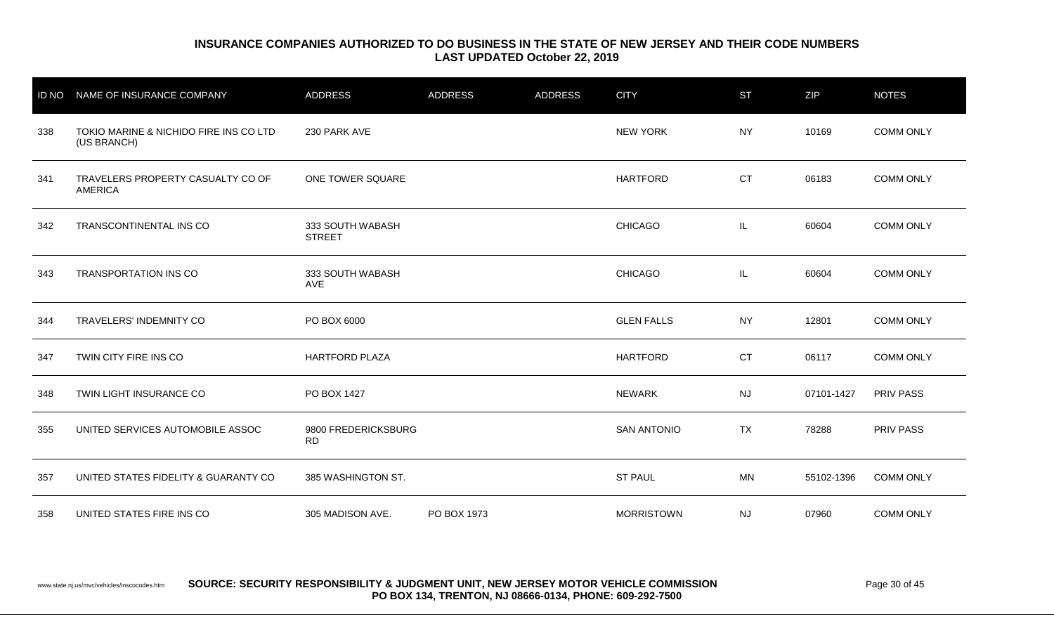| <b>ID NO</b> | NAME OF INSURANCE COMPANY                             | <b>ADDRESS</b>                    | <b>ADDRESS</b> | <b>ADDRESS</b> | <b>CITY</b>        | <b>ST</b> | <b>ZIP</b> | <b>NOTES</b>     |
|--------------|-------------------------------------------------------|-----------------------------------|----------------|----------------|--------------------|-----------|------------|------------------|
| 338          | TOKIO MARINE & NICHIDO FIRE INS CO LTD<br>(US BRANCH) | 230 PARK AVE                      |                |                | <b>NEW YORK</b>    | NY.       | 10169      | <b>COMM ONLY</b> |
| 341          | TRAVELERS PROPERTY CASUALTY CO OF<br><b>AMERICA</b>   | ONE TOWER SQUARE                  |                |                | <b>HARTFORD</b>    | <b>CT</b> | 06183      | <b>COMM ONLY</b> |
| 342          | TRANSCONTINENTAL INS CO                               | 333 SOUTH WABASH<br><b>STREET</b> |                |                | <b>CHICAGO</b>     | IL.       | 60604      | <b>COMM ONLY</b> |
| 343          | <b>TRANSPORTATION INS CO</b>                          | 333 SOUTH WABASH<br>AVE           |                |                | <b>CHICAGO</b>     | IL.       | 60604      | <b>COMM ONLY</b> |
| 344          | TRAVELERS' INDEMNITY CO                               | PO BOX 6000                       |                |                | <b>GLEN FALLS</b>  | <b>NY</b> | 12801      | <b>COMM ONLY</b> |
| 347          | TWIN CITY FIRE INS CO                                 | <b>HARTFORD PLAZA</b>             |                |                | <b>HARTFORD</b>    | <b>CT</b> | 06117      | <b>COMM ONLY</b> |
| 348          | TWIN LIGHT INSURANCE CO                               | PO BOX 1427                       |                |                | <b>NEWARK</b>      | <b>NJ</b> | 07101-1427 | <b>PRIV PASS</b> |
| 355          | UNITED SERVICES AUTOMOBILE ASSOC                      | 9800 FREDERICKSBURG<br><b>RD</b>  |                |                | <b>SAN ANTONIO</b> | <b>TX</b> | 78288      | <b>PRIV PASS</b> |
| 357          | UNITED STATES FIDELITY & GUARANTY CO                  | 385 WASHINGTON ST.                |                |                | <b>ST PAUL</b>     | <b>MN</b> | 55102-1396 | <b>COMM ONLY</b> |
| 358          | UNITED STATES FIRE INS CO                             | 305 MADISON AVE.                  | PO BOX 1973    |                | <b>MORRISTOWN</b>  | <b>NJ</b> | 07960      | <b>COMM ONLY</b> |

www.state.nj.us/mvc/vehicles/inscocodes.htm **SOURCE: SECURITY RESPONSIBILITY & JUDGMENT UNIT, NEW JERSEY MOTOR VEHICLE COMMISSION** Page 30 of 45 **PO BOX 134, TRENTON, NJ 08666-0134, PHONE: 609-292-7500**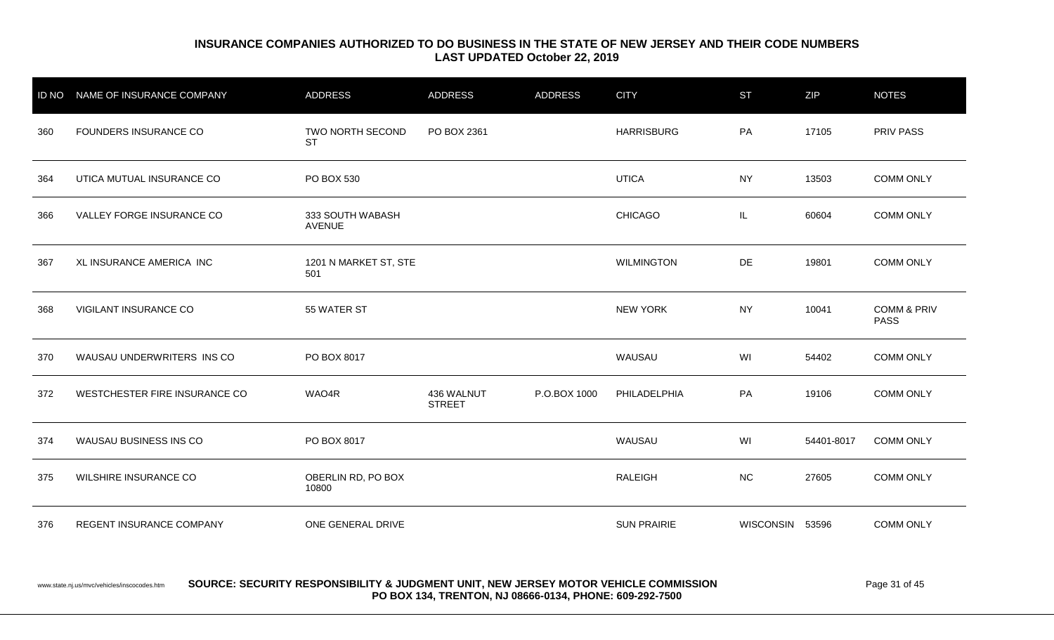|     | ID NO NAME OF INSURANCE COMPANY | <b>ADDRESS</b>                    | <b>ADDRESS</b>              | <b>ADDRESS</b> | <b>CITY</b>        | <b>ST</b>       | ZIP        | <b>NOTES</b>                          |
|-----|---------------------------------|-----------------------------------|-----------------------------|----------------|--------------------|-----------------|------------|---------------------------------------|
| 360 | FOUNDERS INSURANCE CO           | TWO NORTH SECOND<br><b>ST</b>     | PO BOX 2361                 |                | <b>HARRISBURG</b>  | PA              | 17105      | PRIV PASS                             |
| 364 | UTICA MUTUAL INSURANCE CO       | PO BOX 530                        |                             |                | <b>UTICA</b>       | <b>NY</b>       | 13503      | <b>COMM ONLY</b>                      |
| 366 | VALLEY FORGE INSURANCE CO       | 333 SOUTH WABASH<br><b>AVENUE</b> |                             |                | <b>CHICAGO</b>     | IL              | 60604      | <b>COMM ONLY</b>                      |
| 367 | XL INSURANCE AMERICA INC        | 1201 N MARKET ST, STE<br>501      |                             |                | <b>WILMINGTON</b>  | DE              | 19801      | <b>COMM ONLY</b>                      |
| 368 | VIGILANT INSURANCE CO           | 55 WATER ST                       |                             |                | <b>NEW YORK</b>    | <b>NY</b>       | 10041      | <b>COMM &amp; PRIV</b><br><b>PASS</b> |
| 370 | WAUSAU UNDERWRITERS INS CO      | PO BOX 8017                       |                             |                | WAUSAU             | WI              | 54402      | <b>COMM ONLY</b>                      |
| 372 | WESTCHESTER FIRE INSURANCE CO   | WAO4R                             | 436 WALNUT<br><b>STREET</b> | P.O.BOX 1000   | PHILADELPHIA       | PA              | 19106      | <b>COMM ONLY</b>                      |
| 374 | WAUSAU BUSINESS INS CO          | PO BOX 8017                       |                             |                | WAUSAU             | WI              | 54401-8017 | <b>COMM ONLY</b>                      |
| 375 | WILSHIRE INSURANCE CO           | OBERLIN RD, PO BOX<br>10800       |                             |                | <b>RALEIGH</b>     | <b>NC</b>       | 27605      | <b>COMM ONLY</b>                      |
| 376 | REGENT INSURANCE COMPANY        | ONE GENERAL DRIVE                 |                             |                | <b>SUN PRAIRIE</b> | WISCONSIN 53596 |            | <b>COMM ONLY</b>                      |

#### www.state.nj.us/mvc/vehicles/inscocodes.htm **SOURCE: SECURITY RESPONSIBILITY & JUDGMENT UNIT, NEW JERSEY MOTOR VEHICLE COMMISSION** Page 31 of 45 **PO BOX 134, TRENTON, NJ 08666-0134, PHONE: 609-292-7500**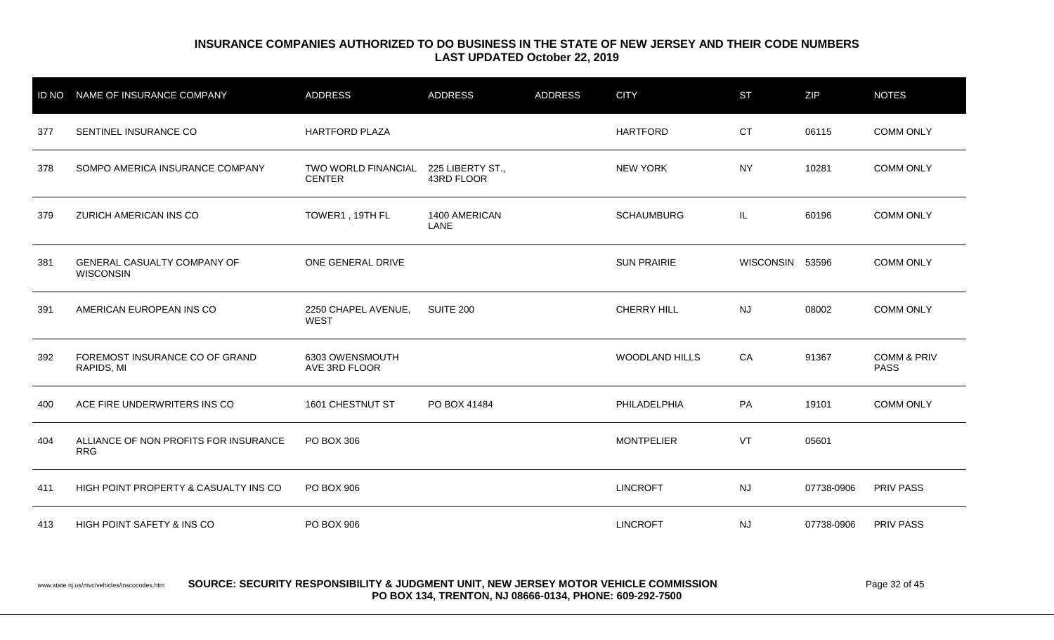| <b>ID NO</b> | NAME OF INSURANCE COMPANY                              | <b>ADDRESS</b>                       | <b>ADDRESS</b>                 | <b>ADDRESS</b> | <b>CITY</b>           | <b>ST</b>       | <b>ZIP</b> | <b>NOTES</b>                          |
|--------------|--------------------------------------------------------|--------------------------------------|--------------------------------|----------------|-----------------------|-----------------|------------|---------------------------------------|
| 377          | SENTINEL INSURANCE CO                                  | <b>HARTFORD PLAZA</b>                |                                |                | <b>HARTFORD</b>       | <b>CT</b>       | 06115      | <b>COMM ONLY</b>                      |
| 378          | SOMPO AMERICA INSURANCE COMPANY                        | TWO WORLD FINANCIAL<br><b>CENTER</b> | 225 LIBERTY ST.,<br>43RD FLOOR |                | <b>NEW YORK</b>       | <b>NY</b>       | 10281      | <b>COMM ONLY</b>                      |
| 379          | ZURICH AMERICAN INS CO                                 | TOWER1, 19TH FL                      | 1400 AMERICAN<br>LANE          |                | <b>SCHAUMBURG</b>     | IL.             | 60196      | <b>COMM ONLY</b>                      |
| 381          | <b>GENERAL CASUALTY COMPANY OF</b><br><b>WISCONSIN</b> | ONE GENERAL DRIVE                    |                                |                | <b>SUN PRAIRIE</b>    | WISCONSIN 53596 |            | <b>COMM ONLY</b>                      |
| 391          | AMERICAN EUROPEAN INS CO                               | 2250 CHAPEL AVENUE,<br><b>WEST</b>   | SUITE 200                      |                | <b>CHERRY HILL</b>    | <b>NJ</b>       | 08002      | <b>COMM ONLY</b>                      |
| 392          | FOREMOST INSURANCE CO OF GRAND<br>RAPIDS, MI           | 6303 OWENSMOUTH<br>AVE 3RD FLOOR     |                                |                | <b>WOODLAND HILLS</b> | CA              | 91367      | <b>COMM &amp; PRIV</b><br><b>PASS</b> |
| 400          | ACE FIRE UNDERWRITERS INS CO                           | 1601 CHESTNUT ST                     | PO BOX 41484                   |                | PHILADELPHIA          | PA              | 19101      | <b>COMM ONLY</b>                      |
| 404          | ALLIANCE OF NON PROFITS FOR INSURANCE<br><b>RRG</b>    | PO BOX 306                           |                                |                | <b>MONTPELIER</b>     | VT              | 05601      |                                       |
| 411          | HIGH POINT PROPERTY & CASUALTY INS CO                  | PO BOX 906                           |                                |                | <b>LINCROFT</b>       | <b>NJ</b>       | 07738-0906 | <b>PRIV PASS</b>                      |
| 413          | HIGH POINT SAFETY & INS CO                             | PO BOX 906                           |                                |                | <b>LINCROFT</b>       | <b>NJ</b>       | 07738-0906 | <b>PRIV PASS</b>                      |

#### www.state.nj.us/mvc/vehicles/inscocodes.htm **SOURCE: SECURITY RESPONSIBILITY & JUDGMENT UNIT, NEW JERSEY MOTOR VEHICLE COMMISSION** Page 32 of 45 **PO BOX 134, TRENTON, NJ 08666-0134, PHONE: 609-292-7500**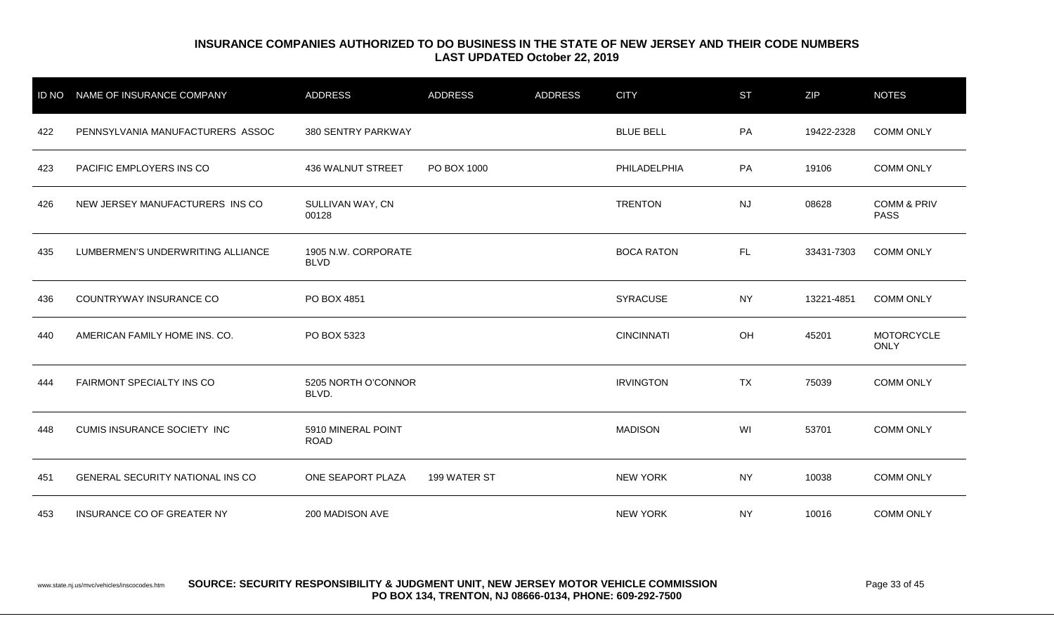| <b>ID NO</b> | NAME OF INSURANCE COMPANY               | <b>ADDRESS</b>                     | <b>ADDRESS</b> | <b>ADDRESS</b> | <b>CITY</b>       | <b>ST</b> | <b>ZIP</b> | <b>NOTES</b>                          |
|--------------|-----------------------------------------|------------------------------------|----------------|----------------|-------------------|-----------|------------|---------------------------------------|
| 422          | PENNSYLVANIA MANUFACTURERS ASSOC        | 380 SENTRY PARKWAY                 |                |                | <b>BLUE BELL</b>  | PA        | 19422-2328 | <b>COMM ONLY</b>                      |
| 423          | PACIFIC EMPLOYERS INS CO                | 436 WALNUT STREET                  | PO BOX 1000    |                | PHILADELPHIA      | PA        | 19106      | <b>COMM ONLY</b>                      |
| 426          | NEW JERSEY MANUFACTURERS INS CO         | SULLIVAN WAY, CN<br>00128          |                |                | <b>TRENTON</b>    | <b>NJ</b> | 08628      | <b>COMM &amp; PRIV</b><br><b>PASS</b> |
| 435          | LUMBERMEN'S UNDERWRITING ALLIANCE       | 1905 N.W. CORPORATE<br><b>BLVD</b> |                |                | <b>BOCA RATON</b> | FL.       | 33431-7303 | <b>COMM ONLY</b>                      |
| 436          | COUNTRYWAY INSURANCE CO                 | PO BOX 4851                        |                |                | <b>SYRACUSE</b>   | <b>NY</b> | 13221-4851 | <b>COMM ONLY</b>                      |
| 440          | AMERICAN FAMILY HOME INS. CO.           | PO BOX 5323                        |                |                | <b>CINCINNATI</b> | OH        | 45201      | <b>MOTORCYCLE</b><br><b>ONLY</b>      |
| 444          | FAIRMONT SPECIALTY INS CO               | 5205 NORTH O'CONNOR<br>BLVD.       |                |                | <b>IRVINGTON</b>  | TX        | 75039      | <b>COMM ONLY</b>                      |
| 448          | <b>CUMIS INSURANCE SOCIETY INC</b>      | 5910 MINERAL POINT<br><b>ROAD</b>  |                |                | <b>MADISON</b>    | WI        | 53701      | <b>COMM ONLY</b>                      |
| 451          | <b>GENERAL SECURITY NATIONAL INS CO</b> | ONE SEAPORT PLAZA                  | 199 WATER ST   |                | <b>NEW YORK</b>   | <b>NY</b> | 10038      | <b>COMM ONLY</b>                      |
| 453          | INSURANCE CO OF GREATER NY              | 200 MADISON AVE                    |                |                | <b>NEW YORK</b>   | <b>NY</b> | 10016      | <b>COMM ONLY</b>                      |

www.state.nj.us/mvc/vehicles/inscocodes.htm **SOURCE: SECURITY RESPONSIBILITY & JUDGMENT UNIT, NEW JERSEY MOTOR VEHICLE COMMISSION** Page 33 of 45 **PO BOX 134, TRENTON, NJ 08666-0134, PHONE: 609-292-7500**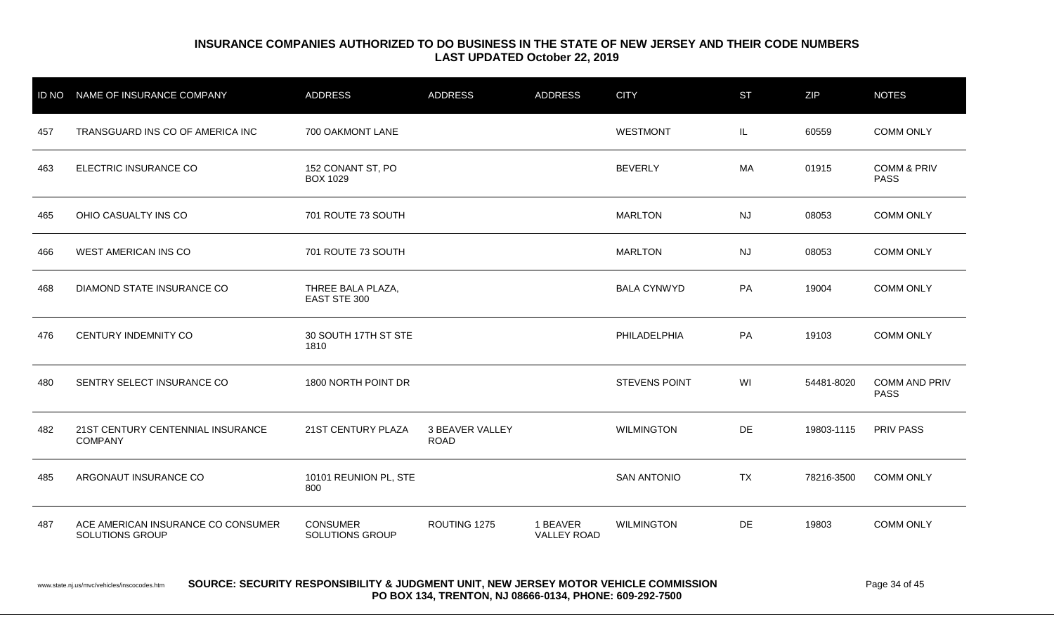|     | ID NO NAME OF INSURANCE COMPANY                       | <b>ADDRESS</b>                       | <b>ADDRESS</b>                        | <b>ADDRESS</b>                 | <b>CITY</b>          | <b>ST</b> | <b>ZIP</b> | <b>NOTES</b>                          |
|-----|-------------------------------------------------------|--------------------------------------|---------------------------------------|--------------------------------|----------------------|-----------|------------|---------------------------------------|
| 457 | TRANSGUARD INS CO OF AMERICA INC                      | 700 OAKMONT LANE                     |                                       |                                | <b>WESTMONT</b>      | IL.       | 60559      | <b>COMM ONLY</b>                      |
| 463 | ELECTRIC INSURANCE CO                                 | 152 CONANT ST, PO<br><b>BOX 1029</b> |                                       |                                | <b>BEVERLY</b>       | MA        | 01915      | <b>COMM &amp; PRIV</b><br><b>PASS</b> |
| 465 | OHIO CASUALTY INS CO                                  | 701 ROUTE 73 SOUTH                   |                                       |                                | <b>MARLTON</b>       | <b>NJ</b> | 08053      | <b>COMM ONLY</b>                      |
| 466 | <b>WEST AMERICAN INS CO</b>                           | 701 ROUTE 73 SOUTH                   |                                       |                                | <b>MARLTON</b>       | <b>NJ</b> | 08053      | <b>COMM ONLY</b>                      |
| 468 | DIAMOND STATE INSURANCE CO                            | THREE BALA PLAZA,<br>EAST STE 300    |                                       |                                | <b>BALA CYNWYD</b>   | PA        | 19004      | <b>COMM ONLY</b>                      |
| 476 | CENTURY INDEMNITY CO                                  | 30 SOUTH 17TH ST STE<br>1810         |                                       |                                | PHILADELPHIA         | PA        | 19103      | <b>COMM ONLY</b>                      |
| 480 | SENTRY SELECT INSURANCE CO                            | 1800 NORTH POINT DR                  |                                       |                                | <b>STEVENS POINT</b> | WI        | 54481-8020 | <b>COMM AND PRIV</b><br><b>PASS</b>   |
| 482 | 21ST CENTURY CENTENNIAL INSURANCE<br><b>COMPANY</b>   | 21ST CENTURY PLAZA                   | <b>3 BEAVER VALLEY</b><br><b>ROAD</b> |                                | <b>WILMINGTON</b>    | DE        | 19803-1115 | <b>PRIV PASS</b>                      |
| 485 | ARGONAUT INSURANCE CO                                 | 10101 REUNION PL, STE<br>800         |                                       |                                | <b>SAN ANTONIO</b>   | TX        | 78216-3500 | <b>COMM ONLY</b>                      |
| 487 | ACE AMERICAN INSURANCE CO CONSUMER<br>SOLUTIONS GROUP | <b>CONSUMER</b><br>SOLUTIONS GROUP   | ROUTING 1275                          | 1 BEAVER<br><b>VALLEY ROAD</b> | <b>WILMINGTON</b>    | DE        | 19803      | <b>COMM ONLY</b>                      |

#### www.state.nj.us/mvc/vehicles/inscocodes.htm **SOURCE: SECURITY RESPONSIBILITY & JUDGMENT UNIT, NEW JERSEY MOTOR VEHICLE COMMISSION** Page 34 of 45 **PO BOX 134, TRENTON, NJ 08666-0134, PHONE: 609-292-7500**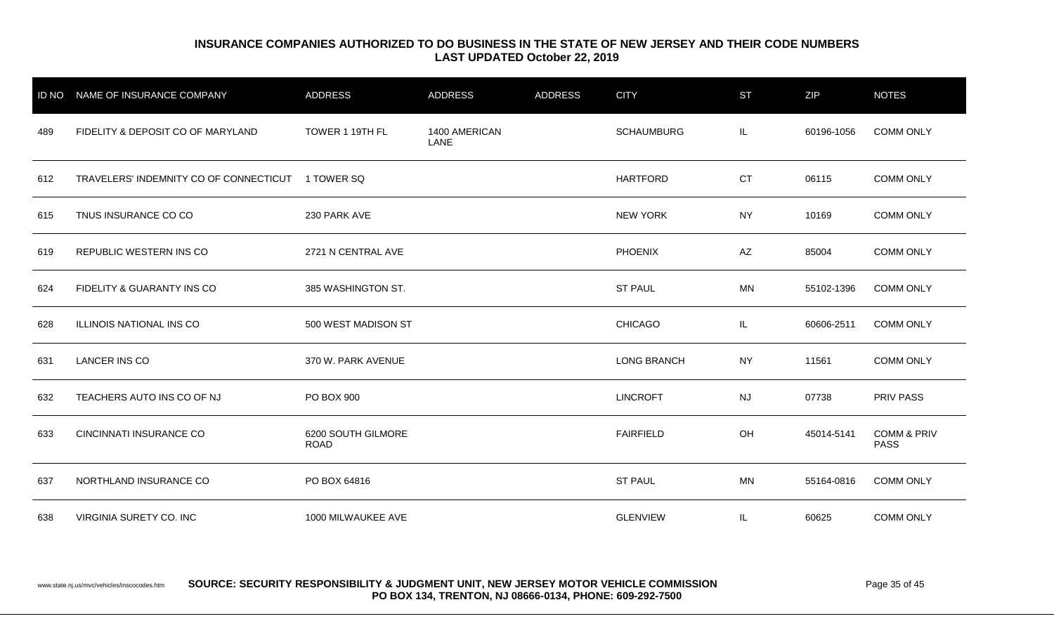| <b>ID NO</b> | NAME OF INSURANCE COMPANY              | ADDRESS                           | <b>ADDRESS</b>        | <b>ADDRESS</b> | <b>CITY</b>        | <b>ST</b> | ZIP        | <b>NOTES</b>                          |
|--------------|----------------------------------------|-----------------------------------|-----------------------|----------------|--------------------|-----------|------------|---------------------------------------|
| 489          | FIDELITY & DEPOSIT CO OF MARYLAND      | TOWER 1 19TH FL                   | 1400 AMERICAN<br>LANE |                | <b>SCHAUMBURG</b>  | IL.       | 60196-1056 | <b>COMM ONLY</b>                      |
| 612          | TRAVELERS' INDEMNITY CO OF CONNECTICUT | 1 TOWER SQ                        |                       |                | <b>HARTFORD</b>    | <b>CT</b> | 06115      | <b>COMM ONLY</b>                      |
| 615          | TNUS INSURANCE CO CO                   | 230 PARK AVE                      |                       |                | <b>NEW YORK</b>    | <b>NY</b> | 10169      | <b>COMM ONLY</b>                      |
| 619          | REPUBLIC WESTERN INS CO                | 2721 N CENTRAL AVE                |                       |                | <b>PHOENIX</b>     | AZ        | 85004      | <b>COMM ONLY</b>                      |
| 624          | FIDELITY & GUARANTY INS CO             | 385 WASHINGTON ST.                |                       |                | <b>ST PAUL</b>     | MN        | 55102-1396 | <b>COMM ONLY</b>                      |
| 628          | ILLINOIS NATIONAL INS CO               | 500 WEST MADISON ST               |                       |                | <b>CHICAGO</b>     | IL.       | 60606-2511 | <b>COMM ONLY</b>                      |
| 631          | <b>LANCER INS CO</b>                   | 370 W. PARK AVENUE                |                       |                | <b>LONG BRANCH</b> | <b>NY</b> | 11561      | <b>COMM ONLY</b>                      |
| 632          | TEACHERS AUTO INS CO OF NJ             | PO BOX 900                        |                       |                | <b>LINCROFT</b>    | <b>NJ</b> | 07738      | <b>PRIV PASS</b>                      |
| 633          | CINCINNATI INSURANCE CO                | 6200 SOUTH GILMORE<br><b>ROAD</b> |                       |                | <b>FAIRFIELD</b>   | <b>OH</b> | 45014-5141 | <b>COMM &amp; PRIV</b><br><b>PASS</b> |
| 637          | NORTHLAND INSURANCE CO                 | PO BOX 64816                      |                       |                | <b>ST PAUL</b>     | MN        | 55164-0816 | <b>COMM ONLY</b>                      |
| 638          | VIRGINIA SURETY CO. INC                | 1000 MILWAUKEE AVE                |                       |                | <b>GLENVIEW</b>    | IL.       | 60625      | <b>COMM ONLY</b>                      |

www.state.nj.us/mvc/vehicles/inscocodes.htm **SOURCE: SECURITY RESPONSIBILITY & JUDGMENT UNIT, NEW JERSEY MOTOR VEHICLE COMMISSION** Page 35 of 45 **PO BOX 134, TRENTON, NJ 08666-0134, PHONE: 609-292-7500**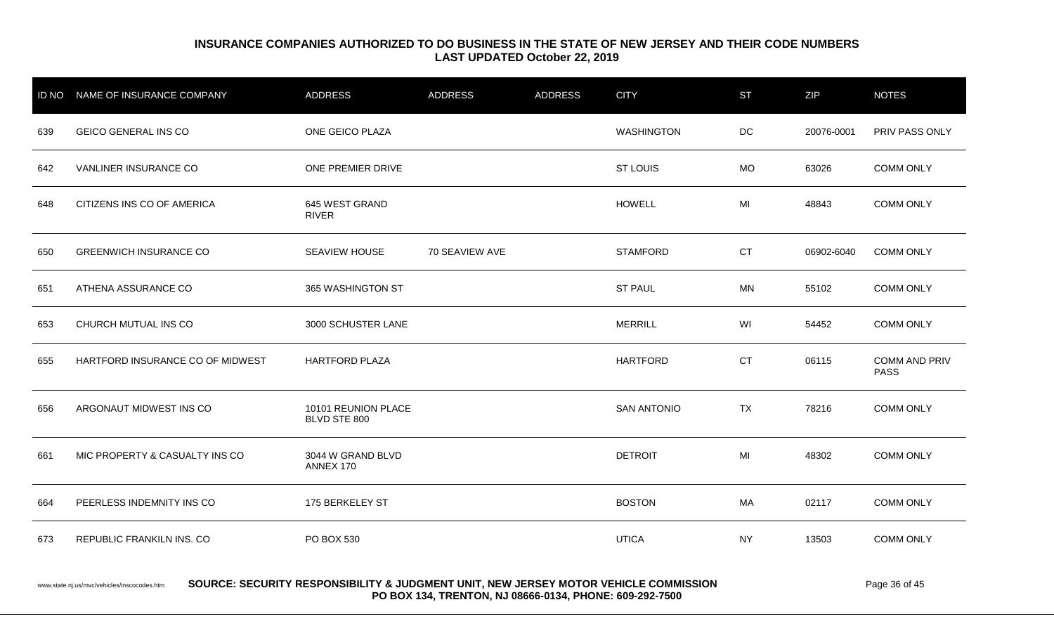|     | ID NO NAME OF INSURANCE COMPANY  | ADDRESS                             | <b>ADDRESS</b> | <b>ADDRESS</b> | <b>CITY</b>        | <b>ST</b> | <b>ZIP</b> | <b>NOTES</b>                        |
|-----|----------------------------------|-------------------------------------|----------------|----------------|--------------------|-----------|------------|-------------------------------------|
| 639 | <b>GEICO GENERAL INS CO</b>      | ONE GEICO PLAZA                     |                |                | <b>WASHINGTON</b>  | <b>DC</b> | 20076-0001 | PRIV PASS ONLY                      |
| 642 | VANLINER INSURANCE CO            | ONE PREMIER DRIVE                   |                |                | <b>ST LOUIS</b>    | <b>MO</b> | 63026      | <b>COMM ONLY</b>                    |
| 648 | CITIZENS INS CO OF AMERICA       | 645 WEST GRAND<br><b>RIVER</b>      |                |                | <b>HOWELL</b>      | MI        | 48843      | <b>COMM ONLY</b>                    |
| 650 | <b>GREENWICH INSURANCE CO</b>    | SEAVIEW HOUSE                       | 70 SEAVIEW AVE |                | <b>STAMFORD</b>    | <b>CT</b> | 06902-6040 | <b>COMM ONLY</b>                    |
| 651 | ATHENA ASSURANCE CO              | 365 WASHINGTON ST                   |                |                | <b>ST PAUL</b>     | MN        | 55102      | <b>COMM ONLY</b>                    |
| 653 | CHURCH MUTUAL INS CO             | 3000 SCHUSTER LANE                  |                |                | <b>MERRILL</b>     | WI        | 54452      | <b>COMM ONLY</b>                    |
| 655 | HARTFORD INSURANCE CO OF MIDWEST | <b>HARTFORD PLAZA</b>               |                |                | <b>HARTFORD</b>    | <b>CT</b> | 06115      | <b>COMM AND PRIV</b><br><b>PASS</b> |
| 656 | ARGONAUT MIDWEST INS CO          | 10101 REUNION PLACE<br>BLVD STE 800 |                |                | <b>SAN ANTONIO</b> | <b>TX</b> | 78216      | <b>COMM ONLY</b>                    |
| 661 | MIC PROPERTY & CASUALTY INS CO   | 3044 W GRAND BLVD<br>ANNEX 170      |                |                | <b>DETROIT</b>     | MI        | 48302      | <b>COMM ONLY</b>                    |
| 664 | PEERLESS INDEMNITY INS CO        | 175 BERKELEY ST                     |                |                | <b>BOSTON</b>      | МA        | 02117      | <b>COMM ONLY</b>                    |
| 673 | REPUBLIC FRANKILN INS. CO        | PO BOX 530                          |                |                | <b>UTICA</b>       | <b>NY</b> | 13503      | <b>COMM ONLY</b>                    |
|     |                                  |                                     |                |                |                    |           |            |                                     |

www.state.nj.us/mvc/vehicles/inscocodes.htm **SOURCE: SECURITY RESPONSIBILITY & JUDGMENT UNIT, NEW JERSEY MOTOR VEHICLE COMMISSION** Page 36 of 45 **PO BOX 134, TRENTON, NJ 08666-0134, PHONE: 609-292-7500**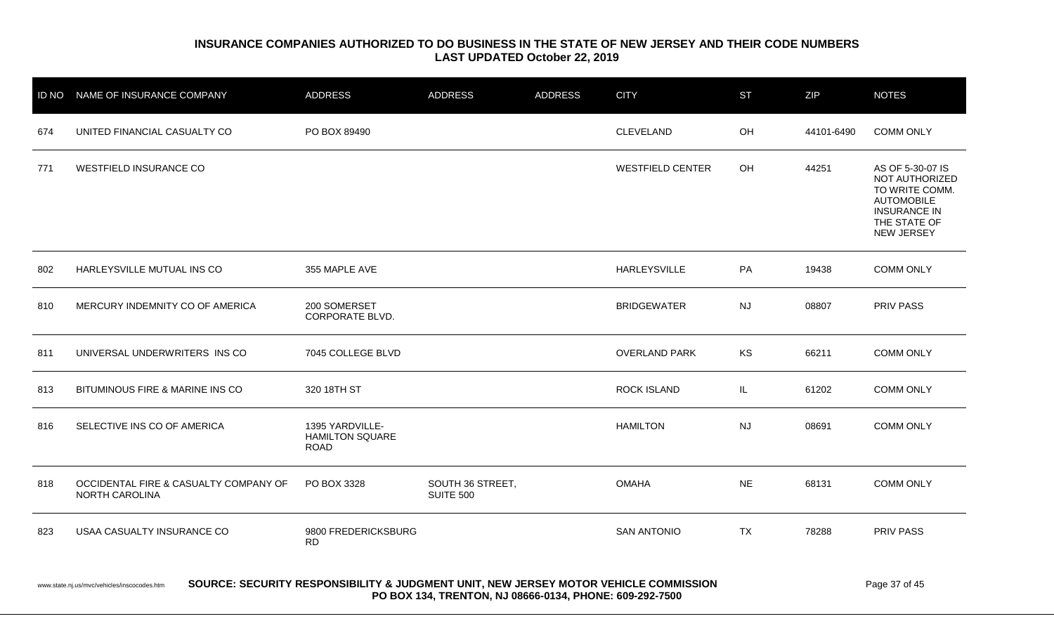|     | ID NO NAME OF INSURANCE COMPANY                                                                                                                                                                                 | <b>ADDRESS</b>                                           | <b>ADDRESS</b>                       | <b>ADDRESS</b> | <b>CITY</b>             | <b>ST</b> | ZIP        | <b>NOTES</b>                                                                                                                   |  |
|-----|-----------------------------------------------------------------------------------------------------------------------------------------------------------------------------------------------------------------|----------------------------------------------------------|--------------------------------------|----------------|-------------------------|-----------|------------|--------------------------------------------------------------------------------------------------------------------------------|--|
| 674 | UNITED FINANCIAL CASUALTY CO                                                                                                                                                                                    | PO BOX 89490                                             |                                      |                | <b>CLEVELAND</b>        | OH        | 44101-6490 | <b>COMM ONLY</b>                                                                                                               |  |
| 771 | <b>WESTFIELD INSURANCE CO</b>                                                                                                                                                                                   |                                                          |                                      |                | <b>WESTFIELD CENTER</b> | OH        | 44251      | AS OF 5-30-07 IS<br>NOT AUTHORIZED<br>TO WRITE COMM.<br><b>AUTOMOBILE</b><br><b>INSURANCE IN</b><br>THE STATE OF<br>NEW JERSEY |  |
| 802 | HARLEYSVILLE MUTUAL INS CO                                                                                                                                                                                      | 355 MAPLE AVE                                            |                                      |                | <b>HARLEYSVILLE</b>     | PA        | 19438      | <b>COMM ONLY</b>                                                                                                               |  |
| 810 | MERCURY INDEMNITY CO OF AMERICA                                                                                                                                                                                 | 200 SOMERSET<br><b>CORPORATE BLVD.</b>                   |                                      |                | <b>BRIDGEWATER</b>      | <b>NJ</b> | 08807      | PRIV PASS                                                                                                                      |  |
| 811 | UNIVERSAL UNDERWRITERS INS CO                                                                                                                                                                                   | 7045 COLLEGE BLVD                                        |                                      |                | <b>OVERLAND PARK</b>    | KS        | 66211      | <b>COMM ONLY</b>                                                                                                               |  |
| 813 | BITUMINOUS FIRE & MARINE INS CO                                                                                                                                                                                 | 320 18TH ST                                              |                                      |                | <b>ROCK ISLAND</b>      | IL.       | 61202      | <b>COMM ONLY</b>                                                                                                               |  |
| 816 | SELECTIVE INS CO OF AMERICA                                                                                                                                                                                     | 1395 YARDVILLE-<br><b>HAMILTON SQUARE</b><br><b>ROAD</b> |                                      |                | <b>HAMILTON</b>         | <b>NJ</b> | 08691      | <b>COMM ONLY</b>                                                                                                               |  |
| 818 | OCCIDENTAL FIRE & CASUALTY COMPANY OF<br>NORTH CAROLINA                                                                                                                                                         | PO BOX 3328                                              | SOUTH 36 STREET,<br><b>SUITE 500</b> |                | <b>OMAHA</b>            | <b>NE</b> | 68131      | <b>COMM ONLY</b>                                                                                                               |  |
| 823 | USAA CASUALTY INSURANCE CO                                                                                                                                                                                      | 9800 FREDERICKSBURG<br><b>RD</b>                         |                                      |                | <b>SAN ANTONIO</b>      | <b>TX</b> | 78288      | <b>PRIV PASS</b>                                                                                                               |  |
|     | SOURCE: SECURITY RESPONSIBILITY & JUDGMENT UNIT, NEW JERSEY MOTOR VEHICLE COMMISSION<br>Page 37 of 45<br>www.state.nj.us/mvc/vehicles/inscocodes.htm<br>PO BOX 134, TRENTON, NJ 08666-0134, PHONE: 609-292-7500 |                                                          |                                      |                |                         |           |            |                                                                                                                                |  |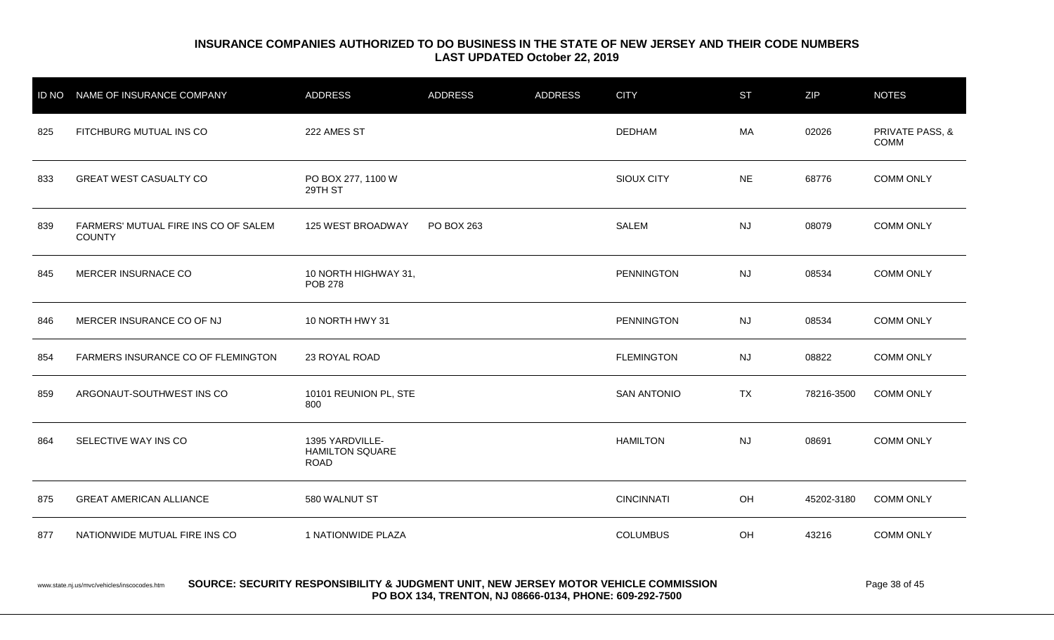|     | ID NO NAME OF INSURANCE COMPANY                       | <b>ADDRESS</b>                                           | <b>ADDRESS</b> | <b>ADDRESS</b> | <b>CITY</b>        | <b>ST</b> | <b>ZIP</b> | <b>NOTES</b>                   |
|-----|-------------------------------------------------------|----------------------------------------------------------|----------------|----------------|--------------------|-----------|------------|--------------------------------|
| 825 | FITCHBURG MUTUAL INS CO                               | 222 AMES ST                                              |                |                | <b>DEDHAM</b>      | <b>MA</b> | 02026      | PRIVATE PASS, &<br><b>COMM</b> |
| 833 | <b>GREAT WEST CASUALTY CO</b>                         | PO BOX 277, 1100 W<br>29TH ST                            |                |                | SIOUX CITY         | <b>NE</b> | 68776      | <b>COMM ONLY</b>               |
| 839 | FARMERS' MUTUAL FIRE INS CO OF SALEM<br><b>COUNTY</b> | 125 WEST BROADWAY                                        | PO BOX 263     |                | <b>SALEM</b>       | <b>NJ</b> | 08079      | <b>COMM ONLY</b>               |
| 845 | MERCER INSURNACE CO                                   | 10 NORTH HIGHWAY 31,<br><b>POB 278</b>                   |                |                | PENNINGTON         | <b>NJ</b> | 08534      | <b>COMM ONLY</b>               |
| 846 | MERCER INSURANCE CO OF NJ                             | 10 NORTH HWY 31                                          |                |                | PENNINGTON         | <b>NJ</b> | 08534      | <b>COMM ONLY</b>               |
| 854 | FARMERS INSURANCE CO OF FLEMINGTON                    | 23 ROYAL ROAD                                            |                |                | <b>FLEMINGTON</b>  | <b>NJ</b> | 08822      | <b>COMM ONLY</b>               |
| 859 | ARGONAUT-SOUTHWEST INS CO                             | 10101 REUNION PL, STE<br>800                             |                |                | <b>SAN ANTONIO</b> | <b>TX</b> | 78216-3500 | <b>COMM ONLY</b>               |
| 864 | SELECTIVE WAY INS CO                                  | 1395 YARDVILLE-<br><b>HAMILTON SQUARE</b><br><b>ROAD</b> |                |                | <b>HAMILTON</b>    | <b>NJ</b> | 08691      | <b>COMM ONLY</b>               |
| 875 | <b>GREAT AMERICAN ALLIANCE</b>                        | 580 WALNUT ST                                            |                |                | <b>CINCINNATI</b>  | OH        | 45202-3180 | <b>COMM ONLY</b>               |
| 877 | NATIONWIDE MUTUAL FIRE INS CO                         | 1 NATIONWIDE PLAZA                                       |                |                | <b>COLUMBUS</b>    | OH        | 43216      | <b>COMM ONLY</b>               |

#### www.state.nj.us/mvc/vehicles/inscocodes.htm **SOURCE: SECURITY RESPONSIBILITY & JUDGMENT UNIT, NEW JERSEY MOTOR VEHICLE COMMISSION** Page 38 of 45 **PO BOX 134, TRENTON, NJ 08666-0134, PHONE: 609-292-7500**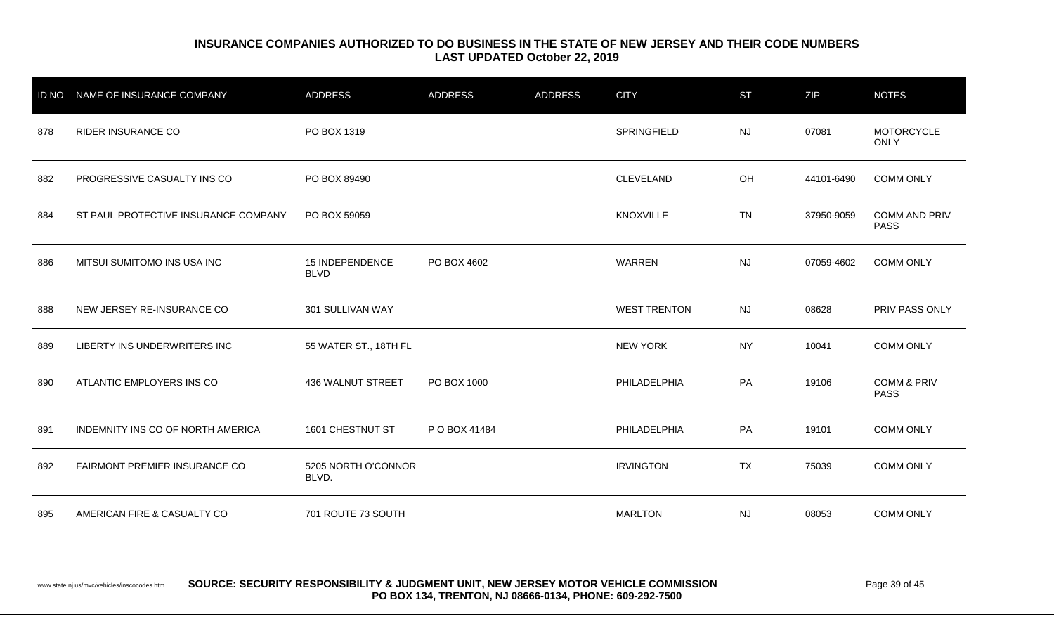| <b>ID NO</b> | NAME OF INSURANCE COMPANY            | <b>ADDRESS</b>                        | <b>ADDRESS</b> | <b>ADDRESS</b> | <b>CITY</b>         | <b>ST</b> | <b>ZIP</b> | <b>NOTES</b>                          |
|--------------|--------------------------------------|---------------------------------------|----------------|----------------|---------------------|-----------|------------|---------------------------------------|
| 878          | <b>RIDER INSURANCE CO</b>            | PO BOX 1319                           |                |                | SPRINGFIELD         | <b>NJ</b> | 07081      | <b>MOTORCYCLE</b><br><b>ONLY</b>      |
| 882          | PROGRESSIVE CASUALTY INS CO          | PO BOX 89490                          |                |                | CLEVELAND           | OH        | 44101-6490 | <b>COMM ONLY</b>                      |
| 884          | ST PAUL PROTECTIVE INSURANCE COMPANY | PO BOX 59059                          |                |                | <b>KNOXVILLE</b>    | <b>TN</b> | 37950-9059 | <b>COMM AND PRIV</b><br><b>PASS</b>   |
| 886          | MITSUI SUMITOMO INS USA INC          | <b>15 INDEPENDENCE</b><br><b>BLVD</b> | PO BOX 4602    |                | WARREN              | <b>NJ</b> | 07059-4602 | <b>COMM ONLY</b>                      |
| 888          | NEW JERSEY RE-INSURANCE CO           | 301 SULLIVAN WAY                      |                |                | <b>WEST TRENTON</b> | <b>NJ</b> | 08628      | PRIV PASS ONLY                        |
| 889          | LIBERTY INS UNDERWRITERS INC         | 55 WATER ST., 18TH FL                 |                |                | <b>NEW YORK</b>     | <b>NY</b> | 10041      | <b>COMM ONLY</b>                      |
| 890          | ATLANTIC EMPLOYERS INS CO            | <b>436 WALNUT STREET</b>              | PO BOX 1000    |                | PHILADELPHIA        | PA        | 19106      | <b>COMM &amp; PRIV</b><br><b>PASS</b> |
| 891          | INDEMNITY INS CO OF NORTH AMERICA    | 1601 CHESTNUT ST                      | P O BOX 41484  |                | PHILADELPHIA        | PA        | 19101      | <b>COMM ONLY</b>                      |
| 892          | FAIRMONT PREMIER INSURANCE CO        | 5205 NORTH O'CONNOR<br>BLVD.          |                |                | <b>IRVINGTON</b>    | <b>TX</b> | 75039      | <b>COMM ONLY</b>                      |
| 895          | AMERICAN FIRE & CASUALTY CO          | 701 ROUTE 73 SOUTH                    |                |                | <b>MARLTON</b>      | <b>NJ</b> | 08053      | <b>COMM ONLY</b>                      |

www.state.nj.us/mvc/vehicles/inscocodes.htm **SOURCE: SECURITY RESPONSIBILITY & JUDGMENT UNIT, NEW JERSEY MOTOR VEHICLE COMMISSION** Page 39 of 45 **PO BOX 134, TRENTON, NJ 08666-0134, PHONE: 609-292-7500**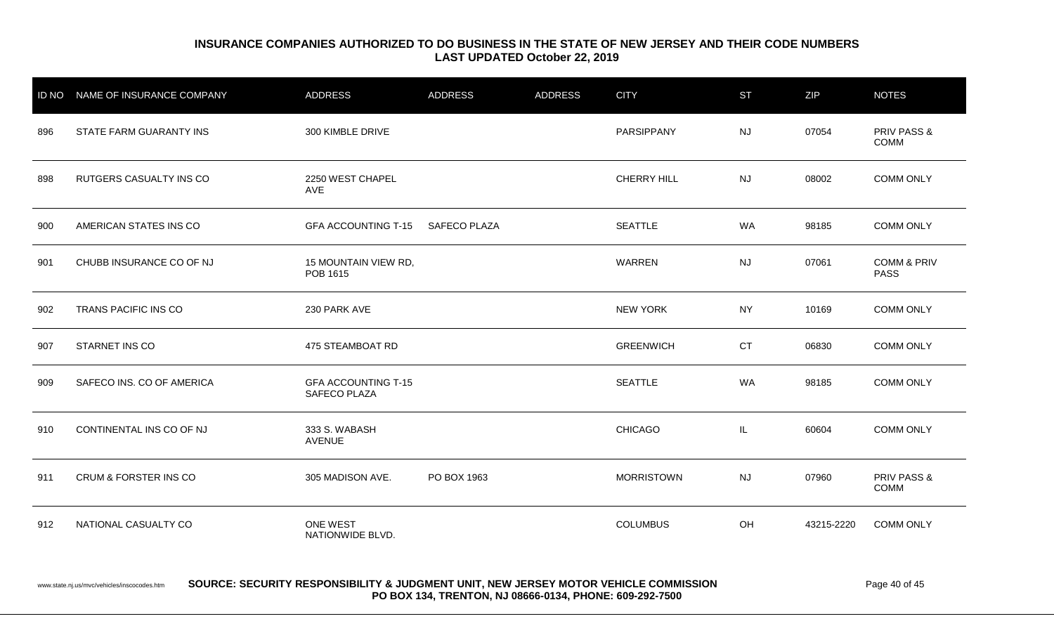|     | ID NO NAME OF INSURANCE COMPANY | <b>ADDRESS</b>                             | <b>ADDRESS</b>      | <b>ADDRESS</b> | <b>CITY</b>       | <b>ST</b> | <b>ZIP</b> | <b>NOTES</b>                          |
|-----|---------------------------------|--------------------------------------------|---------------------|----------------|-------------------|-----------|------------|---------------------------------------|
| 896 | STATE FARM GUARANTY INS         | 300 KIMBLE DRIVE                           |                     |                | PARSIPPANY        | <b>NJ</b> | 07054      | <b>PRIV PASS &amp;</b><br>COMM        |
| 898 | RUTGERS CASUALTY INS CO         | 2250 WEST CHAPEL<br>AVE                    |                     |                | CHERRY HILL       | <b>NJ</b> | 08002      | <b>COMM ONLY</b>                      |
| 900 | AMERICAN STATES INS CO          | <b>GFA ACCOUNTING T-15</b>                 | <b>SAFECO PLAZA</b> |                | <b>SEATTLE</b>    | <b>WA</b> | 98185      | <b>COMM ONLY</b>                      |
| 901 | CHUBB INSURANCE CO OF NJ        | 15 MOUNTAIN VIEW RD,<br>POB 1615           |                     |                | WARREN            | <b>NJ</b> | 07061      | <b>COMM &amp; PRIV</b><br><b>PASS</b> |
| 902 | TRANS PACIFIC INS CO            | 230 PARK AVE                               |                     |                | <b>NEW YORK</b>   | <b>NY</b> | 10169      | <b>COMM ONLY</b>                      |
| 907 | STARNET INS CO                  | 475 STEAMBOAT RD                           |                     |                | <b>GREENWICH</b>  | <b>CT</b> | 06830      | <b>COMM ONLY</b>                      |
| 909 | SAFECO INS. CO OF AMERICA       | <b>GFA ACCOUNTING T-15</b><br>SAFECO PLAZA |                     |                | <b>SEATTLE</b>    | <b>WA</b> | 98185      | <b>COMM ONLY</b>                      |
| 910 | CONTINENTAL INS CO OF NJ        | 333 S. WABASH<br><b>AVENUE</b>             |                     |                | <b>CHICAGO</b>    | IL.       | 60604      | <b>COMM ONLY</b>                      |
| 911 | CRUM & FORSTER INS CO           | 305 MADISON AVE.                           | PO BOX 1963         |                | <b>MORRISTOWN</b> | <b>NJ</b> | 07960      | PRIV PASS &<br><b>COMM</b>            |
| 912 | NATIONAL CASUALTY CO            | ONE WEST<br>NATIONWIDE BLVD.               |                     |                | <b>COLUMBUS</b>   | OH        | 43215-2220 | <b>COMM ONLY</b>                      |

#### www.state.nj.us/mvc/vehicles/inscocodes.htm **SOURCE: SECURITY RESPONSIBILITY & JUDGMENT UNIT, NEW JERSEY MOTOR VEHICLE COMMISSION** Page 40 of 45 **PO BOX 134, TRENTON, NJ 08666-0134, PHONE: 609-292-7500**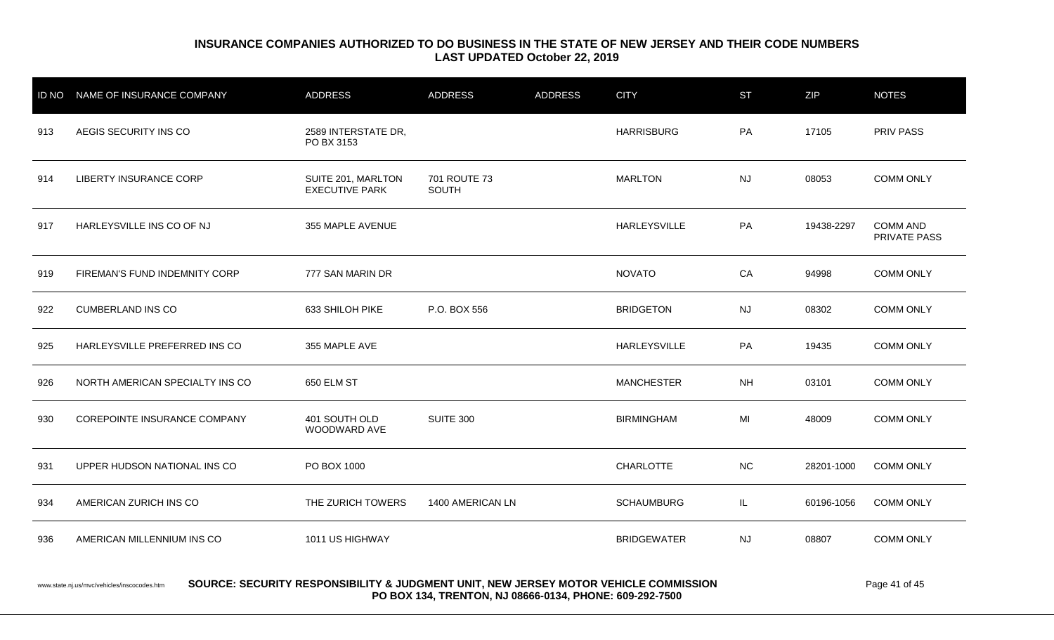|     | ID NO NAME OF INSURANCE COMPANY | <b>ADDRESS</b>                              | <b>ADDRESS</b>        | <b>ADDRESS</b> | <b>CITY</b>         | <b>ST</b> | ZIP        | <b>NOTES</b>                           |
|-----|---------------------------------|---------------------------------------------|-----------------------|----------------|---------------------|-----------|------------|----------------------------------------|
| 913 | AEGIS SECURITY INS CO           | 2589 INTERSTATE DR,<br>PO BX 3153           |                       |                | <b>HARRISBURG</b>   | PA        | 17105      | <b>PRIV PASS</b>                       |
| 914 | <b>LIBERTY INSURANCE CORP</b>   | SUITE 201, MARLTON<br><b>EXECUTIVE PARK</b> | 701 ROUTE 73<br>SOUTH |                | <b>MARLTON</b>      | <b>NJ</b> | 08053      | <b>COMM ONLY</b>                       |
| 917 | HARLEYSVILLE INS CO OF NJ       | 355 MAPLE AVENUE                            |                       |                | <b>HARLEYSVILLE</b> | PA        | 19438-2297 | <b>COMM AND</b><br><b>PRIVATE PASS</b> |
| 919 | FIREMAN'S FUND INDEMNITY CORP   | 777 SAN MARIN DR                            |                       |                | <b>NOVATO</b>       | CA        | 94998      | <b>COMM ONLY</b>                       |
| 922 | <b>CUMBERLAND INS CO</b>        | 633 SHILOH PIKE                             | P.O. BOX 556          |                | <b>BRIDGETON</b>    | <b>NJ</b> | 08302      | <b>COMM ONLY</b>                       |
| 925 | HARLEYSVILLE PREFERRED INS CO   | 355 MAPLE AVE                               |                       |                | HARLEYSVILLE        | PA        | 19435      | <b>COMM ONLY</b>                       |
| 926 | NORTH AMERICAN SPECIALTY INS CO | 650 ELM ST                                  |                       |                | <b>MANCHESTER</b>   | <b>NH</b> | 03101      | <b>COMM ONLY</b>                       |
| 930 | COREPOINTE INSURANCE COMPANY    | 401 SOUTH OLD<br>WOODWARD AVE               | <b>SUITE 300</b>      |                | <b>BIRMINGHAM</b>   | MI        | 48009      | <b>COMM ONLY</b>                       |
| 931 | UPPER HUDSON NATIONAL INS CO    | PO BOX 1000                                 |                       |                | <b>CHARLOTTE</b>    | <b>NC</b> | 28201-1000 | <b>COMM ONLY</b>                       |
| 934 | AMERICAN ZURICH INS CO          | THE ZURICH TOWERS                           | 1400 AMERICAN LN      |                | <b>SCHAUMBURG</b>   | IL.       | 60196-1056 | <b>COMM ONLY</b>                       |
| 936 | AMERICAN MILLENNIUM INS CO      | 1011 US HIGHWAY                             |                       |                | <b>BRIDGEWATER</b>  | <b>NJ</b> | 08807      | <b>COMM ONLY</b>                       |
|     |                                 |                                             |                       |                |                     |           |            |                                        |

www.state.nj.us/mvc/vehicles/inscocodes.htm **SOURCE: SECURITY RESPONSIBILITY & JUDGMENT UNIT, NEW JERSEY MOTOR VEHICLE COMMISSION** Page 41 of 45 **PO BOX 134, TRENTON, NJ 08666-0134, PHONE: 609-292-7500**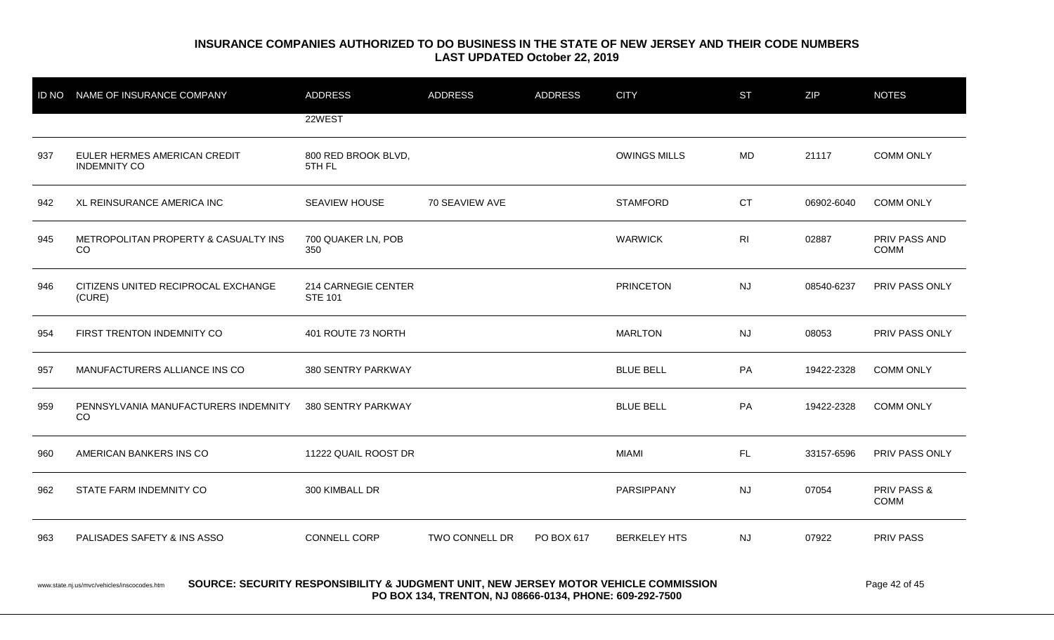|                                                                                                                                                      | ID NO NAME OF INSURANCE COMPANY                     | <b>ADDRESS</b>                        | <b>ADDRESS</b> | <b>ADDRESS</b> | <b>CITY</b>         | <b>ST</b>      | ZIP        | <b>NOTES</b>                 |  |
|------------------------------------------------------------------------------------------------------------------------------------------------------|-----------------------------------------------------|---------------------------------------|----------------|----------------|---------------------|----------------|------------|------------------------------|--|
|                                                                                                                                                      |                                                     | 22WEST                                |                |                |                     |                |            |                              |  |
| 937                                                                                                                                                  | EULER HERMES AMERICAN CREDIT<br><b>INDEMNITY CO</b> | 800 RED BROOK BLVD,<br>5TH FL         |                |                | <b>OWINGS MILLS</b> | <b>MD</b>      | 21117      | <b>COMM ONLY</b>             |  |
| 942                                                                                                                                                  | XL REINSURANCE AMERICA INC                          | SEAVIEW HOUSE                         | 70 SEAVIEW AVE |                | <b>STAMFORD</b>     | <b>CT</b>      | 06902-6040 | <b>COMM ONLY</b>             |  |
| 945                                                                                                                                                  | METROPOLITAN PROPERTY & CASUALTY INS<br>CO          | 700 QUAKER LN, POB<br>350             |                |                | <b>WARWICK</b>      | R <sub>l</sub> | 02887      | PRIV PASS AND<br><b>COMM</b> |  |
| 946                                                                                                                                                  | CITIZENS UNITED RECIPROCAL EXCHANGE<br>(CURE)       | 214 CARNEGIE CENTER<br><b>STE 101</b> |                |                | <b>PRINCETON</b>    | <b>NJ</b>      | 08540-6237 | PRIV PASS ONLY               |  |
| 954                                                                                                                                                  | FIRST TRENTON INDEMNITY CO                          | 401 ROUTE 73 NORTH                    |                |                | <b>MARLTON</b>      | <b>NJ</b>      | 08053      | PRIV PASS ONLY               |  |
| 957                                                                                                                                                  | MANUFACTURERS ALLIANCE INS CO                       | 380 SENTRY PARKWAY                    |                |                | <b>BLUE BELL</b>    | PA             | 19422-2328 | <b>COMM ONLY</b>             |  |
| 959                                                                                                                                                  | PENNSYLVANIA MANUFACTURERS INDEMNITY<br>CO.         | 380 SENTRY PARKWAY                    |                |                | <b>BLUE BELL</b>    | PA             | 19422-2328 | <b>COMM ONLY</b>             |  |
| 960                                                                                                                                                  | AMERICAN BANKERS INS CO                             | 11222 QUAIL ROOST DR                  |                |                | <b>MIAMI</b>        | FL.            | 33157-6596 | PRIV PASS ONLY               |  |
| 962                                                                                                                                                  | STATE FARM INDEMNITY CO                             | 300 KIMBALL DR                        |                |                | PARSIPPANY          | <b>NJ</b>      | 07054      | PRIV PASS &<br><b>COMM</b>   |  |
| 963                                                                                                                                                  | PALISADES SAFETY & INS ASSO                         | CONNELL CORP                          | TWO CONNELL DR | PO BOX 617     | <b>BERKELEY HTS</b> | <b>NJ</b>      | 07922      | <b>PRIV PASS</b>             |  |
| SOURCE: SECURITY RESPONSIBILITY & JUDGMENT UNIT, NEW JERSEY MOTOR VEHICLE COMMISSION<br>Page 42 of 45<br>www.state.nj.us/mvc/vehicles/inscocodes.htm |                                                     |                                       |                |                |                     |                |            |                              |  |

**PO BOX 134, TRENTON, NJ 08666-0134, PHONE: 609-292-7500**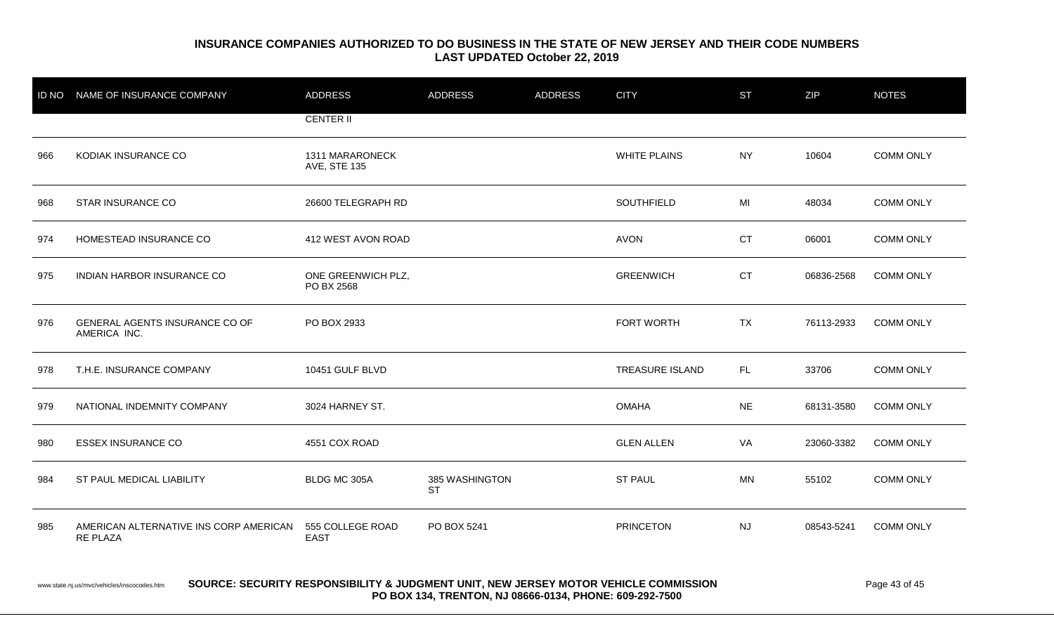|     | ID NO NAME OF INSURANCE COMPANY                           | <b>ADDRESS</b>                         | <b>ADDRESS</b>              | <b>ADDRESS</b> | <b>CITY</b>            | <b>ST</b> | <b>ZIP</b> | <b>NOTES</b>     |
|-----|-----------------------------------------------------------|----------------------------------------|-----------------------------|----------------|------------------------|-----------|------------|------------------|
|     |                                                           | <b>CENTER II</b>                       |                             |                |                        |           |            |                  |
| 966 | KODIAK INSURANCE CO                                       | 1311 MARARONECK<br><b>AVE, STE 135</b> |                             |                | <b>WHITE PLAINS</b>    | <b>NY</b> | 10604      | <b>COMM ONLY</b> |
| 968 | STAR INSURANCE CO                                         | 26600 TELEGRAPH RD                     |                             |                | SOUTHFIELD             | MI        | 48034      | <b>COMM ONLY</b> |
| 974 | HOMESTEAD INSURANCE CO                                    | 412 WEST AVON ROAD                     |                             |                | <b>AVON</b>            | <b>CT</b> | 06001      | <b>COMM ONLY</b> |
| 975 | <b>INDIAN HARBOR INSURANCE CO</b>                         | ONE GREENWICH PLZ,<br>PO BX 2568       |                             |                | <b>GREENWICH</b>       | <b>CT</b> | 06836-2568 | <b>COMM ONLY</b> |
| 976 | GENERAL AGENTS INSURANCE CO OF<br>AMERICA INC.            | PO BOX 2933                            |                             |                | FORT WORTH             | <b>TX</b> | 76113-2933 | <b>COMM ONLY</b> |
| 978 | T.H.E. INSURANCE COMPANY                                  | 10451 GULF BLVD                        |                             |                | <b>TREASURE ISLAND</b> | FL.       | 33706      | <b>COMM ONLY</b> |
| 979 | NATIONAL INDEMNITY COMPANY                                | 3024 HARNEY ST.                        |                             |                | <b>OMAHA</b>           | <b>NE</b> | 68131-3580 | <b>COMM ONLY</b> |
| 980 | <b>ESSEX INSURANCE CO</b>                                 | 4551 COX ROAD                          |                             |                | <b>GLEN ALLEN</b>      | VA        | 23060-3382 | <b>COMM ONLY</b> |
| 984 | ST PAUL MEDICAL LIABILITY                                 | BLDG MC 305A                           | 385 WASHINGTON<br><b>ST</b> |                | <b>ST PAUL</b>         | MN        | 55102      | <b>COMM ONLY</b> |
| 985 | AMERICAN ALTERNATIVE INS CORP AMERICAN<br><b>RE PLAZA</b> | 555 COLLEGE ROAD<br><b>EAST</b>        | PO BOX 5241                 |                | <b>PRINCETON</b>       | <b>NJ</b> | 08543-5241 | <b>COMM ONLY</b> |

www.state.nj.us/mvc/vehicles/inscocodes.htm **SOURCE: SECURITY RESPONSIBILITY & JUDGMENT UNIT, NEW JERSEY MOTOR VEHICLE COMMISSION** Page 43 of 45 **PO BOX 134, TRENTON, NJ 08666-0134, PHONE: 609-292-7500**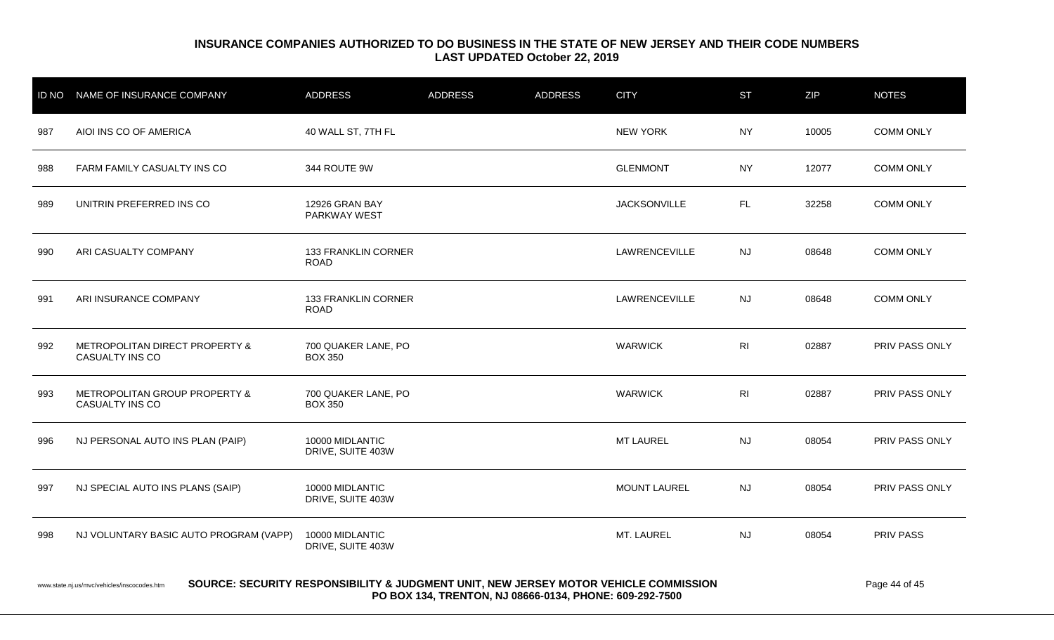|     | ID NO NAME OF INSURANCE COMPANY                                                                                                                                                                                 | <b>ADDRESS</b>                        | <b>ADDRESS</b> | <b>ADDRESS</b> | <b>CITY</b>         | <b>ST</b>      | ZIP   | <b>NOTES</b>     |  |
|-----|-----------------------------------------------------------------------------------------------------------------------------------------------------------------------------------------------------------------|---------------------------------------|----------------|----------------|---------------------|----------------|-------|------------------|--|
| 987 | AIOI INS CO OF AMERICA                                                                                                                                                                                          | 40 WALL ST, 7TH FL                    |                |                | <b>NEW YORK</b>     | NY.            | 10005 | <b>COMM ONLY</b> |  |
| 988 | FARM FAMILY CASUALTY INS CO                                                                                                                                                                                     | 344 ROUTE 9W                          |                |                | <b>GLENMONT</b>     | <b>NY</b>      | 12077 | <b>COMM ONLY</b> |  |
| 989 | UNITRIN PREFERRED INS CO                                                                                                                                                                                        | 12926 GRAN BAY<br><b>PARKWAY WEST</b> |                |                | <b>JACKSONVILLE</b> | FL.            | 32258 | <b>COMM ONLY</b> |  |
| 990 | ARI CASUALTY COMPANY                                                                                                                                                                                            | 133 FRANKLIN CORNER<br><b>ROAD</b>    |                |                | LAWRENCEVILLE       | NJ             | 08648 | <b>COMM ONLY</b> |  |
| 991 | ARI INSURANCE COMPANY                                                                                                                                                                                           | 133 FRANKLIN CORNER<br><b>ROAD</b>    |                |                | LAWRENCEVILLE       | NJ             | 08648 | <b>COMM ONLY</b> |  |
| 992 | METROPOLITAN DIRECT PROPERTY &<br>CASUALTY INS CO                                                                                                                                                               | 700 QUAKER LANE, PO<br><b>BOX 350</b> |                |                | <b>WARWICK</b>      | R <sub>l</sub> | 02887 | PRIV PASS ONLY   |  |
| 993 | METROPOLITAN GROUP PROPERTY &<br>CASUALTY INS CO                                                                                                                                                                | 700 QUAKER LANE, PO<br><b>BOX 350</b> |                |                | <b>WARWICK</b>      | R <sub>l</sub> | 02887 | PRIV PASS ONLY   |  |
| 996 | NJ PERSONAL AUTO INS PLAN (PAIP)                                                                                                                                                                                | 10000 MIDLANTIC<br>DRIVE, SUITE 403W  |                |                | <b>MT LAUREL</b>    | <b>NJ</b>      | 08054 | PRIV PASS ONLY   |  |
| 997 | NJ SPECIAL AUTO INS PLANS (SAIP)                                                                                                                                                                                | 10000 MIDLANTIC<br>DRIVE, SUITE 403W  |                |                | <b>MOUNT LAUREL</b> | <b>NJ</b>      | 08054 | PRIV PASS ONLY   |  |
| 998 | NJ VOLUNTARY BASIC AUTO PROGRAM (VAPP)                                                                                                                                                                          | 10000 MIDLANTIC<br>DRIVE, SUITE 403W  |                |                | MT. LAUREL          | <b>NJ</b>      | 08054 | PRIV PASS        |  |
|     | SOURCE: SECURITY RESPONSIBILITY & JUDGMENT UNIT, NEW JERSEY MOTOR VEHICLE COMMISSION<br>Page 44 of 45<br>www.state.nj.us/mvc/vehicles/inscocodes.htm<br>PO BOX 134, TRENTON, NJ 08666-0134, PHONE: 609-292-7500 |                                       |                |                |                     |                |       |                  |  |